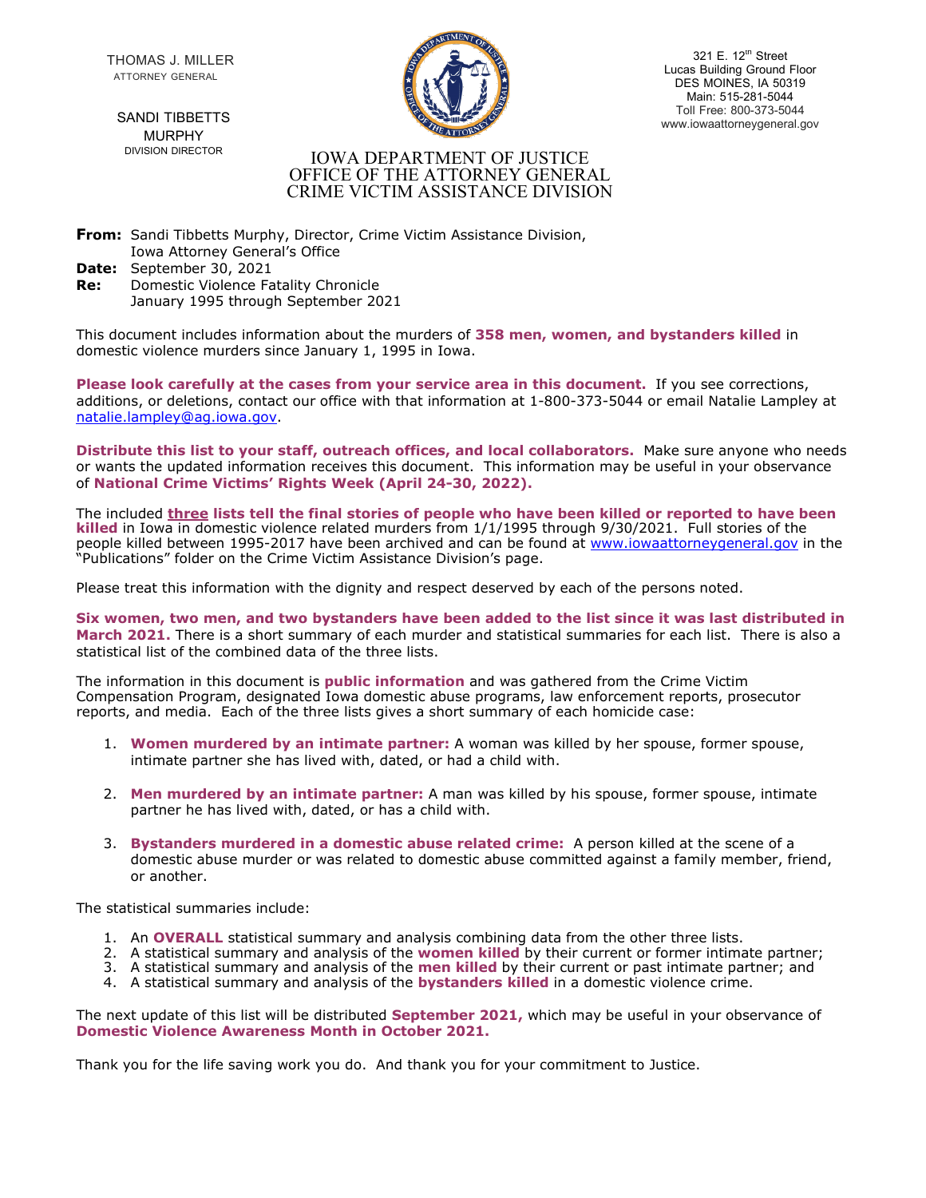THOMAS J. MILLER ATTORNEY GENERAL

321 E. 12th Street Lucas Building Ground Floor DES MOINES, IA 50319 Main: 515-281-5044 Toll Free: 800-373-5044 SANDI TIBBETTS **SANDI TIBBETTS** 

# MURPHY DIVISION DIRECTOR

#### IOWA DEPARTMENT OF JUSTICE OFFICE OF THE ATTORNEY GENERAL CRIME VICTIM ASSISTANCE DIVISION

**From:** Sandi Tibbetts Murphy, Director, Crime Victim Assistance Division, Iowa Attorney General's Office

- **Date:** September 30, 2021
- **Re:** Domestic Violence Fatality Chronicle January 1995 through September 2021

This document includes information about the murders of **358 men, women, and bystanders killed** in domestic violence murders since January 1, 1995 in Iowa.

**Please look carefully at the cases from your service area in this document.** If you see corrections, additions, or deletions, contact our office with that information at 1-800-373-5044 or email Natalie Lampley at [natalie.lampley@ag.iowa.gov.](mailto:natalie.lampley@ag.iowa.gov)

**Distribute this list to your staff, outreach offices, and local collaborators.** Make sure anyone who needs or wants the updated information receives this document. This information may be useful in your observance of **National Crime Victims' Rights Week (April 24-30, 2022).**

The included **three lists tell the final stories of people who have been killed or reported to have been killed** in Iowa in domestic violence related murders from 1/1/1995 through 9/30/2021. Full stories of the people killed between 1995-2017 have been archived and can be found at [www.iowaattorneygeneral.gov](http://www.iowaattorneygeneral.gov/) in the "Publications" folder on the Crime Victim Assistance Division's page.

Please treat this information with the dignity and respect deserved by each of the persons noted.

**Six women, two men, and two bystanders have been added to the list since it was last distributed in March 2021.** There is a short summary of each murder and statistical summaries for each list. There is also a statistical list of the combined data of the three lists.

The information in this document is **public information** and was gathered from the Crime Victim Compensation Program, designated Iowa domestic abuse programs, law enforcement reports, prosecutor reports, and media. Each of the three lists gives a short summary of each homicide case:

- 1. **Women murdered by an intimate partner:** A woman was killed by her spouse, former spouse, intimate partner she has lived with, dated, or had a child with.
- 2. **Men murdered by an intimate partner:** A man was killed by his spouse, former spouse, intimate partner he has lived with, dated, or has a child with.
- 3. **Bystanders murdered in a domestic abuse related crime:** A person killed at the scene of a domestic abuse murder or was related to domestic abuse committed against a family member, friend, or another.

The statistical summaries include:

- 1. An **OVERALL** statistical summary and analysis combining data from the other three lists.
- 2. A statistical summary and analysis of the **women killed** by their current or former intimate partner;
- 3. A statistical summary and analysis of the **men killed** by their current or past intimate partner; and
- 4. A statistical summary and analysis of the **bystanders killed** in a domestic violence crime.

The next update of this list will be distributed **September 2021,** which may be useful in your observance of **Domestic Violence Awareness Month in October 2021.**

Thank you for the life saving work you do. And thank you for your commitment to Justice.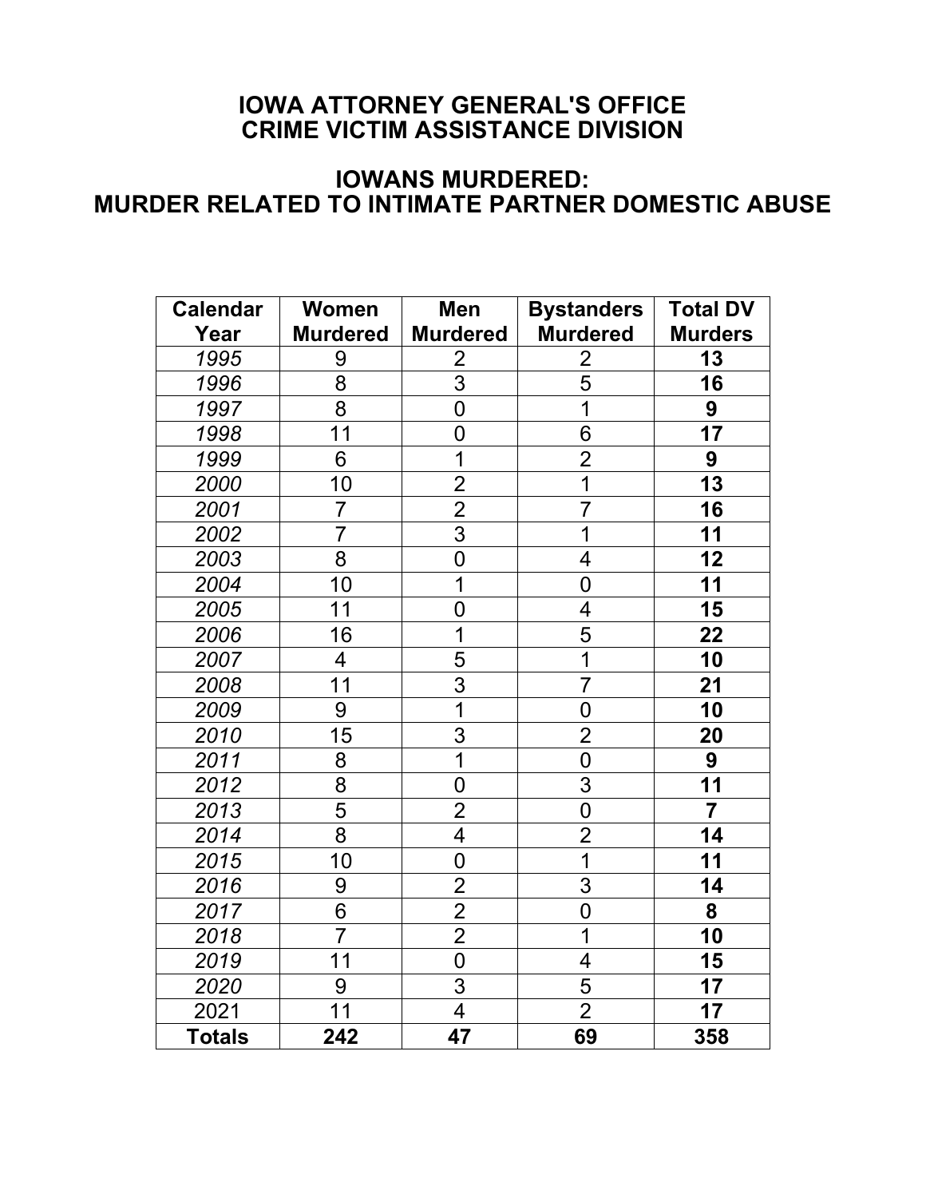# **IOWA ATTORNEY GENERAL'S OFFICE CRIME VICTIM ASSISTANCE DIVISION**

# **IOWANS MURDERED: MURDER RELATED TO INTIMATE PARTNER DOMESTIC ABUSE**

| <b>Calendar</b> | <b>Women</b>    | <b>Men</b>              | <b>Bystanders</b>       | <b>Total DV</b>         |
|-----------------|-----------------|-------------------------|-------------------------|-------------------------|
| Year            | <b>Murdered</b> | <b>Murdered</b>         | <b>Murdered</b>         | <b>Murders</b>          |
| 1995            | 9               | $\overline{2}$          | $\overline{2}$          | 13                      |
| 1996            | 8               | $\overline{3}$          | $\overline{5}$          | 16                      |
| 1997            | 8               | $\mathbf 0$             | $\overline{1}$          | 9                       |
| 1998            | 11              | $\mathbf 0$             | $\overline{6}$          | 17                      |
| 1999            | 6               | 1                       | $\overline{2}$          | 9                       |
| 2000            | 10              | $\overline{c}$          | $\overline{\mathbf{1}}$ | 13                      |
| 2001            | $\overline{7}$  | $\overline{2}$          | $\overline{7}$          | 16                      |
| 2002            | $\overline{7}$  | $\overline{3}$          | $\overline{\mathbf{1}}$ | 11                      |
| 2003            | $\overline{8}$  | $\overline{0}$          | 4                       | $\overline{12}$         |
| 2004            | 10              | $\overline{1}$          | $\overline{0}$          | $1\overline{1}$         |
| 2005            | 11              | $\overline{0}$          | $\overline{4}$          | 15                      |
| 2006            | 16              | $\overline{1}$          | $\overline{5}$          | $\overline{22}$         |
| 2007            | 4               | 5                       | $\overline{1}$          | 10                      |
| 2008            | 11              | $\overline{3}$          | $\overline{7}$          | 21                      |
| 2009            | 9               | $\overline{1}$          | $\mathbf 0$             | 10                      |
| 2010            | 15              | 3                       | $\overline{2}$          | 20                      |
| 2011            |                 | $\overline{1}$          | $\overline{0}$          | $\boldsymbol{9}$        |
| 2012            | $\frac{8}{8}$   | $\overline{0}$          | $\frac{1}{3}$           | $\overline{11}$         |
| 2013            | $\frac{5}{8}$   | $\frac{2}{4}$           | $\overline{0}$          | $\overline{\mathbf{7}}$ |
| 2014            |                 |                         | $\overline{2}$          | $\overline{14}$         |
| 2015            | 10              | $\overline{0}$          | $\overline{1}$          | 11                      |
| 2016            | 9               | $\overline{2}$          | $\overline{3}$          | 14                      |
| 2017            | $\overline{6}$  | $\frac{2}{2}$           | $\overline{0}$          | 8                       |
| 2018            | $\overline{7}$  |                         | $\overline{1}$          | 10                      |
| 2019            | 11              | $\overline{0}$          | 4                       | 15                      |
| 2020            | 9               | $\overline{3}$          | 5                       | 17                      |
| 2021            | 11              | $\overline{\mathbf{4}}$ | $\overline{2}$          | 17                      |
| <b>Totals</b>   | 242             | 47                      | 69                      | 358                     |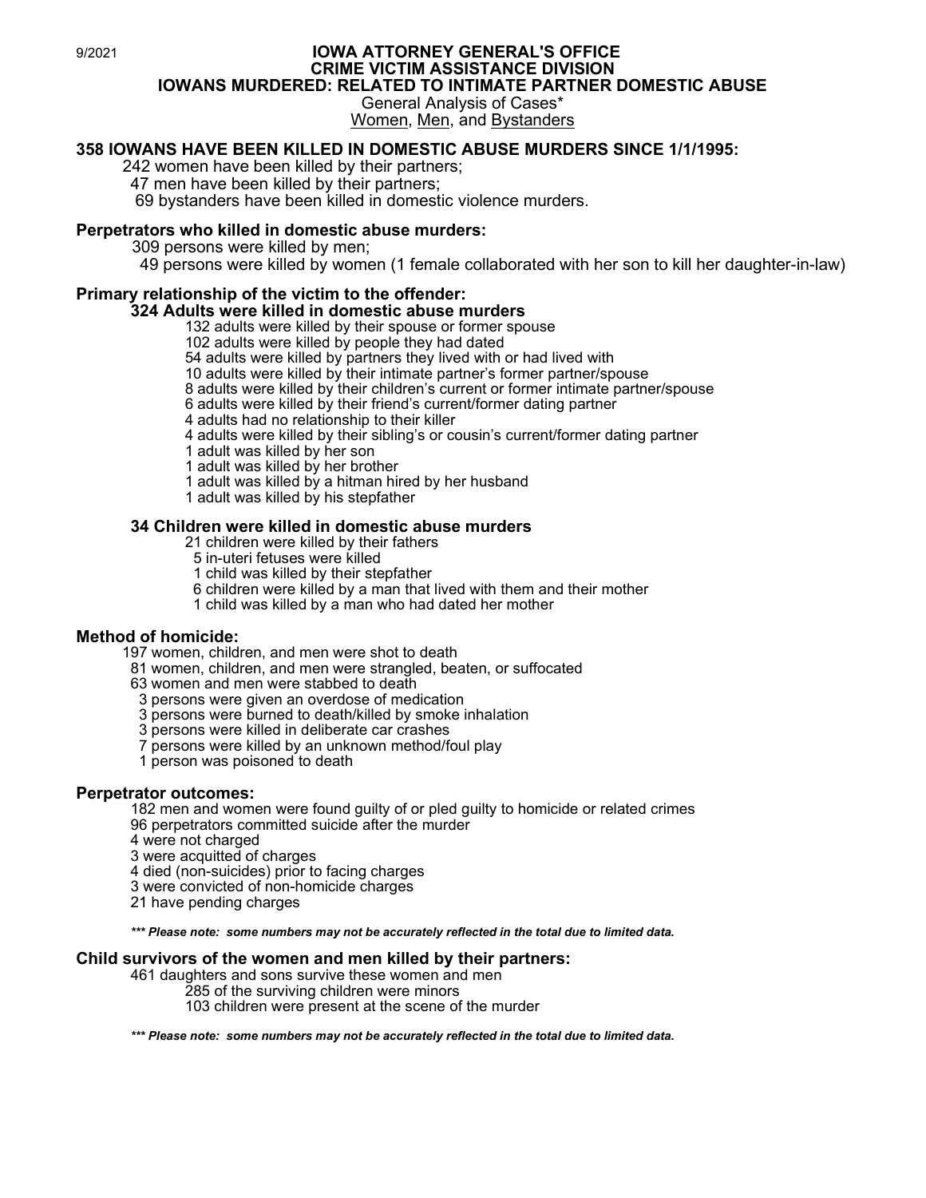#### 9/2021 **IOWA ATTORNEY GENERAL'S OFFICE CRIME VICTIM ASSISTANCE DIVISION IOWANS MURDERED: RELATED TO INTIMATE PARTNER DOMESTIC ABUSE** General Analysis of Cases\*

Women, Men, and Bystanders

## **358 IOWANS HAVE BEEN KILLED IN DOMESTIC ABUSE MURDERS SINCE 1/1/1995:**

242 women have been killed by their partners;

47 men have been killed by their partners;

69 bystanders have been killed in domestic violence murders.

#### **Perpetrators who killed in domestic abuse murders:**

309 persons were killed by men;

<sup>49</sup> persons were killed by women (1 female collaborated with her son to kill her daughter-in-law)

# **Primary relationship of the victim to the offender:**

# **324 Adults were killed in domestic abuse murders**

132 adults were killed by their spouse or former spouse

102 adults were killed by people they had dated

54 adults were killed by partners they lived with or had lived with

10 adults were killed by their intimate partner's former partner/spouse

8 adults were killed by their children's current or former intimate partner/spouse

6 adults were killed by their friend's current/former dating partner

4 adults had no relationship to their killer

4 adults were killed by their sibling's or cousin's current/former dating partner

1 adult was killed by her son

1 adult was killed by her brother

1 adult was killed by a hitman hired by her husband

1 adult was killed by his stepfather

#### **34 Children were killed in domestic abuse murders**

21 children were killed by their fathers

5 in-uteri fetuses were killed

1 child was killed by their stepfather

6 children were killed by a man that lived with them and their mother

1 child was killed by a man who had dated her mother

**Method of homicide:**<br>197 women, children, and men were shot to death

81 women, children, and men were strangled, beaten, or suffocated

63 women and men were stabbed to death

3 persons were given an overdose of medication

3 persons were burned to death/killed by smoke inhalation

3 persons were killed in deliberate car crashes

7 persons were killed by an unknown method/foul play

1 person was poisoned to death

#### **Perpetrator outcomes:**

<sup>182</sup> men and women were found guilty of or pled guilty to homicide or related crimes 96 perpetrators committed suicide after the murder

4 were not charged

3 were acquitted of charges

4 died (non-suicides) prior to facing charges

3 were convicted of non-homicide charges

21 have pending charges

*\*\*\* Please note: some numbers may not be accurately reflected in the total due to limited data.*

# **Child survivors of the women and men killed by their partners:** 461 daughters and sons survive these women and men

285 of the surviving children were minors

103 children were present at the scene of the murder

*\*\*\* Please note: some numbers may not be accurately reflected in the total due to limited data.*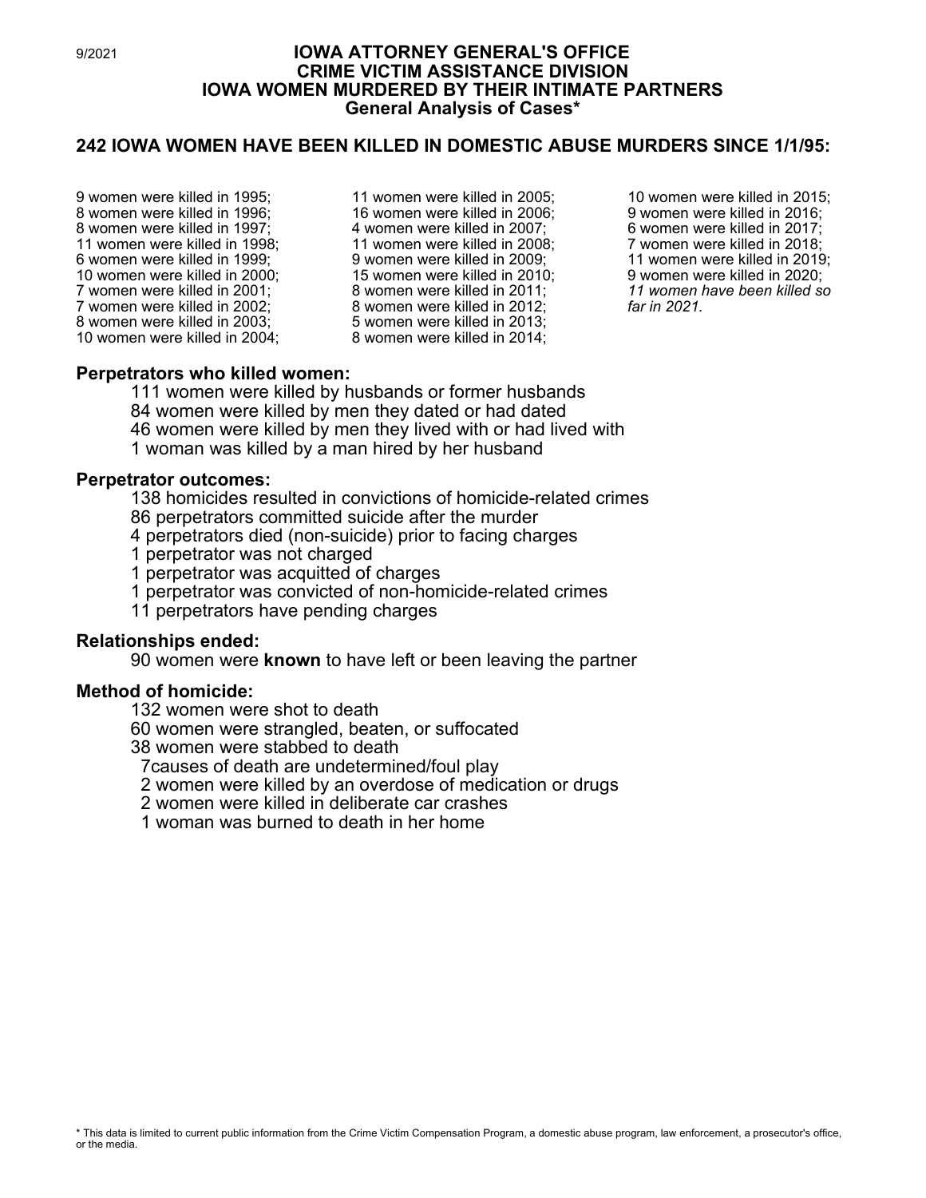# 9/2021 **IOWA ATTORNEY GENERAL'S OFFICE CRIME VICTIM ASSISTANCE DIVISION IOWA WOMEN MURDERED BY THEIR INTIMATE PARTNERS General Analysis of Cases\***

# **242 IOWA WOMEN HAVE BEEN KILLED IN DOMESTIC ABUSE MURDERS SINCE 1/1/95:**

- 9 women were killed in 1995; 8 women were killed in 1996; 8 women were killed in 1997; 11 women were killed in 1998; 6 women were killed in 1999; 10 women were killed in 2000; 7 women were killed in 2001; 7 women were killed in 2002; 8 women were killed in 2003; 10 women were killed in 2004;
- 11 women were killed in 2005; 16 women were killed in 2006; 4 women were killed in 2007; 11 women were killed in 2008; 9 women were killed in 2009; 15 women were killed in 2010; 8 women were killed in 2011; 8 women were killed in 2012; 5 women were killed in 2013; 8 women were killed in 2014;

 women were killed in 2015; women were killed in 2016; women were killed in 2017; women were killed in 2018; women were killed in 2019; women were killed in 2020; *women have been killed so far in 2021.*

## **Perpetrators who killed women:**

 women were killed by husbands or former husbands women were killed by men they dated or had dated women were killed by men they lived with or had lived with woman was killed by a man hired by her husband

## **Perpetrator outcomes:**

138 homicides resulted in convictions of homicide-related crimes 86 perpetrators committed suicide after the murder

4 perpetrators died (non-suicide) prior to facing charges

1 perpetrator was not charged

1 perpetrator was acquitted of charges

1 perpetrator was convicted of non-homicide-related crimes

11 perpetrators have pending charges

#### **Relationships ended:**

90 women were **known** to have left or been leaving the partner

#### **Method of homicide:**

132 women were shot to death

60 women were strangled, beaten, or suffocated

38 women were stabbed to death

7causes of death are undetermined/foul play

2 women were killed by an overdose of medication or drugs

2 women were killed in deliberate car crashes

1 woman was burned to death in her home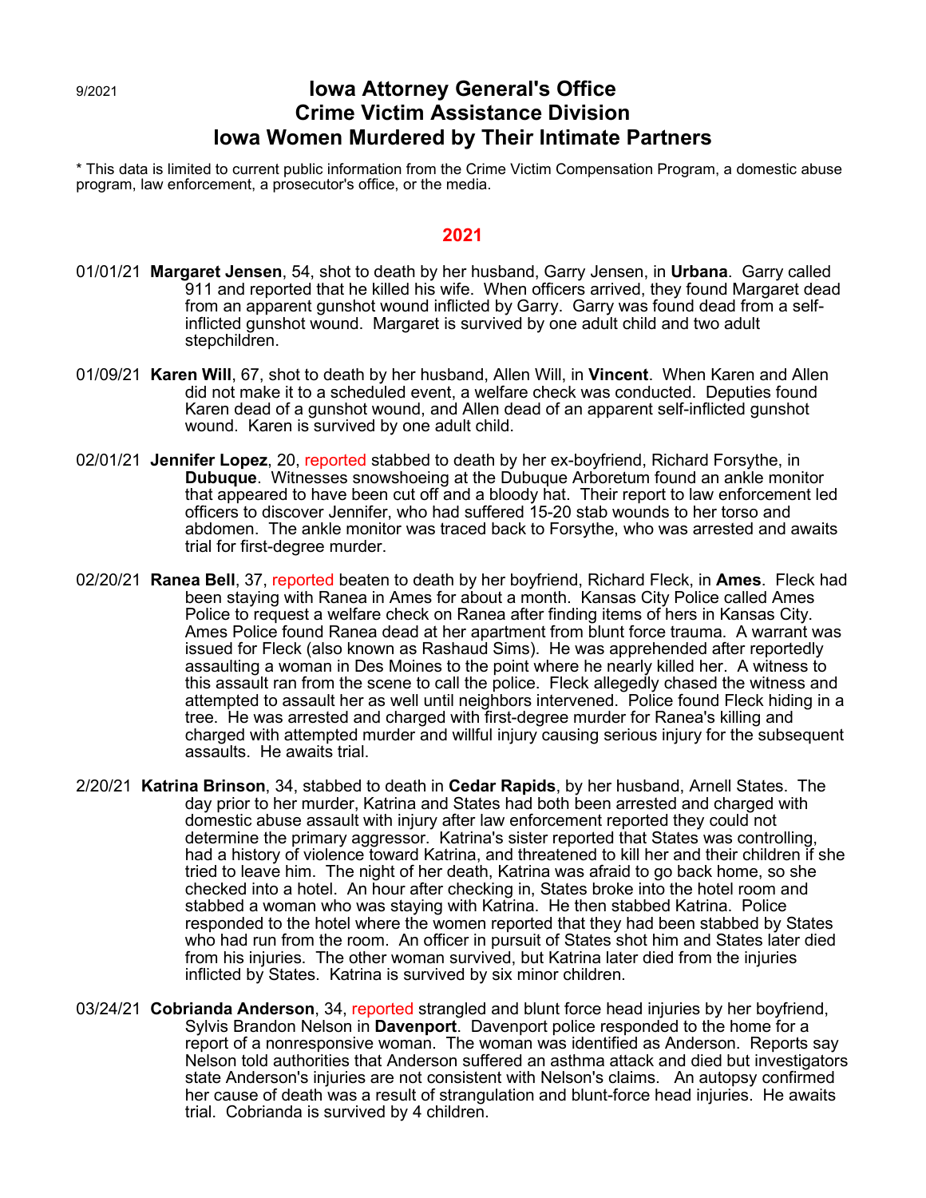# 9/2021 **Iowa Attorney General's Office Crime Victim Assistance Division Iowa Women Murdered by Their Intimate Partners**

\* This data is limited to current public information from the Crime Victim Compensation Program, a domestic abuse program, law enforcement, a prosecutor's office, or the media.

- 01/01/21 **Margaret Jensen**, 54, shot to death by her husband, Garry Jensen, in **Urbana**. Garry called 911 and reported that he killed his wife. When officers arrived, they found Margaret dead from an apparent gunshot wound inflicted by Garry. Garry was found dead from a selfinflicted gunshot wound. Margaret is survived by one adult child and two adult stepchildren.
- 01/09/21 **Karen Will**, 67, shot to death by her husband, Allen Will, in **Vincent**. When Karen and Allen did not make it to a scheduled event, a welfare check was conducted. Deputies found Karen dead of a gunshot wound, and Allen dead of an apparent self-inflicted gunshot wound. Karen is survived by one adult child.
- 02/01/21 **Jennifer Lopez**, 20, reported stabbed to death by her ex-boyfriend, Richard Forsythe, in **Dubuque**. Witnesses snowshoeing at the Dubuque Arboretum found an ankle monitor that appeared to have been cut off and a bloody hat. Their report to law enforcement led officers to discover Jennifer, who had suffered 15-20 stab wounds to her torso and abdomen. The ankle monitor was traced back to Forsythe, who was arrested and awaits trial for first-degree murder.
- 02/20/21 **Ranea Bell**, 37, reported beaten to death by her boyfriend, Richard Fleck, in **Ames**. Fleck had been staying with Ranea in Ames for about a month. Kansas City Police called Ames Police to request a welfare check on Ranea after finding items of hers in Kansas City. Ames Police found Ranea dead at her apartment from blunt force trauma. A warrant was issued for Fleck (also known as Rashaud Sims). He was apprehended after reportedly assaulting a woman in Des Moines to the point where he nearly killed her. A witness to this assault ran from the scene to call the police. Fleck allegedly chased the witness and attempted to assault her as well until neighbors intervened. Police found Fleck hiding in a tree. He was arrested and charged with first-degree murder for Ranea's killing and charged with attempted murder and willful injury causing serious injury for the subsequent assaults. He awaits trial.
- 2/20/21 **Katrina Brinson**, 34, stabbed to death in **Cedar Rapids**, by her husband, Arnell States. The day prior to her murder, Katrina and States had both been arrested and charged with domestic abuse assault with injury after law enforcement reported they could not determine the primary aggressor. Katrina's sister reported that States was controlling, had a history of violence toward Katrina, and threatened to kill her and their children if she tried to leave him. The night of her death, Katrina was afraid to go back home, so she checked into a hotel. An hour after checking in, States broke into the hotel room and stabbed a woman who was staying with Katrina. He then stabbed Katrina. Police responded to the hotel where the women reported that they had been stabbed by States who had run from the room. An officer in pursuit of States shot him and States later died from his injuries. The other woman survived, but Katrina later died from the injuries inflicted by States. Katrina is survived by six minor children.
- 03/24/21 **Cobrianda Anderson**, 34, reported strangled and blunt force head injuries by her boyfriend, Sylvis Brandon Nelson in **Davenport**. Davenport police responded to the home for a report of a nonresponsive woman. The woman was identified as Anderson. Reports say Nelson told authorities that Anderson suffered an asthma attack and died but investigators state Anderson's injuries are not consistent with Nelson's claims. An autopsy confirmed her cause of death was a result of strangulation and blunt-force head injuries. He awaits trial. Cobrianda is survived by 4 children.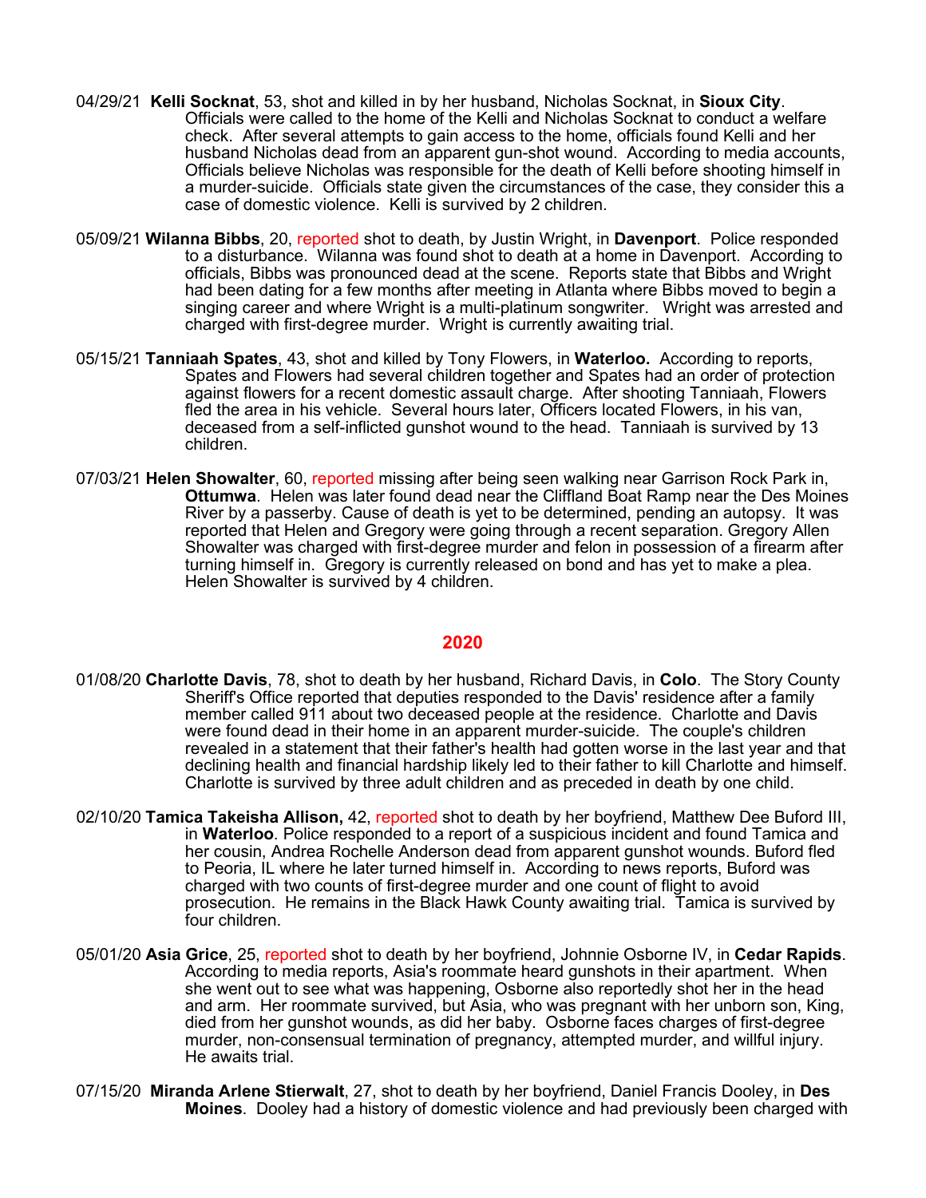- 04/29/21 **Kelli Socknat**, 53, shot and killed in by her husband, Nicholas Socknat, in **Sioux City**. Officials were called to the home of the Kelli and Nicholas Socknat to conduct a welfare check. After several attempts to gain access to the home, officials found Kelli and her husband Nicholas dead from an apparent gun-shot wound. According to media accounts, Officials believe Nicholas was responsible for the death of Kelli before shooting himself in a murder-suicide. Officials state given the circumstances of the case, they consider this a case of domestic violence. Kelli is survived by 2 children.
- 05/09/21 **Wilanna Bibbs**, 20, reported shot to death, by Justin Wright, in **Davenport**. Police responded to a disturbance. Wilanna was found shot to death at a home in Davenport. According to officials, Bibbs was pronounced dead at the scene. Reports state that Bibbs and Wright had been dating for a few months after meeting in Atlanta where Bibbs moved to begin a singing career and where Wright is a multi-platinum songwriter. Wright was arrested and charged with first-degree murder. Wright is currently awaiting trial.
- 05/15/21 **Tanniaah Spates**, 43, shot and killed by Tony Flowers, in **Waterloo.** According to reports, Spates and Flowers had several children together and Spates had an order of protection against flowers for a recent domestic assault charge. After shooting Tanniaah, Flowers fled the area in his vehicle. Several hours later, Officers located Flowers, in his van, deceased from a self-inflicted gunshot wound to the head. Tanniaah is survived by 13 children.
- 07/03/21 **Helen Showalter**, 60, reported missing after being seen walking near Garrison Rock Park in, **Ottumwa**. Helen was later found dead near the Cliffland Boat Ramp near the Des Moines River by a passerby. Cause of death is yet to be determined, pending an autopsy. It was reported that Helen and Gregory were going through a recent separation. Gregory Allen Showalter was charged with first-degree murder and felon in possession of a firearm after turning himself in. Gregory is currently released on bond and has yet to make a plea. Helen Showalter is survived by 4 children.

- 01/08/20 **Charlotte Davis**, 78, shot to death by her husband, Richard Davis, in **Colo**. The Story County Sheriff's Office reported that deputies responded to the Davis' residence after a family member called 911 about two deceased people at the residence. Charlotte and Davis were found dead in their home in an apparent murder-suicide. The couple's children revealed in a statement that their father's health had gotten worse in the last year and that declining health and financial hardship likely led to their father to kill Charlotte and himself. Charlotte is survived by three adult children and as preceded in death by one child.
- 02/10/20 **Tamica Takeisha Allison,** 42, reported shot to death by her boyfriend, Matthew Dee Buford III, in **Waterloo**. Police responded to a report of a suspicious incident and found Tamica and her cousin, Andrea Rochelle Anderson dead from apparent gunshot wounds. Buford fled to Peoria, IL where he later turned himself in. According to news reports, Buford was charged with two counts of first-degree murder and one count of flight to avoid prosecution. He remains in the Black Hawk County awaiting trial. Tamica is survived by four children.
- 05/01/20 **Asia Grice**, 25, reported shot to death by her boyfriend, Johnnie Osborne IV, in **Cedar Rapids**. According to media reports, Asia's roommate heard gunshots in their apartment. When she went out to see what was happening, Osborne also reportedly shot her in the head and arm. Her roommate survived, but Asia, who was pregnant with her unborn son, King, died from her gunshot wounds, as did her baby. Osborne faces charges of first-degree murder, non-consensual termination of pregnancy, attempted murder, and willful injury. He awaits trial.
- 07/15/20 **Miranda Arlene Stierwalt**, 27, shot to death by her boyfriend, Daniel Francis Dooley, in **Des Moines**. Dooley had a history of domestic violence and had previously been charged with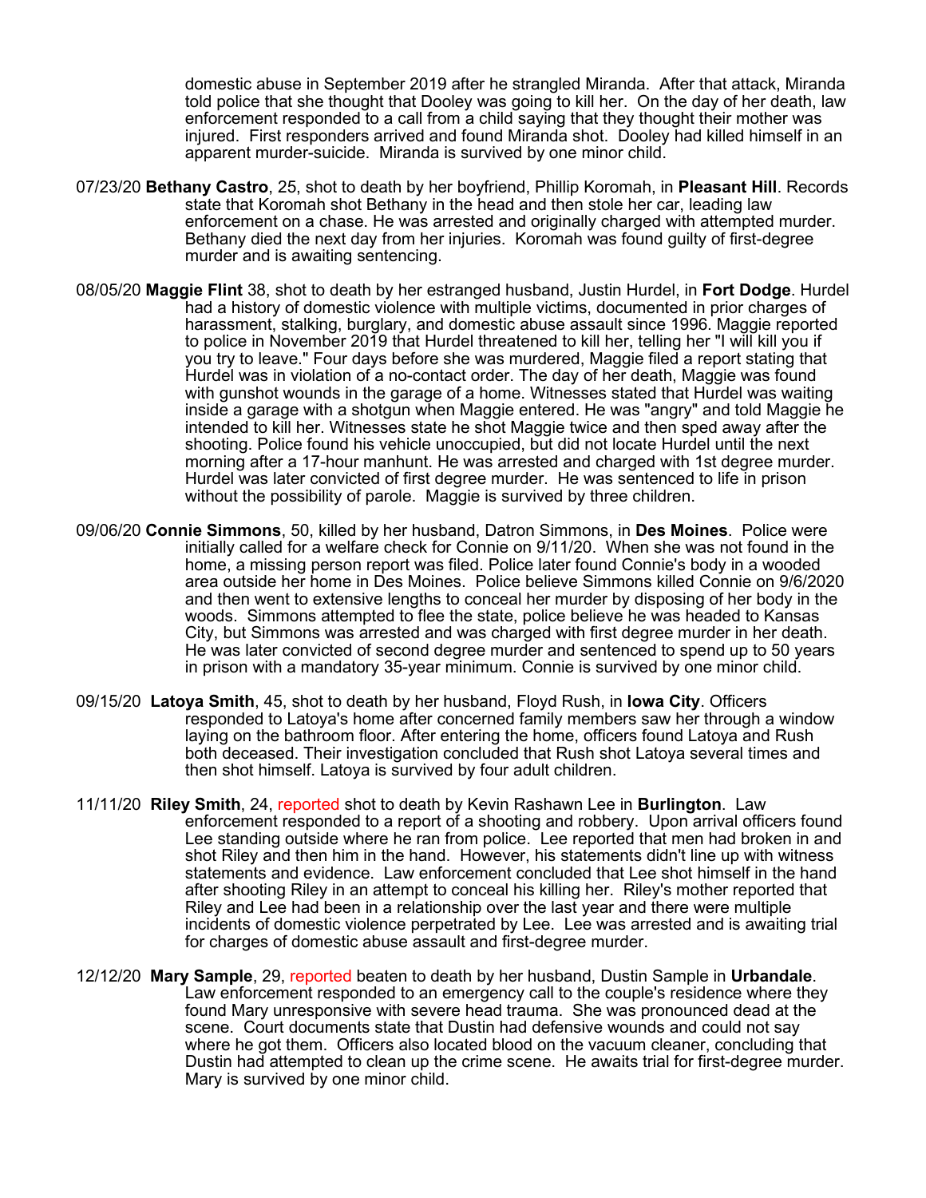domestic abuse in September 2019 after he strangled Miranda. After that attack, Miranda told police that she thought that Dooley was going to kill her. On the day of her death, law enforcement responded to a call from a child saying that they thought their mother was injured. First responders arrived and found Miranda shot. Dooley had killed himself in an apparent murder-suicide. Miranda is survived by one minor child.

- 07/23/20 **Bethany Castro**, 25, shot to death by her boyfriend, Phillip Koromah, in **Pleasant Hill**. Records state that Koromah shot Bethany in the head and then stole her car, leading law enforcement on a chase. He was arrested and originally charged with attempted murder. Bethany died the next day from her injuries. Koromah was found guilty of first-degree murder and is awaiting sentencing.
- 08/05/20 **Maggie Flint** 38, shot to death by her estranged husband, Justin Hurdel, in **Fort Dodge**. Hurdel had a history of domestic violence with multiple victims, documented in prior charges of harassment, stalking, burglary, and domestic abuse assault since 1996. Maggie reported to police in November 2019 that Hurdel threatened to kill her, telling her "I will kill you if you try to leave." Four days before she was murdered, Maggie filed a report stating that Hurdel was in violation of a no-contact order. The day of her death, Maggie was found with gunshot wounds in the garage of a home. Witnesses stated that Hurdel was waiting inside a garage with a shotgun when Maggie entered. He was "angry" and told Maggie he intended to kill her. Witnesses state he shot Maggie twice and then sped away after the shooting. Police found his vehicle unoccupied, but did not locate Hurdel until the next morning after a 17-hour manhunt. He was arrested and charged with 1st degree murder. Hurdel was later convicted of first degree murder. He was sentenced to life in prison without the possibility of parole. Maggie is survived by three children.
- 09/06/20 **Connie Simmons**, 50, killed by her husband, Datron Simmons, in **Des Moines**. Police were initially called for a welfare check for Connie on 9/11/20. When she was not found in the home, a missing person report was filed. Police later found Connie's body in a wooded area outside her home in Des Moines. Police believe Simmons killed Connie on 9/6/2020 and then went to extensive lengths to conceal her murder by disposing of her body in the woods. Simmons attempted to flee the state, police believe he was headed to Kansas City, but Simmons was arrested and was charged with first degree murder in her death. He was later convicted of second degree murder and sentenced to spend up to 50 years in prison with a mandatory 35-year minimum. Connie is survived by one minor child.
- 09/15/20 **Latoya Smith**, 45, shot to death by her husband, Floyd Rush, in **Iowa City**. Officers responded to Latoya's home after concerned family members saw her through a window laying on the bathroom floor. After entering the home, officers found Latoya and Rush both deceased. Their investigation concluded that Rush shot Latoya several times and then shot himself. Latoya is survived by four adult children.
- 11/11/20 **Riley Smith**, 24, reported shot to death by Kevin Rashawn Lee in **Burlington**. Law enforcement responded to a report of a shooting and robbery. Upon arrival officers found Lee standing outside where he ran from police. Lee reported that men had broken in and shot Riley and then him in the hand. However, his statements didn't line up with witness statements and evidence. Law enforcement concluded that Lee shot himself in the hand after shooting Riley in an attempt to conceal his killing her. Riley's mother reported that Riley and Lee had been in a relationship over the last year and there were multiple incidents of domestic violence perpetrated by Lee. Lee was arrested and is awaiting trial for charges of domestic abuse assault and first-degree murder.
- 12/12/20 **Mary Sample**, 29, reported beaten to death by her husband, Dustin Sample in **Urbandale**. Law enforcement responded to an emergency call to the couple's residence where they found Mary unresponsive with severe head trauma. She was pronounced dead at the scene. Court documents state that Dustin had defensive wounds and could not say where he got them. Officers also located blood on the vacuum cleaner, concluding that Dustin had attempted to clean up the crime scene. He awaits trial for first-degree murder. Mary is survived by one minor child.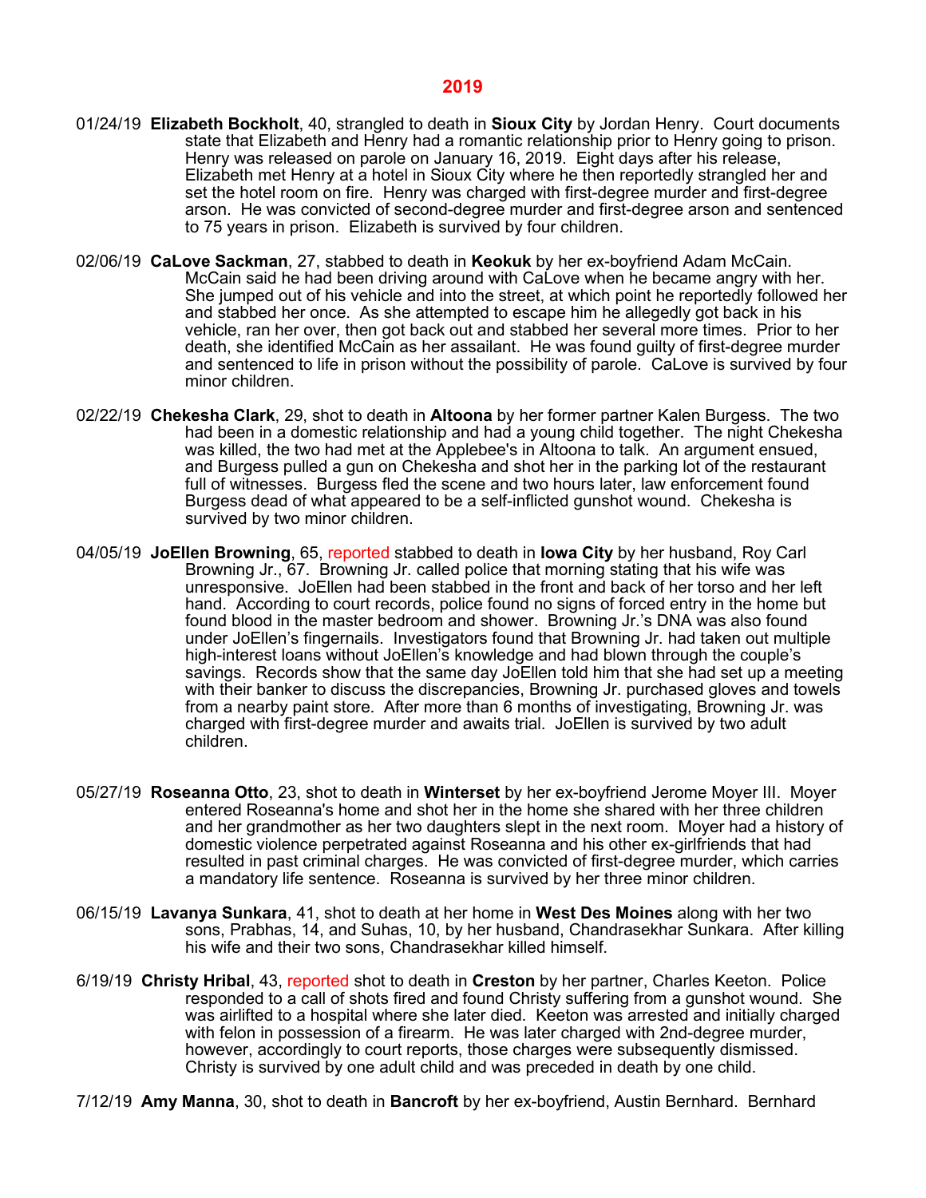- 01/24/19 **Elizabeth Bockholt**, 40, strangled to death in **Sioux City** by Jordan Henry. Court documents state that Elizabeth and Henry had a romantic relationship prior to Henry going to prison. Henry was released on parole on January 16, 2019. Eight days after his release, Elizabeth met Henry at a hotel in Sioux City where he then reportedly strangled her and set the hotel room on fire. Henry was charged with first-degree murder and first-degree arson. He was convicted of second-degree murder and first-degree arson and sentenced to 75 years in prison. Elizabeth is survived by four children.
- 02/06/19 **CaLove Sackman**, 27, stabbed to death in **Keokuk** by her ex-boyfriend Adam McCain. McCain said he had been driving around with CaLove when he became angry with her. She jumped out of his vehicle and into the street, at which point he reportedly followed her and stabbed her once. As she attempted to escape him he allegedly got back in his vehicle, ran her over, then got back out and stabbed her several more times. Prior to her death, she identified McCain as her assailant. He was found guilty of first-degree murder and sentenced to life in prison without the possibility of parole. CaLove is survived by four minor children.
- 02/22/19 **Chekesha Clark**, 29, shot to death in **Altoona** by her former partner Kalen Burgess. The two had been in a domestic relationship and had a young child together. The night Chekesha was killed, the two had met at the Applebee's in Altoona to talk. An argument ensued, and Burgess pulled a gun on Chekesha and shot her in the parking lot of the restaurant full of witnesses. Burgess fled the scene and two hours later, law enforcement found Burgess dead of what appeared to be a self-inflicted gunshot wound. Chekesha is survived by two minor children.
- 04/05/19 **JoEllen Browning**, 65, reported stabbed to death in **Iowa City** by her husband, Roy Carl Browning Jr., 67. Browning Jr. called police that morning stating that his wife was unresponsive. JoEllen had been stabbed in the front and back of her torso and her left hand. According to court records, police found no signs of forced entry in the home but found blood in the master bedroom and shower. Browning Jr.'s DNA was also found under JoEllen's fingernails. Investigators found that Browning Jr. had taken out multiple high-interest loans without JoEllen's knowledge and had blown through the couple's savings. Records show that the same day JoEllen told him that she had set up a meeting with their banker to discuss the discrepancies, Browning Jr. purchased gloves and towels from a nearby paint store. After more than 6 months of investigating, Browning Jr. was charged with first-degree murder and awaits trial. JoEllen is survived by two adult children.
- 05/27/19 **Roseanna Otto**, 23, shot to death in **Winterset** by her ex-boyfriend Jerome Moyer III. Moyer entered Roseanna's home and shot her in the home she shared with her three children and her grandmother as her two daughters slept in the next room. Moyer had a history of domestic violence perpetrated against Roseanna and his other ex-girlfriends that had resulted in past criminal charges. He was convicted of first-degree murder, which carries a mandatory life sentence. Roseanna is survived by her three minor children.
- 06/15/19 **Lavanya Sunkara**, 41, shot to death at her home in **West Des Moines** along with her two sons, Prabhas, 14, and Suhas, 10, by her husband, Chandrasekhar Sunkara. After killing his wife and their two sons, Chandrasekhar killed himself.
- 6/19/19 **Christy Hribal**, 43, reported shot to death in **Creston** by her partner, Charles Keeton. Police responded to a call of shots fired and found Christy suffering from a gunshot wound. She was airlifted to a hospital where she later died. Keeton was arrested and initially charged with felon in possession of a firearm. He was later charged with 2nd-degree murder, however, accordingly to court reports, those charges were subsequently dismissed. Christy is survived by one adult child and was preceded in death by one child.
- 7/12/19 **Amy Manna**, 30, shot to death in **Bancroft** by her ex-boyfriend, Austin Bernhard. Bernhard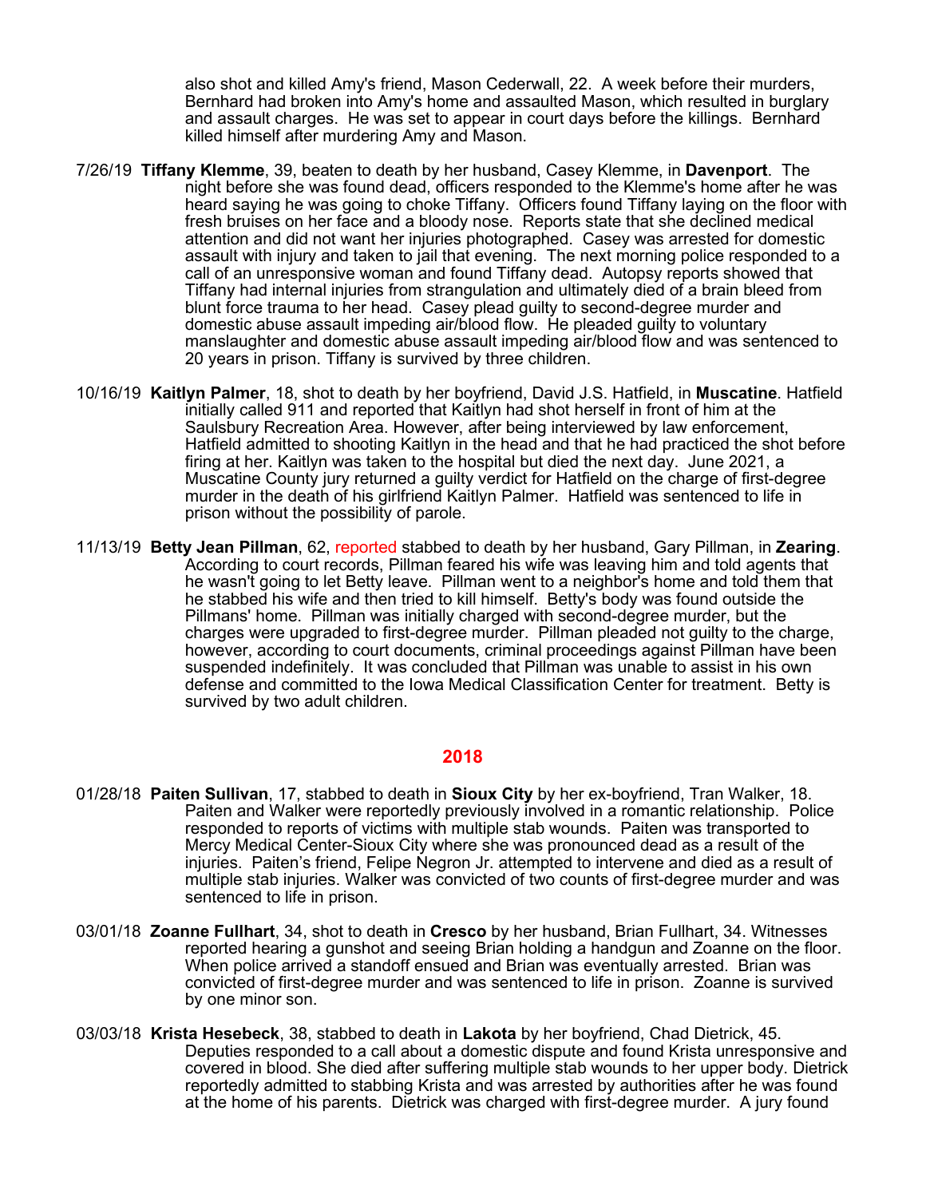also shot and killed Amy's friend, Mason Cederwall, 22. A week before their murders, Bernhard had broken into Amy's home and assaulted Mason, which resulted in burglary and assault charges. He was set to appear in court days before the killings. Bernhard killed himself after murdering Amy and Mason.

- 7/26/19 **Tiffany Klemme**, 39, beaten to death by her husband, Casey Klemme, in **Davenport**. The night before she was found dead, officers responded to the Klemme's home after he was heard saying he was going to choke Tiffany. Officers found Tiffany laying on the floor with fresh bruises on her face and a bloody nose. Reports state that she declined medical attention and did not want her injuries photographed. Casey was arrested for domestic assault with injury and taken to jail that evening. The next morning police responded to a call of an unresponsive woman and found Tiffany dead. Autopsy reports showed that Tiffany had internal injuries from strangulation and ultimately died of a brain bleed from blunt force trauma to her head. Casey plead guilty to second-degree murder and domestic abuse assault impeding air/blood flow. He pleaded guilty to voluntary manslaughter and domestic abuse assault impeding air/blood flow and was sentenced to 20 years in prison. Tiffany is survived by three children.
- 10/16/19 **Kaitlyn Palmer**, 18, shot to death by her boyfriend, David J.S. Hatfield, in **Muscatine**. Hatfield initially called 911 and reported that Kaitlyn had shot herself in front of him at the Saulsbury Recreation Area. However, after being interviewed by law enforcement, Hatfield admitted to shooting Kaitlyn in the head and that he had practiced the shot before firing at her. Kaitlyn was taken to the hospital but died the next day. June 2021, a Muscatine County jury returned a guilty verdict for Hatfield on the charge of first-degree murder in the death of his girlfriend Kaitlyn Palmer. Hatfield was sentenced to life in prison without the possibility of parole.
- 11/13/19 **Betty Jean Pillman**, 62, reported stabbed to death by her husband, Gary Pillman, in **Zearing**. According to court records, Pillman feared his wife was leaving him and told agents that he wasn't going to let Betty leave. Pillman went to a neighbor's home and told them that he stabbed his wife and then tried to kill himself. Betty's body was found outside the Pillmans' home. Pillman was initially charged with second-degree murder, but the charges were upgraded to first-degree murder. Pillman pleaded not guilty to the charge, however, according to court documents, criminal proceedings against Pillman have been suspended indefinitely. It was concluded that Pillman was unable to assist in his own defense and committed to the Iowa Medical Classification Center for treatment. Betty is survived by two adult children.

- 01/28/18 **Paiten Sullivan**, 17, stabbed to death in **Sioux City** by her ex-boyfriend, Tran Walker, 18. Paiten and Walker were reportedly previously involved in a romantic relationship. Police responded to reports of victims with multiple stab wounds. Paiten was transported to Mercy Medical Center-Sioux City where she was pronounced dead as a result of the injuries. Paiten's friend, Felipe Negron Jr. attempted to intervene and died as a result of multiple stab injuries. Walker was convicted of two counts of first-degree murder and was sentenced to life in prison.
- 03/01/18 **Zoanne Fullhart**, 34, shot to death in **Cresco** by her husband, Brian Fullhart, 34. Witnesses reported hearing a gunshot and seeing Brian holding a handgun and Zoanne on the floor. When police arrived a standoff ensued and Brian was eventually arrested. Brian was convicted of first-degree murder and was sentenced to life in prison. Zoanne is survived by one minor son.
- 03/03/18 **Krista Hesebeck**, 38, stabbed to death in **Lakota** by her boyfriend, Chad Dietrick, 45. Deputies responded to a call about a domestic dispute and found Krista unresponsive and covered in blood. She died after suffering multiple stab wounds to her upper body. Dietrick reportedly admitted to stabbing Krista and was arrested by authorities after he was found at the home of his parents. Dietrick was charged with first-degree murder. A jury found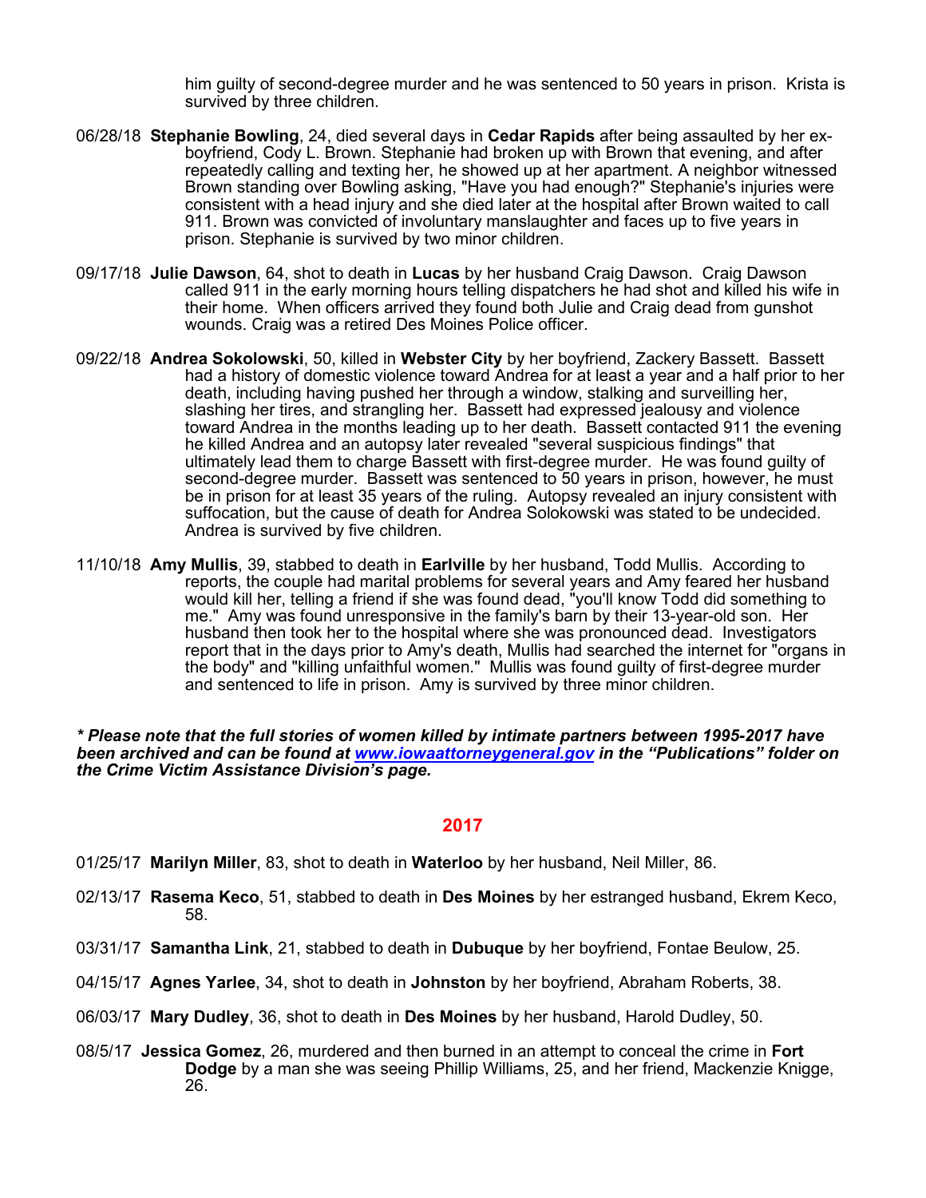him guilty of second-degree murder and he was sentenced to 50 years in prison. Krista is survived by three children.

- 06/28/18 **Stephanie Bowling**, 24, died several days in **Cedar Rapids** after being assaulted by her exboyfriend, Cody L. Brown. Stephanie had broken up with Brown that evening, and after repeatedly calling and texting her, he showed up at her apartment. A neighbor witnessed Brown standing over Bowling asking, "Have you had enough?" Stephanie's injuries were consistent with a head injury and she died later at the hospital after Brown waited to call 911. Brown was convicted of involuntary manslaughter and faces up to five years in prison. Stephanie is survived by two minor children.
- 09/17/18 **Julie Dawson**, 64, shot to death in **Lucas** by her husband Craig Dawson. Craig Dawson called 911 in the early morning hours telling dispatchers he had shot and killed his wife in their home. When officers arrived they found both Julie and Craig dead from gunshot wounds. Craig was a retired Des Moines Police officer.
- 09/22/18 **Andrea Sokolowski**, 50, killed in **Webster City** by her boyfriend, Zackery Bassett. Bassett had a history of domestic violence toward Andrea for at least a year and a half prior to her death, including having pushed her through a window, stalking and surveilling her, slashing her tires, and strangling her. Bassett had expressed jealousy and violence toward Andrea in the months leading up to her death. Bassett contacted 911 the evening he killed Andrea and an autopsy later revealed "several suspicious findings" that ultimately lead them to charge Bassett with first-degree murder. He was found guilty of second-degree murder. Bassett was sentenced to 50 years in prison, however, he must be in prison for at least 35 years of the ruling. Autopsy revealed an injury consistent with suffocation, but the cause of death for Andrea Solokowski was stated to be undecided. Andrea is survived by five children.
- 11/10/18 **Amy Mullis**, 39, stabbed to death in **Earlville** by her husband, Todd Mullis. According to reports, the couple had marital problems for several years and Amy feared her husband would kill her, telling a friend if she was found dead, "you'll know Todd did something to me." Amy was found unresponsive in the family's barn by their 13-year-old son. Her husband then took her to the hospital where she was pronounced dead. Investigators report that in the days prior to Amy's death, Mullis had searched the internet for "organs in the body" and "killing unfaithful women." Mullis was found guilty of first-degree murder and sentenced to life in prison. Amy is survived by three minor children.

*\* Please note that the full stories of women killed by intimate partners between 1995-2017 have been archived and can be found at [www.iowaattorneygeneral.gov](http://www.iowaattorneygeneral.gov/) in the "Publications" folder on the Crime Victim Assistance Division's page.*

- 01/25/17 **Marilyn Miller**, 83, shot to death in **Waterloo** by her husband, Neil Miller, 86.
- 02/13/17 **Rasema Keco**, 51, stabbed to death in **Des Moines** by her estranged husband, Ekrem Keco, 58.
- 03/31/17 **Samantha Link**, 21, stabbed to death in **Dubuque** by her boyfriend, Fontae Beulow, 25.
- 04/15/17 **Agnes Yarlee**, 34, shot to death in **Johnston** by her boyfriend, Abraham Roberts, 38.
- 06/03/17 **Mary Dudley**, 36, shot to death in **Des Moines** by her husband, Harold Dudley, 50.
- 08/5/17 **Jessica Gomez**, 26, murdered and then burned in an attempt to conceal the crime in **Fort Dodge** by a man she was seeing Phillip Williams, 25, and her friend, Mackenzie Knigge, 26.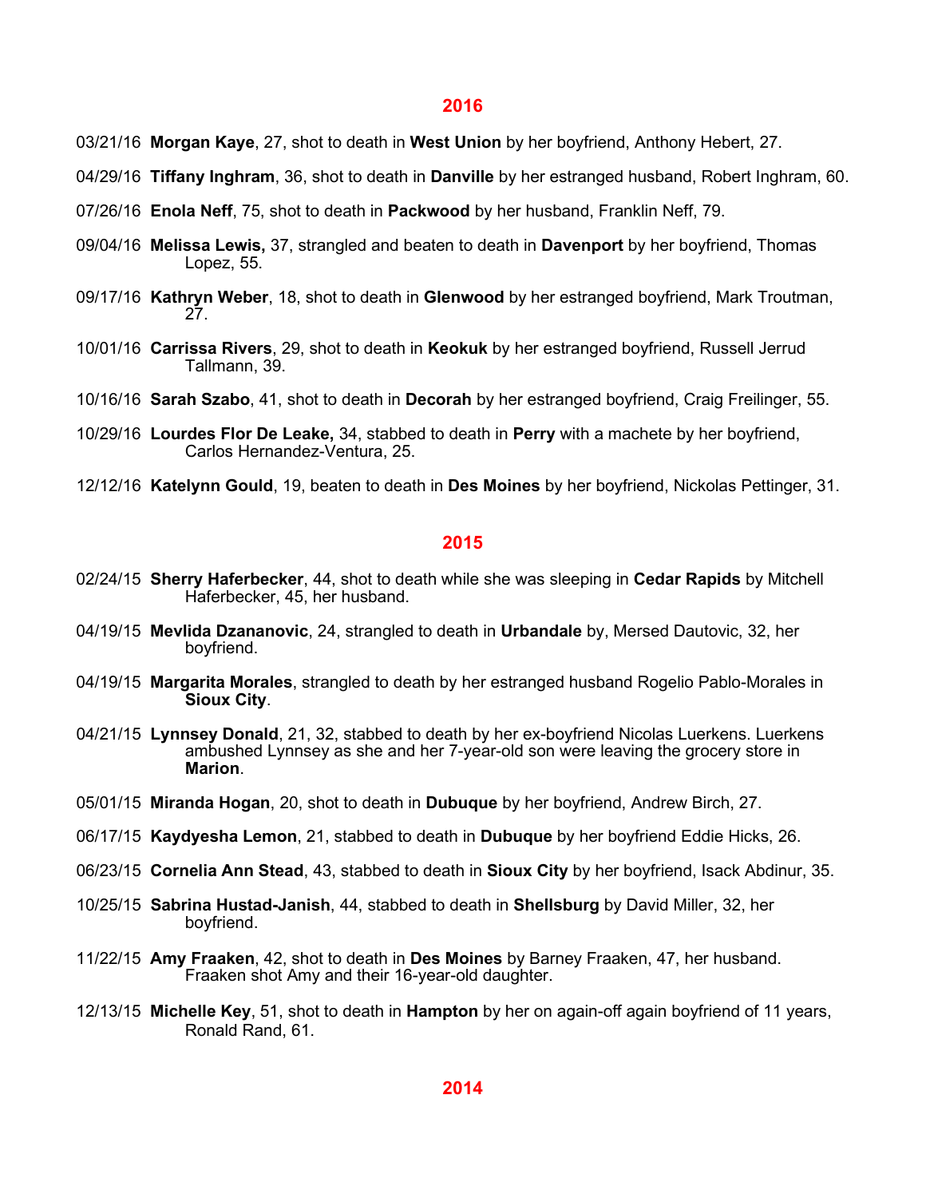- 03/21/16 **Morgan Kaye**, 27, shot to death in **West Union** by her boyfriend, Anthony Hebert, 27.
- 04/29/16 **Tiffany Inghram**, 36, shot to death in **Danville** by her estranged husband, Robert Inghram, 60.
- 07/26/16 **Enola Neff**, 75, shot to death in **Packwood** by her husband, Franklin Neff, 79.
- 09/04/16 **Melissa Lewis,** 37, strangled and beaten to death in **Davenport** by her boyfriend, Thomas Lopez, 55.
- 09/17/16 **Kathryn Weber**, 18, shot to death in **Glenwood** by her estranged boyfriend, Mark Troutman, 27.
- 10/01/16 **Carrissa Rivers**, 29, shot to death in **Keokuk** by her estranged boyfriend, Russell Jerrud Tallmann, 39.
- 10/16/16 **Sarah Szabo**, 41, shot to death in **Decorah** by her estranged boyfriend, Craig Freilinger, 55.
- 10/29/16 **Lourdes Flor De Leake,** 34, stabbed to death in **Perry** with a machete by her boyfriend, Carlos Hernandez-Ventura, 25.
- 12/12/16 **Katelynn Gould**, 19, beaten to death in **Des Moines** by her boyfriend, Nickolas Pettinger, 31.

- 02/24/15 **Sherry Haferbecker**, 44, shot to death while she was sleeping in **Cedar Rapids** by Mitchell Haferbecker, 45, her husband.
- 04/19/15 **Mevlida Dzananovic**, 24, strangled to death in **Urbandale** by, Mersed Dautovic, 32, her boyfriend.
- 04/19/15 **Margarita Morales**, strangled to death by her estranged husband Rogelio Pablo-Morales in **Sioux City**.
- 04/21/15 **Lynnsey Donald**, 21, 32, stabbed to death by her ex-boyfriend Nicolas Luerkens. Luerkens ambushed Lynnsey as she and her 7-year-old son were leaving the grocery store in **Marion**.
- 05/01/15 **Miranda Hogan**, 20, shot to death in **Dubuque** by her boyfriend, Andrew Birch, 27.
- 06/17/15 **Kaydyesha Lemon**, 21, stabbed to death in **Dubuque** by her boyfriend Eddie Hicks, 26.
- 06/23/15 **Cornelia Ann Stead**, 43, stabbed to death in **Sioux City** by her boyfriend, Isack Abdinur, 35.
- 10/25/15 **Sabrina Hustad-Janish**, 44, stabbed to death in **Shellsburg** by David Miller, 32, her boyfriend.
- 11/22/15 **Amy Fraaken**, 42, shot to death in **Des Moines** by Barney Fraaken, 47, her husband. Fraaken shot Amy and their 16-year-old daughter.
- 12/13/15 **Michelle Key**, 51, shot to death in **Hampton** by her on again-off again boyfriend of 11 years, Ronald Rand, 61.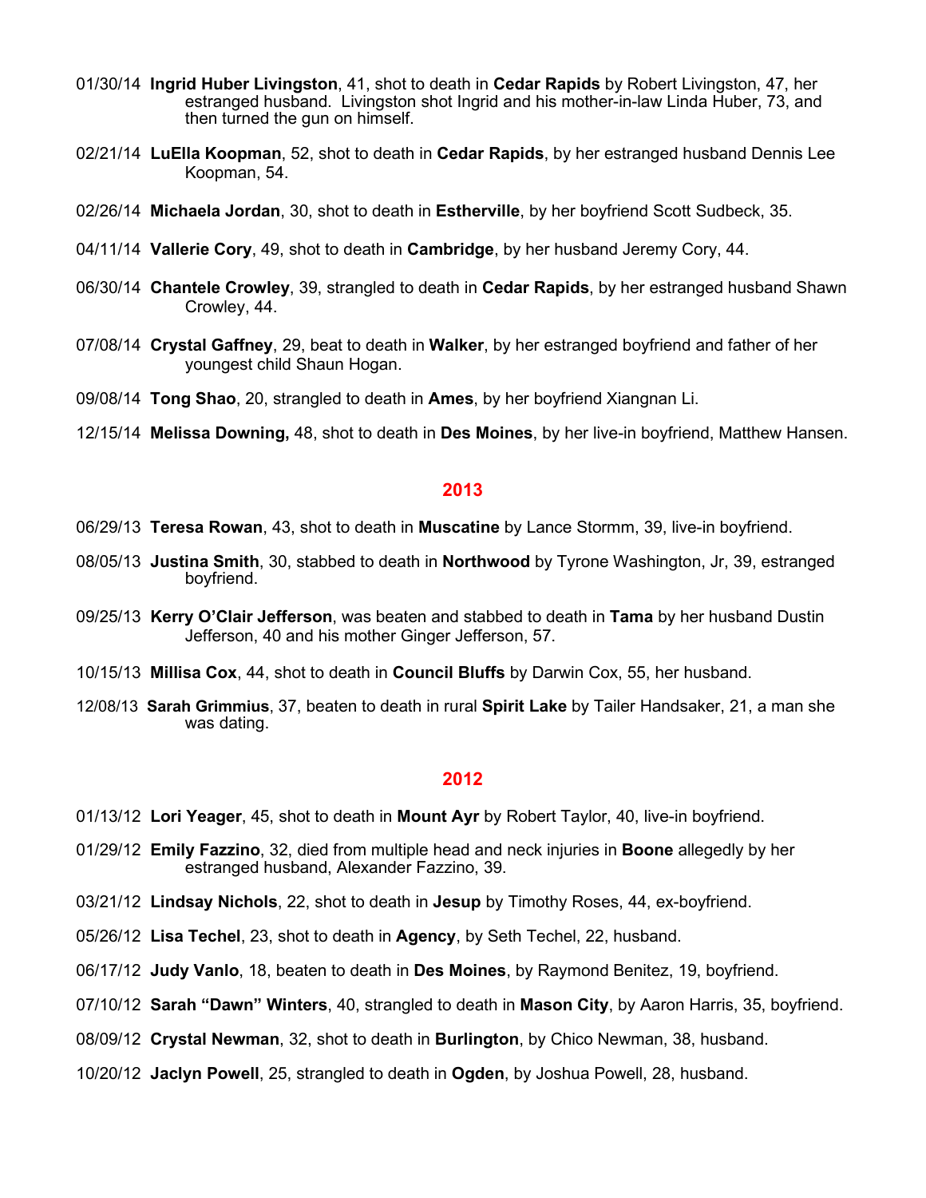- 01/30/14 **Ingrid Huber Livingston**, 41, shot to death in **Cedar Rapids** by Robert Livingston, 47, her estranged husband. Livingston shot Ingrid and his mother-in-law Linda Huber, 73, and then turned the gun on himself.
- 02/21/14 **LuElla Koopman**, 52, shot to death in **Cedar Rapids**, by her estranged husband Dennis Lee Koopman, 54.
- 02/26/14 **Michaela Jordan**, 30, shot to death in **Estherville**, by her boyfriend Scott Sudbeck, 35.
- 04/11/14 **Vallerie Cory**, 49, shot to death in **Cambridge**, by her husband Jeremy Cory, 44.
- 06/30/14 **Chantele Crowley**, 39, strangled to death in **Cedar Rapids**, by her estranged husband Shawn Crowley, 44.
- 07/08/14 **Crystal Gaffney**, 29, beat to death in **Walker**, by her estranged boyfriend and father of her youngest child Shaun Hogan.
- 09/08/14 **Tong Shao**, 20, strangled to death in **Ames**, by her boyfriend Xiangnan Li.
- 12/15/14 **Melissa Downing,** 48, shot to death in **Des Moines**, by her live-in boyfriend, Matthew Hansen.

- 06/29/13 **Teresa Rowan**, 43, shot to death in **Muscatine** by Lance Stormm, 39, live-in boyfriend.
- 08/05/13 **Justina Smith**, 30, stabbed to death in **Northwood** by Tyrone Washington, Jr, 39, estranged boyfriend.
- 09/25/13 **Kerry O'Clair Jefferson**, was beaten and stabbed to death in **Tama** by her husband Dustin Jefferson, 40 and his mother Ginger Jefferson, 57.
- 10/15/13 **Millisa Cox**, 44, shot to death in **Council Bluffs** by Darwin Cox, 55, her husband.
- 12/08/13 **Sarah Grimmius**, 37, beaten to death in rural **Spirit Lake** by Tailer Handsaker, 21, a man she was dating.

- 01/13/12 **Lori Yeager**, 45, shot to death in **Mount Ayr** by Robert Taylor, 40, live-in boyfriend.
- 01/29/12 **Emily Fazzino**, 32, died from multiple head and neck injuries in **Boone** allegedly by her estranged husband, Alexander Fazzino, 39.
- 03/21/12 **Lindsay Nichols**, 22, shot to death in **Jesup** by Timothy Roses, 44, ex-boyfriend.
- 05/26/12 **Lisa Techel**, 23, shot to death in **Agency**, by Seth Techel, 22, husband.
- 06/17/12 **Judy Vanlo**, 18, beaten to death in **Des Moines**, by Raymond Benitez, 19, boyfriend.
- 07/10/12 **Sarah "Dawn" Winters**, 40, strangled to death in **Mason City**, by Aaron Harris, 35, boyfriend.
- 08/09/12 **Crystal Newman**, 32, shot to death in **Burlington**, by Chico Newman, 38, husband.
- 10/20/12 **Jaclyn Powell**, 25, strangled to death in **Ogden**, by Joshua Powell, 28, husband.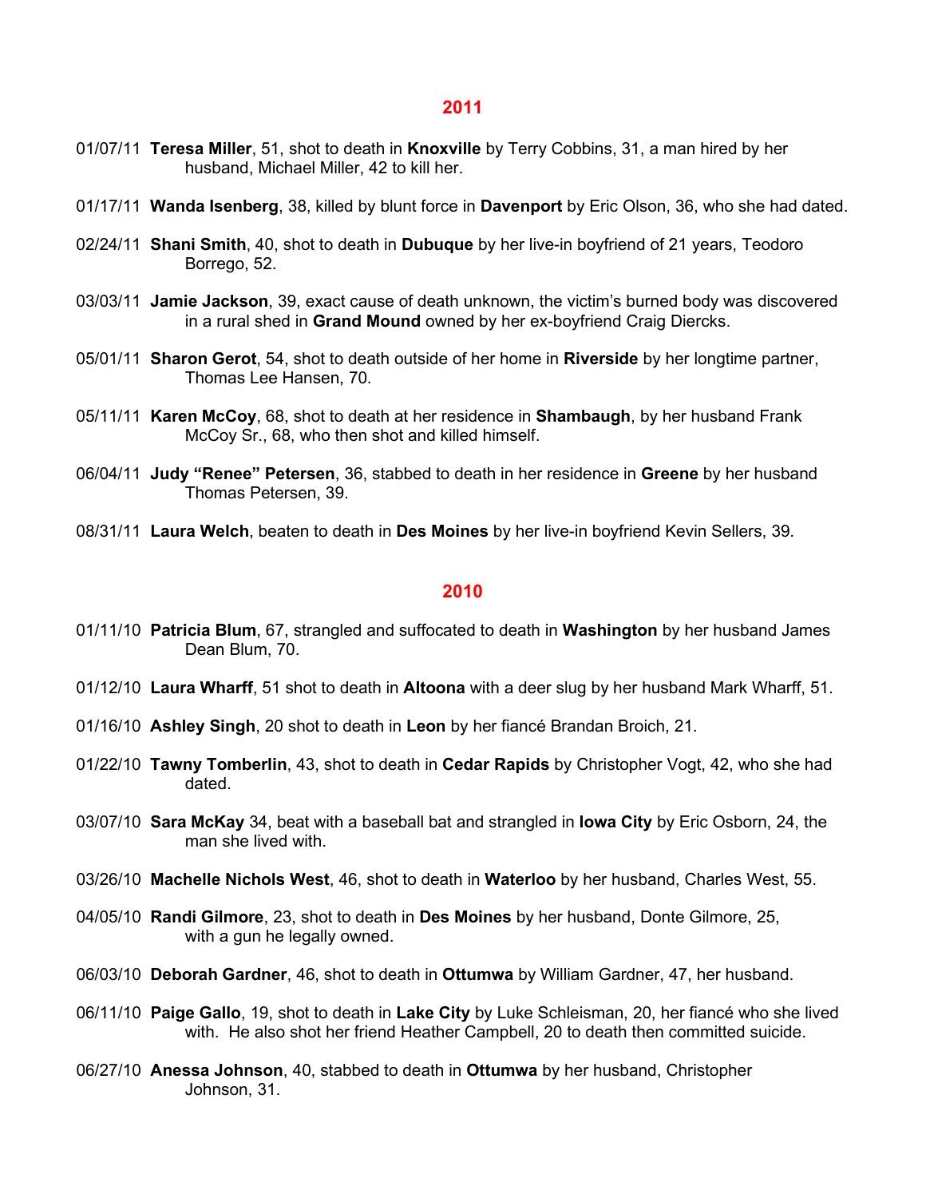- 01/07/11 **Teresa Miller**, 51, shot to death in **Knoxville** by Terry Cobbins, 31, a man hired by her husband, Michael Miller, 42 to kill her.
- 01/17/11 **Wanda Isenberg**, 38, killed by blunt force in **Davenport** by Eric Olson, 36, who she had dated.
- 02/24/11 **Shani Smith**, 40, shot to death in **Dubuque** by her live-in boyfriend of 21 years, Teodoro Borrego, 52.
- 03/03/11 **Jamie Jackson**, 39, exact cause of death unknown, the victim's burned body was discovered in a rural shed in **Grand Mound** owned by her ex-boyfriend Craig Diercks.
- 05/01/11 **Sharon Gerot**, 54, shot to death outside of her home in **Riverside** by her longtime partner, Thomas Lee Hansen, 70.
- 05/11/11 **Karen McCoy**, 68, shot to death at her residence in **Shambaugh**, by her husband Frank McCoy Sr., 68, who then shot and killed himself.
- 06/04/11 **Judy "Renee" Petersen**, 36, stabbed to death in her residence in **Greene** by her husband Thomas Petersen, 39.
- 08/31/11 **Laura Welch**, beaten to death in **Des Moines** by her live-in boyfriend Kevin Sellers, 39.

- 01/11/10 **Patricia Blum**, 67, strangled and suffocated to death in **Washington** by her husband James Dean Blum, 70.
- 01/12/10 **Laura Wharff**, 51 shot to death in **Altoona** with a deer slug by her husband Mark Wharff, 51.
- 01/16/10 **Ashley Singh**, 20 shot to death in **Leon** by her fiancé Brandan Broich, 21.
- 01/22/10 **Tawny Tomberlin**, 43, shot to death in **Cedar Rapids** by Christopher Vogt, 42, who she had dated.
- 03/07/10 **Sara McKay** 34, beat with a baseball bat and strangled in **Iowa City** by Eric Osborn, 24, the man she lived with.
- 03/26/10 **Machelle Nichols West**, 46, shot to death in **Waterloo** by her husband, Charles West, 55.
- 04/05/10 **Randi Gilmore**, 23, shot to death in **Des Moines** by her husband, Donte Gilmore, 25, with a gun he legally owned.
- 06/03/10 **Deborah Gardner**, 46, shot to death in **Ottumwa** by William Gardner, 47, her husband.
- 06/11/10 **Paige Gallo**, 19, shot to death in **Lake City** by Luke Schleisman, 20, her fiancé who she lived with. He also shot her friend Heather Campbell, 20 to death then committed suicide.
- 06/27/10 **Anessa Johnson**, 40, stabbed to death in **Ottumwa** by her husband, Christopher Johnson, 31.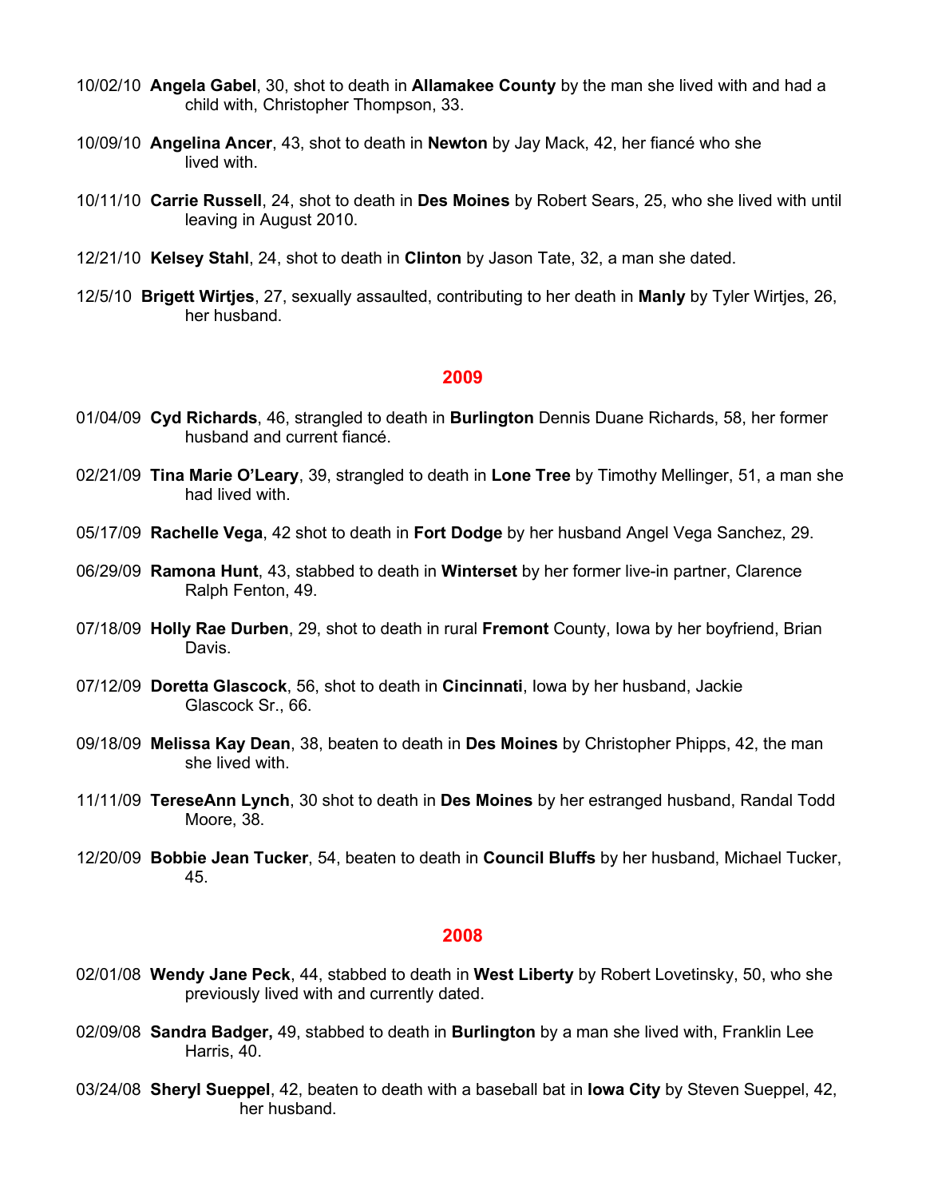- 10/02/10 **Angela Gabel**, 30, shot to death in **Allamakee County** by the man she lived with and had a child with, Christopher Thompson, 33.
- 10/09/10 **Angelina Ancer**, 43, shot to death in **Newton** by Jay Mack, 42, her fiancé who she lived with
- 10/11/10 **Carrie Russell**, 24, shot to death in **Des Moines** by Robert Sears, 25, who she lived with until leaving in August 2010.
- 12/21/10 **Kelsey Stahl**, 24, shot to death in **Clinton** by Jason Tate, 32, a man she dated.
- 12/5/10 **Brigett Wirtjes**, 27, sexually assaulted, contributing to her death in **Manly** by Tyler Wirtjes, 26, her husband.

- 01/04/09 **Cyd Richards**, 46, strangled to death in **Burlington** Dennis Duane Richards, 58, her former husband and current fiancé.
- 02/21/09 **Tina Marie O'Leary**, 39, strangled to death in **Lone Tree** by Timothy Mellinger, 51, a man she had lived with.
- 05/17/09 **Rachelle Vega**, 42 shot to death in **Fort Dodge** by her husband Angel Vega Sanchez, 29.
- 06/29/09 **Ramona Hunt**, 43, stabbed to death in **Winterset** by her former live-in partner, Clarence Ralph Fenton, 49.
- 07/18/09 **Holly Rae Durben**, 29, shot to death in rural **Fremont** County, Iowa by her boyfriend, Brian Davis.
- 07/12/09 **Doretta Glascock**, 56, shot to death in **Cincinnati**, Iowa by her husband, Jackie Glascock Sr., 66.
- 09/18/09 **Melissa Kay Dean**, 38, beaten to death in **Des Moines** by Christopher Phipps, 42, the man she lived with.
- 11/11/09 **TereseAnn Lynch**, 30 shot to death in **Des Moines** by her estranged husband, Randal Todd Moore, 38.
- 12/20/09 **Bobbie Jean Tucker**, 54, beaten to death in **Council Bluffs** by her husband, Michael Tucker, 45.

- 02/01/08 **Wendy Jane Peck**, 44, stabbed to death in **West Liberty** by Robert Lovetinsky, 50, who she previously lived with and currently dated.
- 02/09/08 **Sandra Badger,** 49, stabbed to death in **Burlington** by a man she lived with, Franklin Lee Harris, 40.
- 03/24/08 **Sheryl Sueppel**, 42, beaten to death with a baseball bat in **Iowa City** by Steven Sueppel, 42, her husband.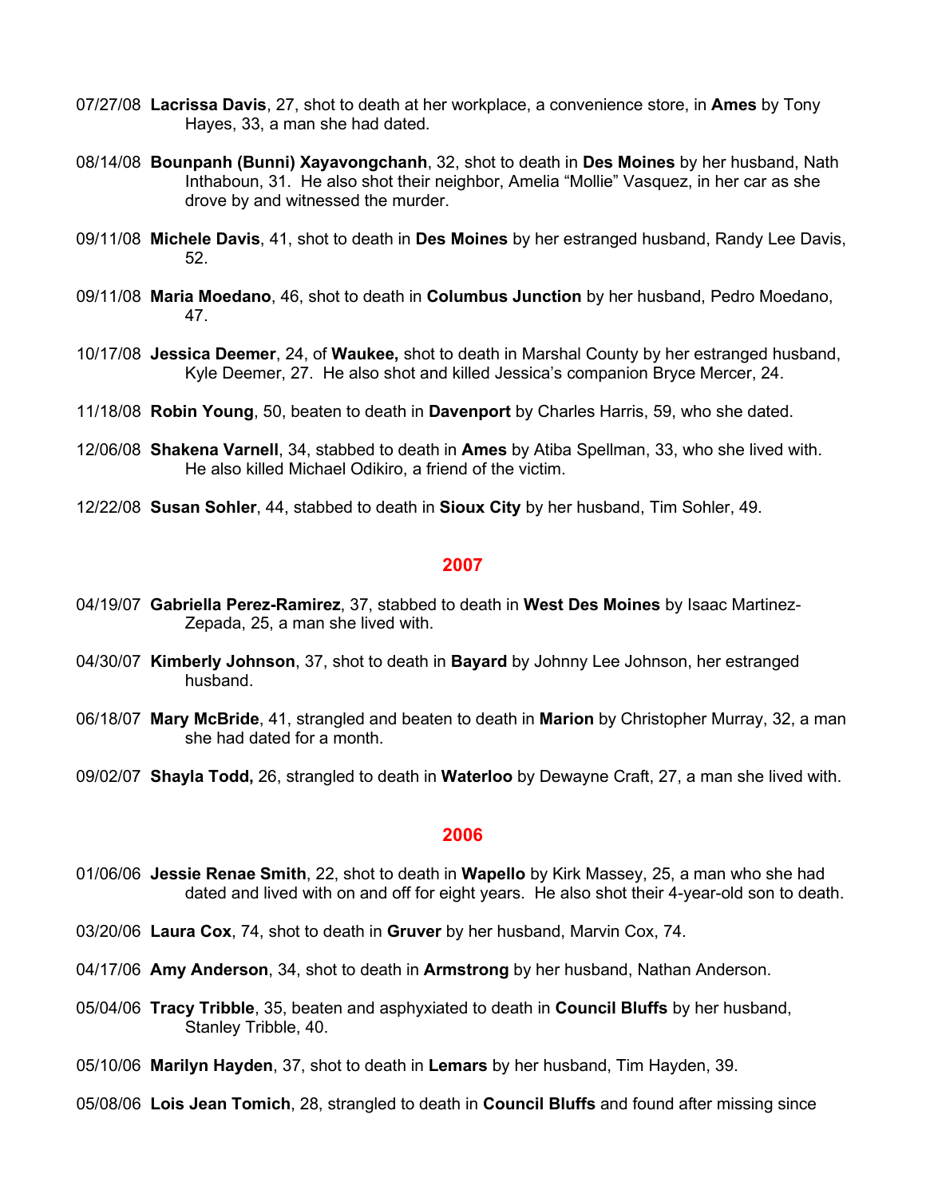- 07/27/08 **Lacrissa Davis**, 27, shot to death at her workplace, a convenience store, in **Ames** by Tony Hayes, 33, a man she had dated.
- 08/14/08 **Bounpanh (Bunni) Xayavongchanh**, 32, shot to death in **Des Moines** by her husband, Nath Inthaboun, 31. He also shot their neighbor, Amelia "Mollie" Vasquez, in her car as she drove by and witnessed the murder.
- 09/11/08 **Michele Davis**, 41, shot to death in **Des Moines** by her estranged husband, Randy Lee Davis, 52.
- 09/11/08 **Maria Moedano**, 46, shot to death in **Columbus Junction** by her husband, Pedro Moedano, 47.
- 10/17/08 **Jessica Deemer**, 24, of **Waukee,** shot to death in Marshal County by her estranged husband, Kyle Deemer, 27. He also shot and killed Jessica's companion Bryce Mercer, 24.
- 11/18/08 **Robin Young**, 50, beaten to death in **Davenport** by Charles Harris, 59, who she dated.
- 12/06/08 **Shakena Varnell**, 34, stabbed to death in **Ames** by Atiba Spellman, 33, who she lived with. He also killed Michael Odikiro, a friend of the victim.
- 12/22/08 **Susan Sohler**, 44, stabbed to death in **Sioux City** by her husband, Tim Sohler, 49.

- 04/19/07 **Gabriella Perez-Ramirez**, 37, stabbed to death in **West Des Moines** by Isaac Martinez-Zepada, 25, a man she lived with.
- 04/30/07 **Kimberly Johnson**, 37, shot to death in **Bayard** by Johnny Lee Johnson, her estranged husband.
- 06/18/07 **Mary McBride**, 41, strangled and beaten to death in **Marion** by Christopher Murray, 32, a man she had dated for a month.
- 09/02/07 **Shayla Todd,** 26, strangled to death in **Waterloo** by Dewayne Craft, 27, a man she lived with.

- 01/06/06 **Jessie Renae Smith**, 22, shot to death in **Wapello** by Kirk Massey, 25, a man who she had dated and lived with on and off for eight years. He also shot their 4-year-old son to death.
- 03/20/06 **Laura Cox**, 74, shot to death in **Gruver** by her husband, Marvin Cox, 74.
- 04/17/06 **Amy Anderson**, 34, shot to death in **Armstrong** by her husband, Nathan Anderson.
- 05/04/06 **Tracy Tribble**, 35, beaten and asphyxiated to death in **Council Bluffs** by her husband, Stanley Tribble, 40.
- 05/10/06 **Marilyn Hayden**, 37, shot to death in **Lemars** by her husband, Tim Hayden, 39.
- 05/08/06 **Lois Jean Tomich**, 28, strangled to death in **Council Bluffs** and found after missing since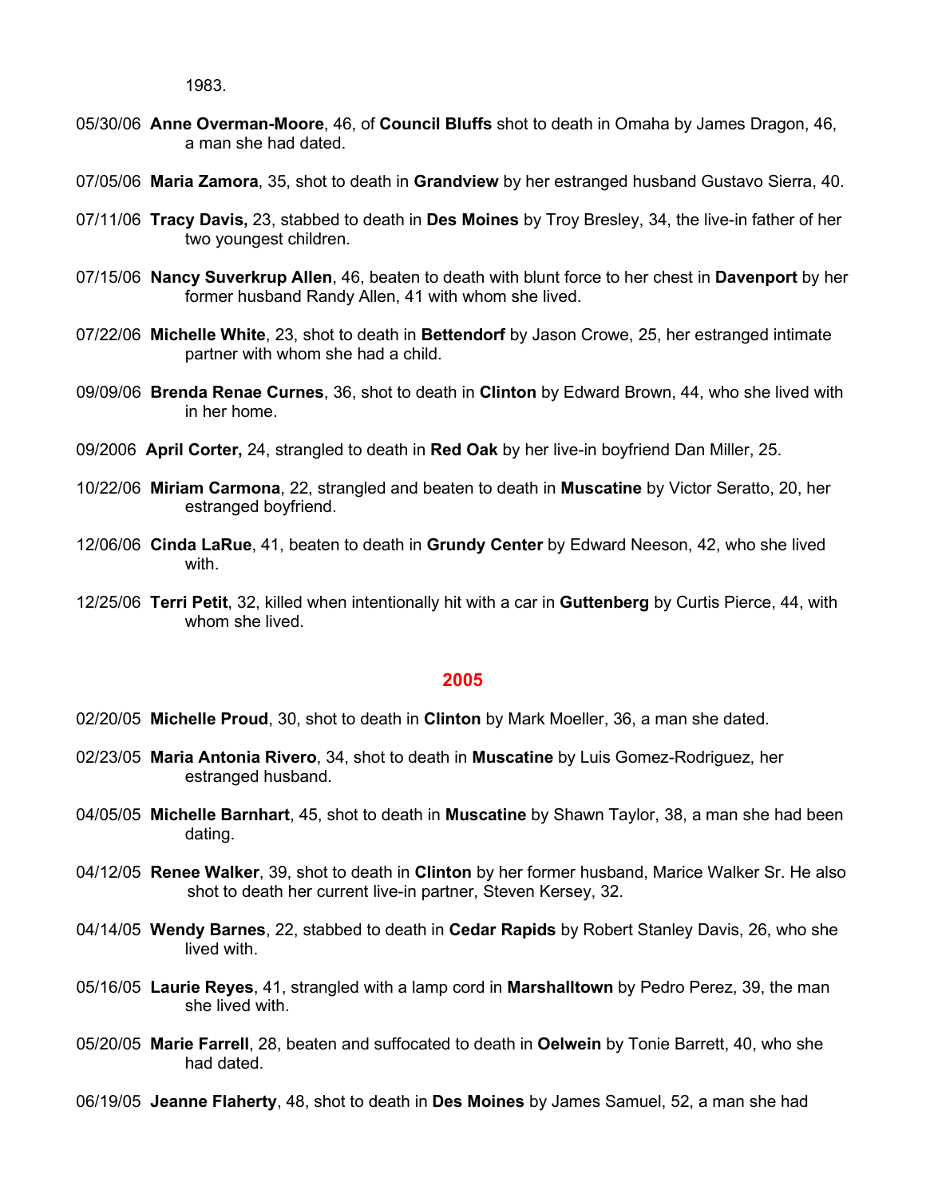1983.

- 05/30/06 **Anne Overman-Moore**, 46, of **Council Bluffs** shot to death in Omaha by James Dragon, 46, a man she had dated.
- 07/05/06 **Maria Zamora**, 35, shot to death in **Grandview** by her estranged husband Gustavo Sierra, 40.
- 07/11/06 **Tracy Davis,** 23, stabbed to death in **Des Moines** by Troy Bresley, 34, the live-in father of her two youngest children.
- 07/15/06 **Nancy Suverkrup Allen**, 46, beaten to death with blunt force to her chest in **Davenport** by her former husband Randy Allen, 41 with whom she lived.
- 07/22/06 **Michelle White**, 23, shot to death in **Bettendorf** by Jason Crowe, 25, her estranged intimate partner with whom she had a child.
- 09/09/06 **Brenda Renae Curnes**, 36, shot to death in **Clinton** by Edward Brown, 44, who she lived with in her home.
- 09/2006 **April Corter,** 24, strangled to death in **Red Oak** by her live-in boyfriend Dan Miller, 25.
- 10/22/06 **Miriam Carmona**, 22, strangled and beaten to death in **Muscatine** by Victor Seratto, 20, her estranged boyfriend.
- 12/06/06 **Cinda LaRue**, 41, beaten to death in **Grundy Center** by Edward Neeson, 42, who she lived with.
- 12/25/06 **Terri Petit**, 32, killed when intentionally hit with a car in **Guttenberg** by Curtis Pierce, 44, with whom she lived.

- 02/20/05 **Michelle Proud**, 30, shot to death in **Clinton** by Mark Moeller, 36, a man she dated.
- 02/23/05 **Maria Antonia Rivero**, 34, shot to death in **Muscatine** by Luis Gomez-Rodriguez, her estranged husband.
- 04/05/05 **Michelle Barnhart**, 45, shot to death in **Muscatine** by Shawn Taylor, 38, a man she had been dating.
- 04/12/05 **Renee Walker**, 39, shot to death in **Clinton** by her former husband, Marice Walker Sr. He also shot to death her current live-in partner, Steven Kersey, 32.
- 04/14/05 **Wendy Barnes**, 22, stabbed to death in **Cedar Rapids** by Robert Stanley Davis, 26, who she lived with.
- 05/16/05 **Laurie Reyes**, 41, strangled with a lamp cord in **Marshalltown** by Pedro Perez, 39, the man she lived with.
- 05/20/05 **Marie Farrell**, 28, beaten and suffocated to death in **Oelwein** by Tonie Barrett, 40, who she had dated.
- 06/19/05 **Jeanne Flaherty**, 48, shot to death in **Des Moines** by James Samuel, 52, a man she had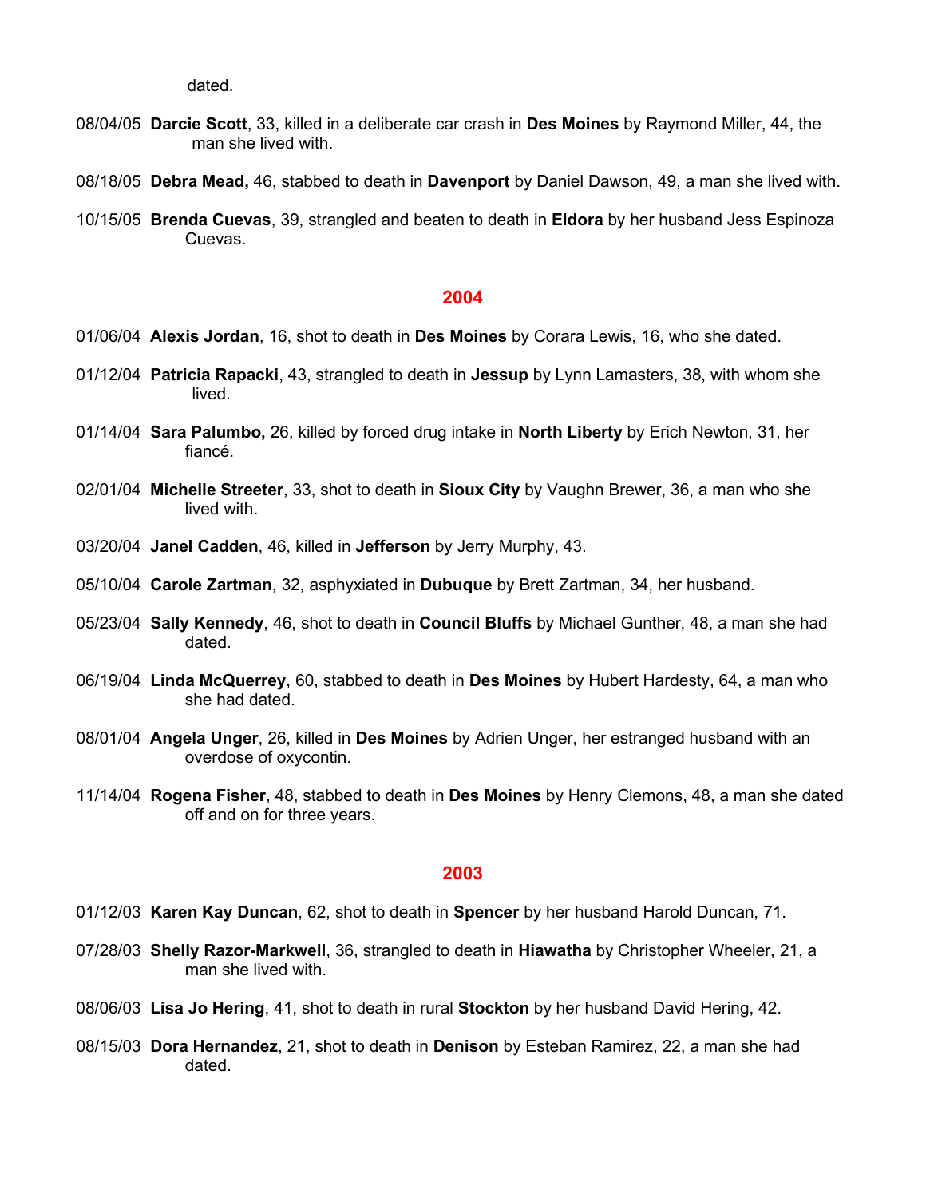dated.

- 08/04/05 **Darcie Scott**, 33, killed in a deliberate car crash in **Des Moines** by Raymond Miller, 44, the man she lived with.
- 08/18/05 **Debra Mead,** 46, stabbed to death in **Davenport** by Daniel Dawson, 49, a man she lived with.
- 10/15/05 **Brenda Cuevas**, 39, strangled and beaten to death in **Eldora** by her husband Jess Espinoza Cuevas.

#### **2004**

- 01/06/04 **Alexis Jordan**, 16, shot to death in **Des Moines** by Corara Lewis, 16, who she dated.
- 01/12/04 **Patricia Rapacki**, 43, strangled to death in **Jessup** by Lynn Lamasters, 38, with whom she lived.
- 01/14/04 **Sara Palumbo,** 26, killed by forced drug intake in **North Liberty** by Erich Newton, 31, her fiancé.
- 02/01/04 **Michelle Streeter**, 33, shot to death in **Sioux City** by Vaughn Brewer, 36, a man who she lived with.
- 03/20/04 **Janel Cadden**, 46, killed in **Jefferson** by Jerry Murphy, 43.
- 05/10/04 **Carole Zartman**, 32, asphyxiated in **Dubuque** by Brett Zartman, 34, her husband.
- 05/23/04 **Sally Kennedy**, 46, shot to death in **Council Bluffs** by Michael Gunther, 48, a man she had dated.
- 06/19/04 **Linda McQuerrey**, 60, stabbed to death in **Des Moines** by Hubert Hardesty, 64, a man who she had dated.
- 08/01/04 **Angela Unger**, 26, killed in **Des Moines** by Adrien Unger, her estranged husband with an overdose of oxycontin.
- 11/14/04 **Rogena Fisher**, 48, stabbed to death in **Des Moines** by Henry Clemons, 48, a man she dated off and on for three years.

- 01/12/03 **Karen Kay Duncan**, 62, shot to death in **Spencer** by her husband Harold Duncan, 71.
- 07/28/03 **Shelly Razor-Markwell**, 36, strangled to death in **Hiawatha** by Christopher Wheeler, 21, a man she lived with.
- 08/06/03 **Lisa Jo Hering**, 41, shot to death in rural **Stockton** by her husband David Hering, 42.
- 08/15/03 **Dora Hernandez**, 21, shot to death in **Denison** by Esteban Ramirez, 22, a man she had dated.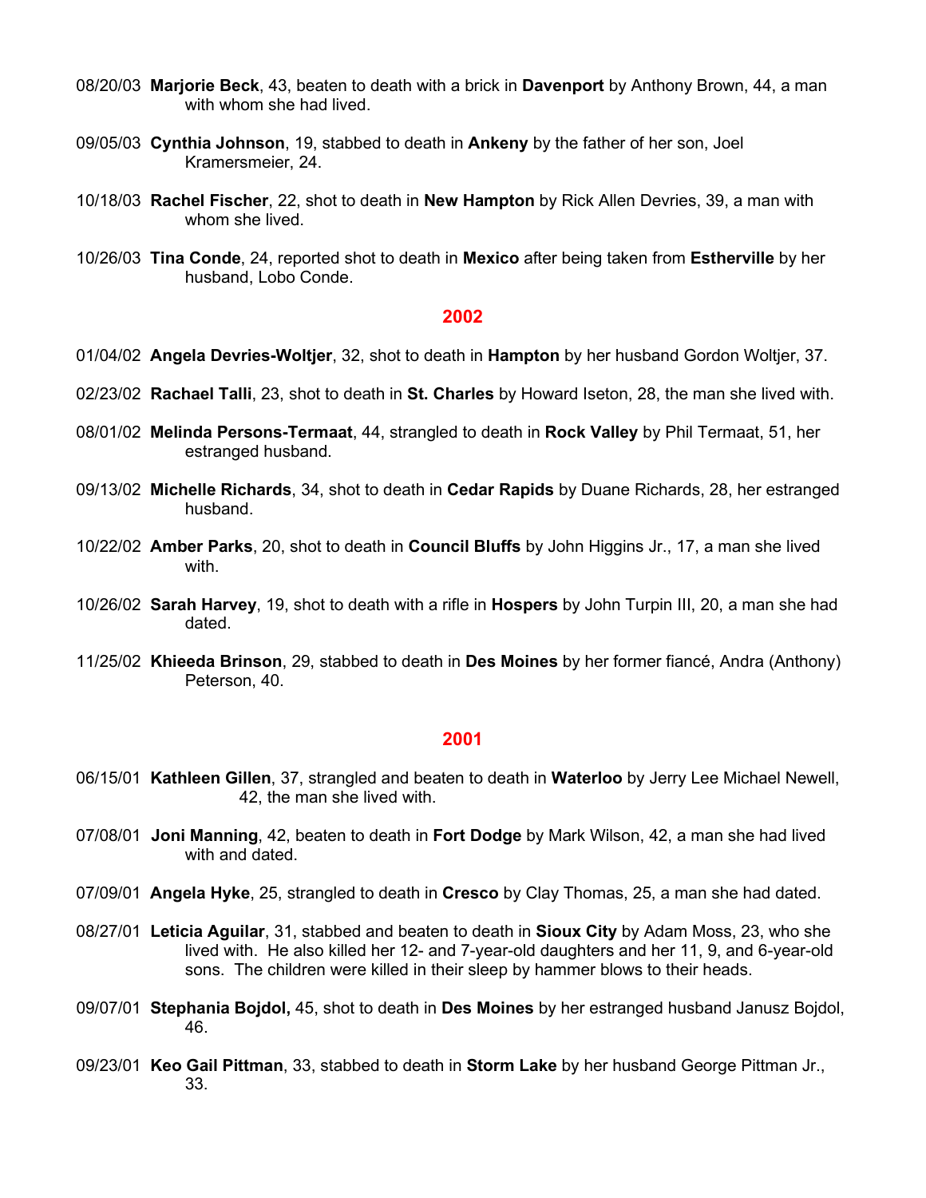- 08/20/03 **Marjorie Beck**, 43, beaten to death with a brick in **Davenport** by Anthony Brown, 44, a man with whom she had lived.
- 09/05/03 **Cynthia Johnson**, 19, stabbed to death in **Ankeny** by the father of her son, Joel Kramersmeier, 24.
- 10/18/03 **Rachel Fischer**, 22, shot to death in **New Hampton** by Rick Allen Devries, 39, a man with whom she lived.
- 10/26/03 **Tina Conde**, 24, reported shot to death in **Mexico** after being taken from **Estherville** by her husband, Lobo Conde.

- 01/04/02 **Angela Devries-Woltjer**, 32, shot to death in **Hampton** by her husband Gordon Woltjer, 37.
- 02/23/02 **Rachael Talli**, 23, shot to death in **St. Charles** by Howard Iseton, 28, the man she lived with.
- 08/01/02 **Melinda Persons-Termaat**, 44, strangled to death in **Rock Valley** by Phil Termaat, 51, her estranged husband.
- 09/13/02 **Michelle Richards**, 34, shot to death in **Cedar Rapids** by Duane Richards, 28, her estranged husband.
- 10/22/02 **Amber Parks**, 20, shot to death in **Council Bluffs** by John Higgins Jr., 17, a man she lived with.
- 10/26/02 **Sarah Harvey**, 19, shot to death with a rifle in **Hospers** by John Turpin III, 20, a man she had dated.
- 11/25/02 **Khieeda Brinson**, 29, stabbed to death in **Des Moines** by her former fiancé, Andra (Anthony) Peterson, 40.

- 06/15/01 **Kathleen Gillen**, 37, strangled and beaten to death in **Waterloo** by Jerry Lee Michael Newell, 42, the man she lived with.
- 07/08/01 **Joni Manning**, 42, beaten to death in **Fort Dodge** by Mark Wilson, 42, a man she had lived with and dated.
- 07/09/01 **Angela Hyke**, 25, strangled to death in **Cresco** by Clay Thomas, 25, a man she had dated.
- 08/27/01 **Leticia Aguilar**, 31, stabbed and beaten to death in **Sioux City** by Adam Moss, 23, who she lived with. He also killed her 12- and 7-year-old daughters and her 11, 9, and 6-year-old sons. The children were killed in their sleep by hammer blows to their heads.
- 09/07/01 **Stephania Bojdol,** 45, shot to death in **Des Moines** by her estranged husband Janusz Bojdol, 46.
- 09/23/01 **Keo Gail Pittman**, 33, stabbed to death in **Storm Lake** by her husband George Pittman Jr., 33.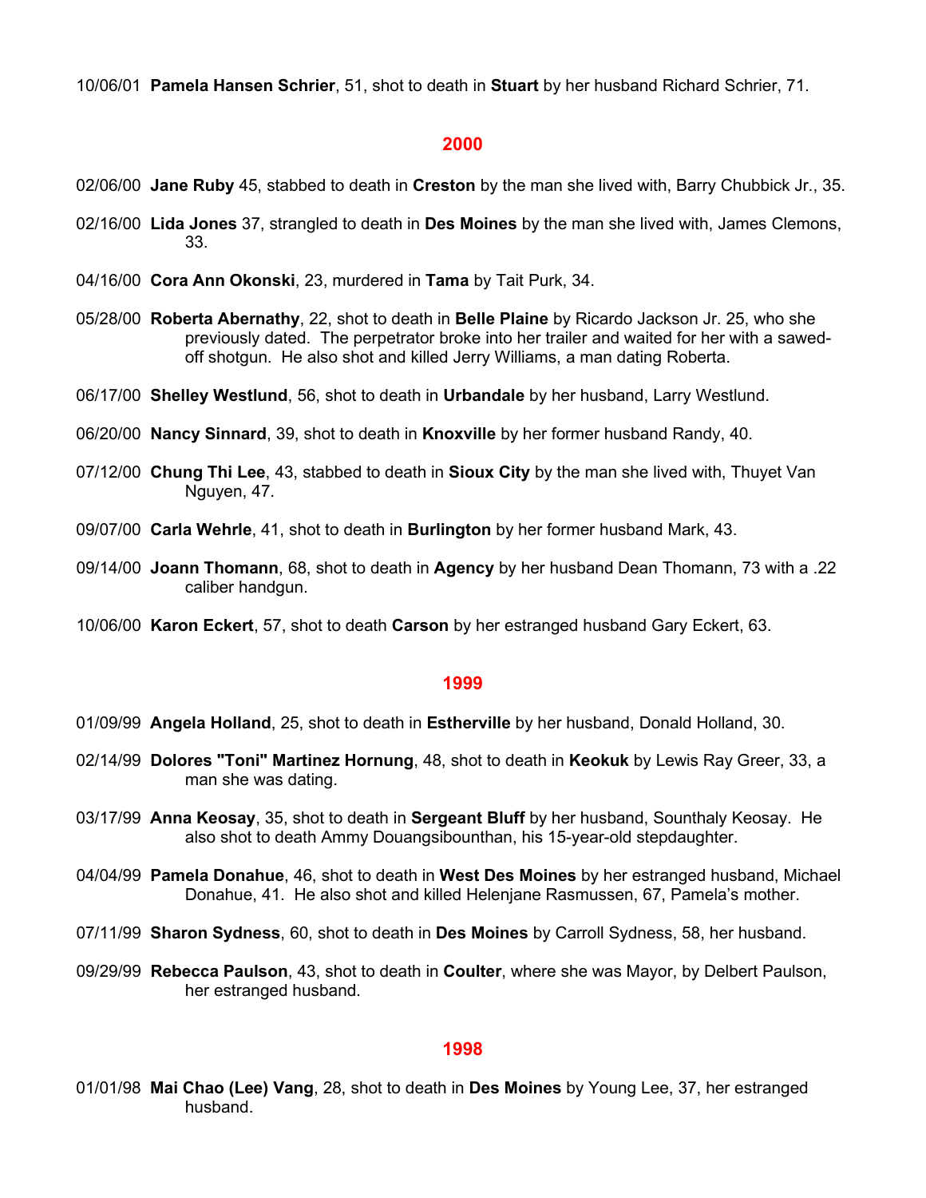10/06/01 **Pamela Hansen Schrier**, 51, shot to death in **Stuart** by her husband Richard Schrier, 71.

### **2000**

- 02/06/00 **Jane Ruby** 45, stabbed to death in **Creston** by the man she lived with, Barry Chubbick Jr., 35.
- 02/16/00 **Lida Jones** 37, strangled to death in **Des Moines** by the man she lived with, James Clemons, 33.
- 04/16/00 **Cora Ann Okonski**, 23, murdered in **Tama** by Tait Purk, 34.
- 05/28/00 **Roberta Abernathy**, 22, shot to death in **Belle Plaine** by Ricardo Jackson Jr. 25, who she previously dated. The perpetrator broke into her trailer and waited for her with a sawedoff shotgun. He also shot and killed Jerry Williams, a man dating Roberta.
- 06/17/00 **Shelley Westlund**, 56, shot to death in **Urbandale** by her husband, Larry Westlund.
- 06/20/00 **Nancy Sinnard**, 39, shot to death in **Knoxville** by her former husband Randy, 40.
- 07/12/00 **Chung Thi Lee**, 43, stabbed to death in **Sioux City** by the man she lived with, Thuyet Van Nguyen, 47.
- 09/07/00 **Carla Wehrle**, 41, shot to death in **Burlington** by her former husband Mark, 43.
- 09/14/00 **Joann Thomann**, 68, shot to death in **Agency** by her husband Dean Thomann, 73 with a .22 caliber handgun.
- 10/06/00 **Karon Eckert**, 57, shot to death **Carson** by her estranged husband Gary Eckert, 63.

#### **1999**

- 01/09/99 **Angela Holland**, 25, shot to death in **Estherville** by her husband, Donald Holland, 30.
- 02/14/99 **Dolores "Toni" Martinez Hornung**, 48, shot to death in **Keokuk** by Lewis Ray Greer, 33, a man she was dating.
- 03/17/99 **Anna Keosay**, 35, shot to death in **Sergeant Bluff** by her husband, Sounthaly Keosay. He also shot to death Ammy Douangsibounthan, his 15-year-old stepdaughter.
- 04/04/99 **Pamela Donahue**, 46, shot to death in **West Des Moines** by her estranged husband, Michael Donahue, 41. He also shot and killed Helenjane Rasmussen, 67, Pamela's mother.
- 07/11/99 **Sharon Sydness**, 60, shot to death in **Des Moines** by Carroll Sydness, 58, her husband.
- 09/29/99 **Rebecca Paulson**, 43, shot to death in **Coulter**, where she was Mayor, by Delbert Paulson, her estranged husband.

### **1998**

01/01/98 **Mai Chao (Lee) Vang**, 28, shot to death in **Des Moines** by Young Lee, 37, her estranged husband.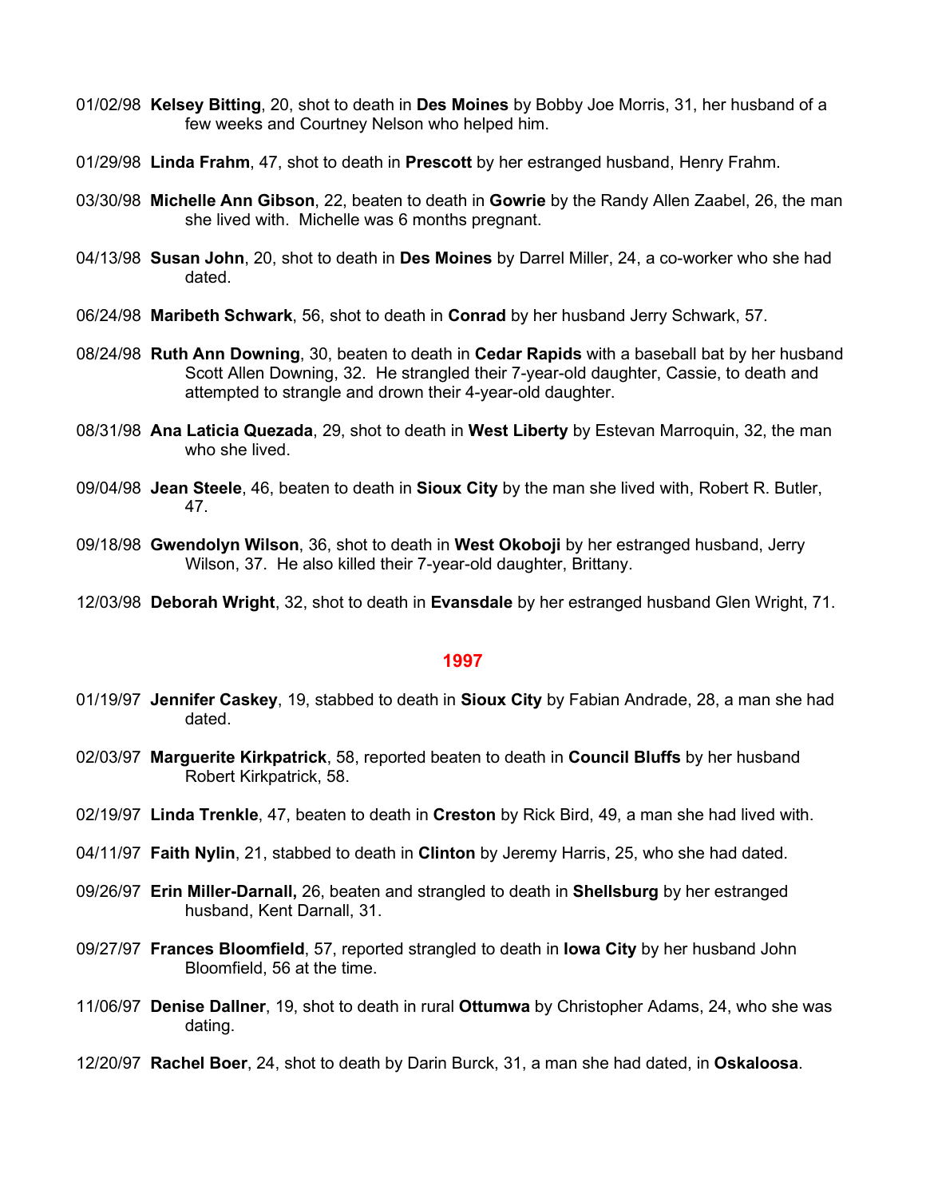- 01/02/98 **Kelsey Bitting**, 20, shot to death in **Des Moines** by Bobby Joe Morris, 31, her husband of a few weeks and Courtney Nelson who helped him.
- 01/29/98 **Linda Frahm**, 47, shot to death in **Prescott** by her estranged husband, Henry Frahm.
- 03/30/98 **Michelle Ann Gibson**, 22, beaten to death in **Gowrie** by the Randy Allen Zaabel, 26, the man she lived with. Michelle was 6 months pregnant.
- 04/13/98 **Susan John**, 20, shot to death in **Des Moines** by Darrel Miller, 24, a co-worker who she had dated.
- 06/24/98 **Maribeth Schwark**, 56, shot to death in **Conrad** by her husband Jerry Schwark, 57.
- 08/24/98 **Ruth Ann Downing**, 30, beaten to death in **Cedar Rapids** with a baseball bat by her husband Scott Allen Downing, 32. He strangled their 7-year-old daughter, Cassie, to death and attempted to strangle and drown their 4-year-old daughter.
- 08/31/98 **Ana Laticia Quezada**, 29, shot to death in **West Liberty** by Estevan Marroquin, 32, the man who she lived.
- 09/04/98 **Jean Steele**, 46, beaten to death in **Sioux City** by the man she lived with, Robert R. Butler, 47.
- 09/18/98 **Gwendolyn Wilson**, 36, shot to death in **West Okoboji** by her estranged husband, Jerry Wilson, 37. He also killed their 7-year-old daughter, Brittany.
- 12/03/98 **Deborah Wright**, 32, shot to death in **Evansdale** by her estranged husband Glen Wright, 71.

- 01/19/97 **Jennifer Caskey**, 19, stabbed to death in **Sioux City** by Fabian Andrade, 28, a man she had dated.
- 02/03/97 **Marguerite Kirkpatrick**, 58, reported beaten to death in **Council Bluffs** by her husband Robert Kirkpatrick, 58.
- 02/19/97 **Linda Trenkle**, 47, beaten to death in **Creston** by Rick Bird, 49, a man she had lived with.
- 04/11/97 **Faith Nylin**, 21, stabbed to death in **Clinton** by Jeremy Harris, 25, who she had dated.
- 09/26/97 **Erin Miller-Darnall,** 26, beaten and strangled to death in **Shellsburg** by her estranged husband, Kent Darnall, 31.
- 09/27/97 **Frances Bloomfield**, 57, reported strangled to death in **Iowa City** by her husband John Bloomfield, 56 at the time.
- 11/06/97 **Denise Dallner**, 19, shot to death in rural **Ottumwa** by Christopher Adams, 24, who she was dating.
- 12/20/97 **Rachel Boer**, 24, shot to death by Darin Burck, 31, a man she had dated, in **Oskaloosa**.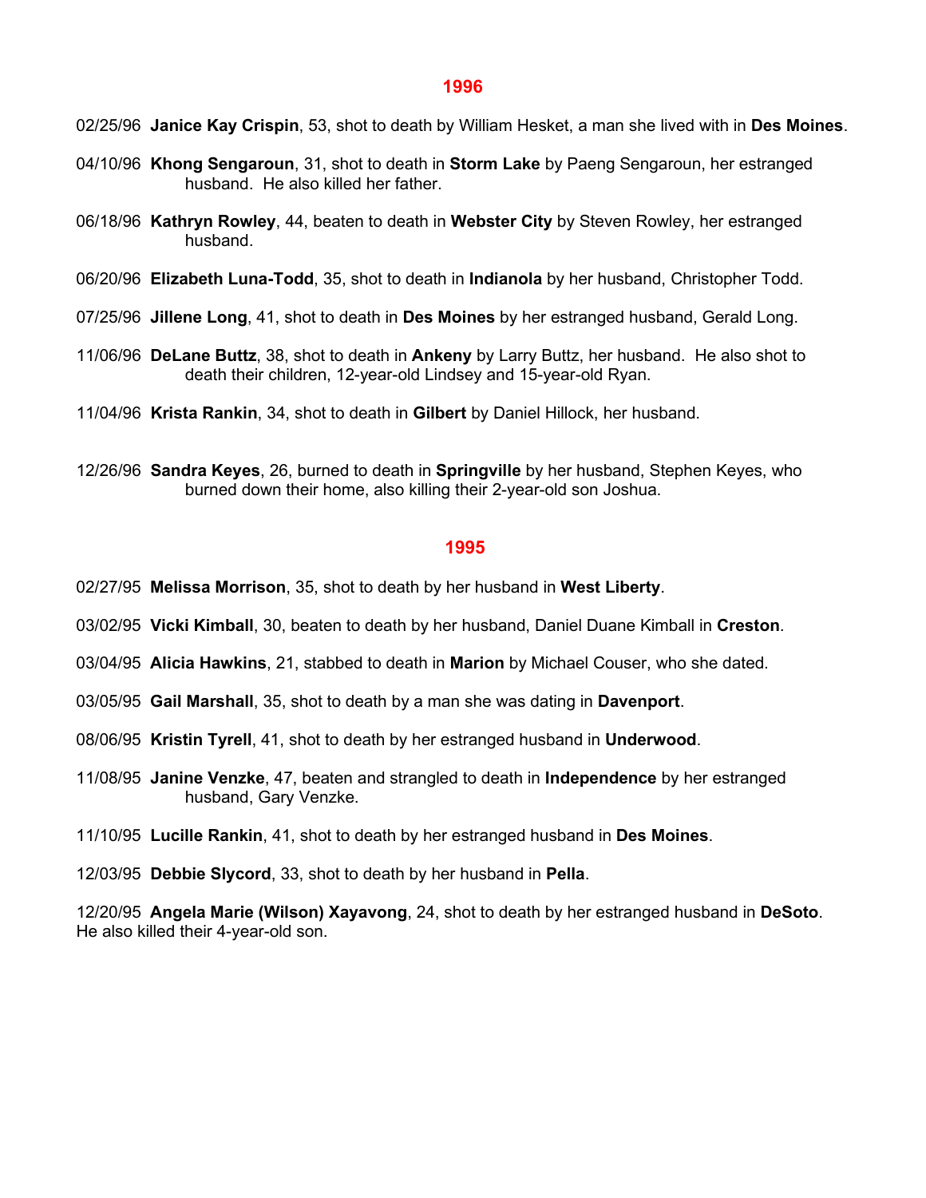02/25/96 **Janice Kay Crispin**, 53, shot to death by William Hesket, a man she lived with in **Des Moines**.

- 04/10/96 **Khong Sengaroun**, 31, shot to death in **Storm Lake** by Paeng Sengaroun, her estranged husband. He also killed her father.
- 06/18/96 **Kathryn Rowley**, 44, beaten to death in **Webster City** by Steven Rowley, her estranged husband.
- 06/20/96 **Elizabeth Luna-Todd**, 35, shot to death in **Indianola** by her husband, Christopher Todd.
- 07/25/96 **Jillene Long**, 41, shot to death in **Des Moines** by her estranged husband, Gerald Long.
- 11/06/96 **DeLane Buttz**, 38, shot to death in **Ankeny** by Larry Buttz, her husband. He also shot to death their children, 12-year-old Lindsey and 15-year-old Ryan.
- 11/04/96 **Krista Rankin**, 34, shot to death in **Gilbert** by Daniel Hillock, her husband.
- 12/26/96 **Sandra Keyes**, 26, burned to death in **Springville** by her husband, Stephen Keyes, who burned down their home, also killing their 2-year-old son Joshua.

#### **1995**

- 02/27/95 **Melissa Morrison**, 35, shot to death by her husband in **West Liberty**.
- 03/02/95 **Vicki Kimball**, 30, beaten to death by her husband, Daniel Duane Kimball in **Creston**.
- 03/04/95 **Alicia Hawkins**, 21, stabbed to death in **Marion** by Michael Couser, who she dated.
- 03/05/95 **Gail Marshall**, 35, shot to death by a man she was dating in **Davenport**.
- 08/06/95 **Kristin Tyrell**, 41, shot to death by her estranged husband in **Underwood**.
- 11/08/95 **Janine Venzke**, 47, beaten and strangled to death in **Independence** by her estranged husband, Gary Venzke.
- 11/10/95 **Lucille Rankin**, 41, shot to death by her estranged husband in **Des Moines**.
- 12/03/95 **Debbie Slycord**, 33, shot to death by her husband in **Pella**.

12/20/95 **Angela Marie (Wilson) Xayavong**, 24, shot to death by her estranged husband in **DeSoto**. He also killed their 4-year-old son.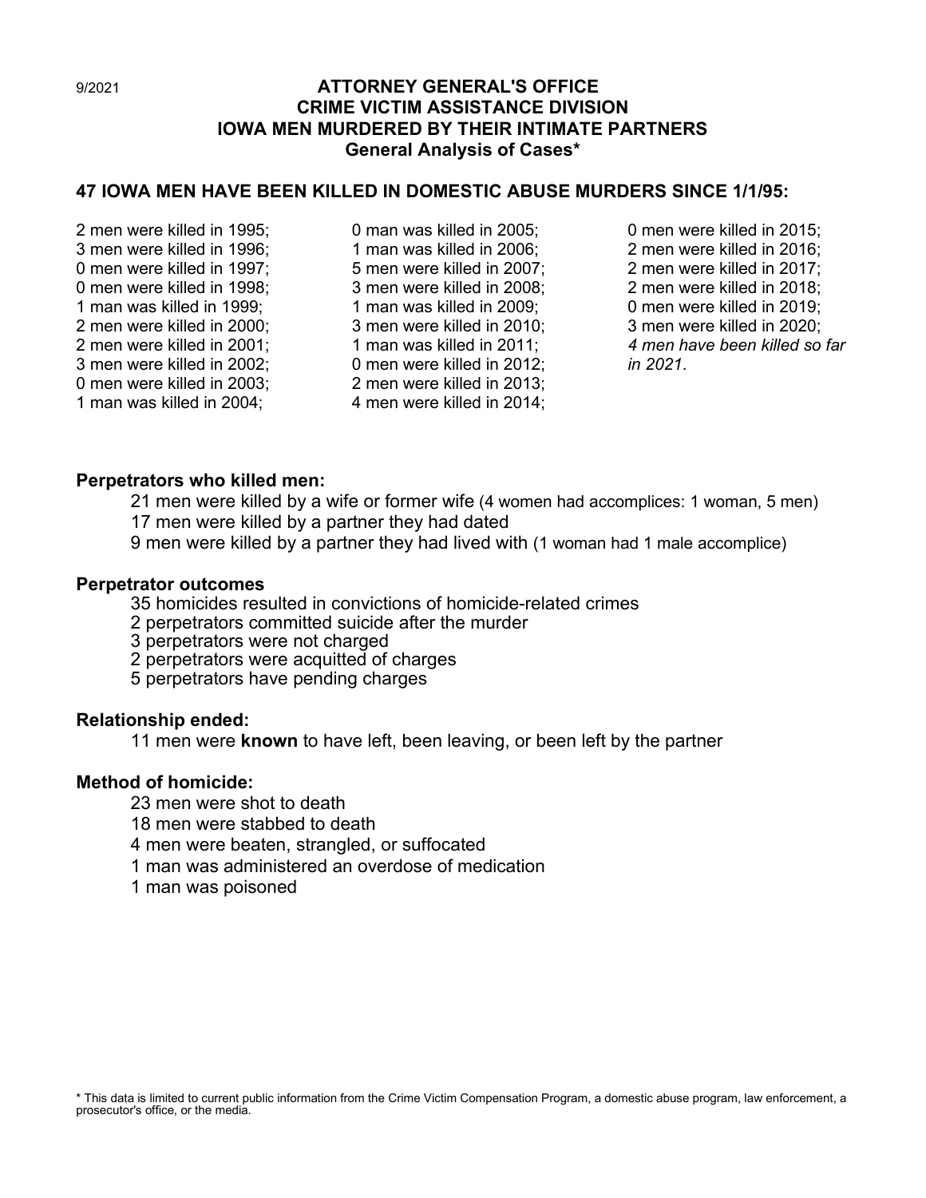# 9/2021 **ATTORNEY GENERAL'S OFFICE CRIME VICTIM ASSISTANCE DIVISION IOWA MEN MURDERED BY THEIR INTIMATE PARTNERS General Analysis of Cases\***

# **47 IOWA MEN HAVE BEEN KILLED IN DOMESTIC ABUSE MURDERS SINCE 1/1/95:**

2 men were killed in 1995; 3 men were killed in 1996; 0 men were killed in 1997; 0 men were killed in 1998; 1 man was killed in 1999; 2 men were killed in 2000; 2 men were killed in 2001; 3 men were killed in 2002; 0 men were killed in 2003; 1 man was killed in 2004;

0 man was killed in 2005; 1 man was killed in 2006; 5 men were killed in 2007; 3 men were killed in 2008; 1 man was killed in 2009; 3 men were killed in 2010; 1 man was killed in 2011; 0 men were killed in 2012; 2 men were killed in 2013; 4 men were killed in 2014;

0 men were killed in 2015; 2 men were killed in 2016; 2 men were killed in 2017; 2 men were killed in 2018; 0 men were killed in 2019; 3 men were killed in 2020; *4 men have been killed so far in 2021*.

# **Perpetrators who killed men:**

21 men were killed by a wife or former wife (4 women had accomplices: 1 woman, 5 men) 17 men were killed by a partner they had dated

9 men were killed by a partner they had lived with (1 woman had 1 male accomplice)

# **Perpetrator outcomes**

35 homicides resulted in convictions of homicide-related crimes

2 perpetrators committed suicide after the murder

3 perpetrators were not charged

2 perpetrators were acquitted of charges

5 perpetrators have pending charges

# **Relationship ended:**

11 men were **known** to have left, been leaving, or been left by the partner

# **Method of homicide:**

23 men were shot to death

18 men were stabbed to death

4 men were beaten, strangled, or suffocated

1 man was administered an overdose of medication

1 man was poisoned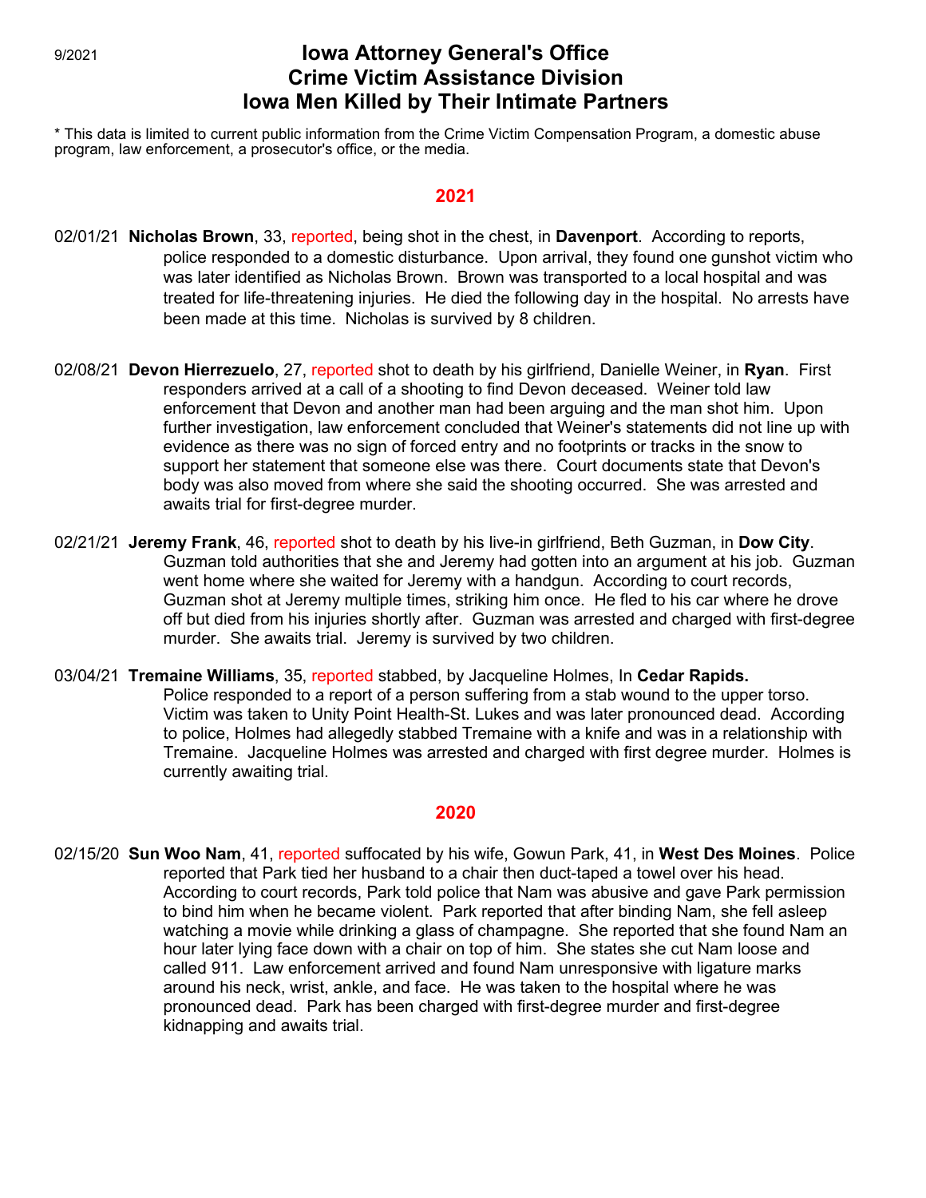# 9/2021 **Iowa Attorney General's Office Crime Victim Assistance Division Iowa Men Killed by Their Intimate Partners**

\* This data is limited to current public information from the Crime Victim Compensation Program, a domestic abuse program, law enforcement, a prosecutor's office, or the media.

#### **2021**

- 02/01/21 **Nicholas Brown**, 33, reported, being shot in the chest, in **Davenport**. According to reports, police responded to a domestic disturbance. Upon arrival, they found one gunshot victim who was later identified as Nicholas Brown. Brown was transported to a local hospital and was treated for life-threatening injuries. He died the following day in the hospital. No arrests have been made at this time. Nicholas is survived by 8 children.
- 02/08/21 **Devon Hierrezuelo**, 27, reported shot to death by his girlfriend, Danielle Weiner, in **Ryan**. First responders arrived at a call of a shooting to find Devon deceased. Weiner told law enforcement that Devon and another man had been arguing and the man shot him. Upon further investigation, law enforcement concluded that Weiner's statements did not line up with evidence as there was no sign of forced entry and no footprints or tracks in the snow to support her statement that someone else was there. Court documents state that Devon's body was also moved from where she said the shooting occurred. She was arrested and awaits trial for first-degree murder.
- 02/21/21 **Jeremy Frank**, 46, reported shot to death by his live-in girlfriend, Beth Guzman, in **Dow City**. Guzman told authorities that she and Jeremy had gotten into an argument at his job. Guzman went home where she waited for Jeremy with a handgun. According to court records, Guzman shot at Jeremy multiple times, striking him once. He fled to his car where he drove off but died from his injuries shortly after. Guzman was arrested and charged with first-degree murder. She awaits trial. Jeremy is survived by two children.
- 03/04/21 **Tremaine Williams**, 35, reported stabbed, by Jacqueline Holmes, In **Cedar Rapids.** Police responded to a report of a person suffering from a stab wound to the upper torso. Victim was taken to Unity Point Health-St. Lukes and was later pronounced dead. According to police, Holmes had allegedly stabbed Tremaine with a knife and was in a relationship with Tremaine. Jacqueline Holmes was arrested and charged with first degree murder. Holmes is currently awaiting trial.

#### **2020**

02/15/20 **Sun Woo Nam**, 41, reported suffocated by his wife, Gowun Park, 41, in **West Des Moines**. Police reported that Park tied her husband to a chair then duct-taped a towel over his head. According to court records, Park told police that Nam was abusive and gave Park permission to bind him when he became violent. Park reported that after binding Nam, she fell asleep watching a movie while drinking a glass of champagne. She reported that she found Nam an hour later lying face down with a chair on top of him. She states she cut Nam loose and called 911. Law enforcement arrived and found Nam unresponsive with ligature marks around his neck, wrist, ankle, and face. He was taken to the hospital where he was pronounced dead. Park has been charged with first-degree murder and first-degree kidnapping and awaits trial.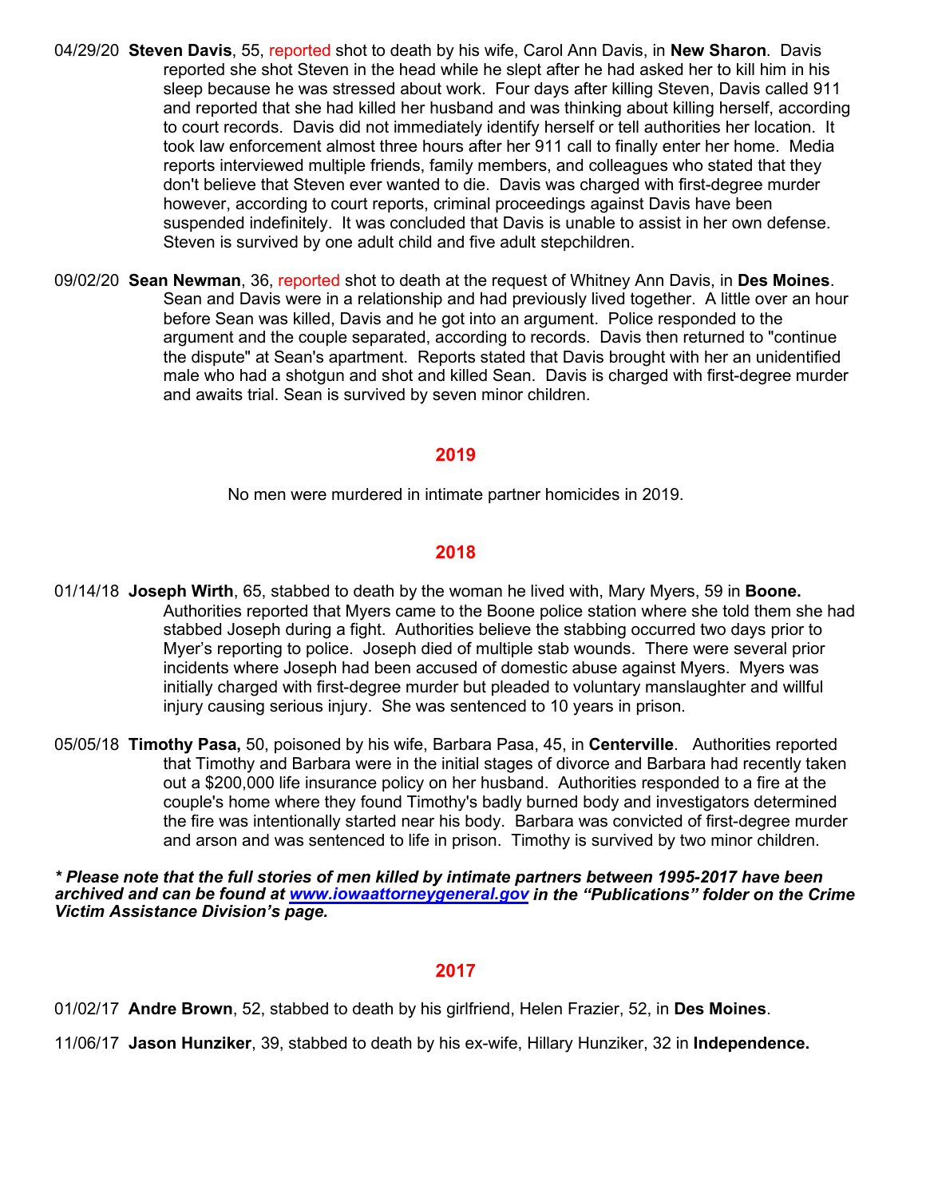- 04/29/20 **Steven Davis**, 55, reported shot to death by his wife, Carol Ann Davis, in **New Sharon**. Davis reported she shot Steven in the head while he slept after he had asked her to kill him in his sleep because he was stressed about work. Four days after killing Steven, Davis called 911 and reported that she had killed her husband and was thinking about killing herself, according to court records. Davis did not immediately identify herself or tell authorities her location. It took law enforcement almost three hours after her 911 call to finally enter her home. Media reports interviewed multiple friends, family members, and colleagues who stated that they don't believe that Steven ever wanted to die. Davis was charged with first-degree murder however, according to court reports, criminal proceedings against Davis have been suspended indefinitely. It was concluded that Davis is unable to assist in her own defense. Steven is survived by one adult child and five adult stepchildren.
- 09/02/20 **Sean Newman**, 36, reported shot to death at the request of Whitney Ann Davis, in **Des Moines**. Sean and Davis were in a relationship and had previously lived together. A little over an hour before Sean was killed, Davis and he got into an argument. Police responded to the argument and the couple separated, according to records. Davis then returned to "continue the dispute" at Sean's apartment. Reports stated that Davis brought with her an unidentified male who had a shotgun and shot and killed Sean. Davis is charged with first-degree murder and awaits trial. Sean is survived by seven minor children.

No men were murdered in intimate partner homicides in 2019.

# **2018**

- 01/14/18 **Joseph Wirth**, 65, stabbed to death by the woman he lived with, Mary Myers, 59 in **Boone.** Authorities reported that Myers came to the Boone police station where she told them she had stabbed Joseph during a fight. Authorities believe the stabbing occurred two days prior to Myer's reporting to police. Joseph died of multiple stab wounds. There were several prior incidents where Joseph had been accused of domestic abuse against Myers. Myers was initially charged with first-degree murder but pleaded to voluntary manslaughter and willful injury causing serious injury. She was sentenced to 10 years in prison.
- 05/05/18 **Timothy Pasa,** 50, poisoned by his wife, Barbara Pasa, 45, in **Centerville**. Authorities reported that Timothy and Barbara were in the initial stages of divorce and Barbara had recently taken out a \$200,000 life insurance policy on her husband. Authorities responded to a fire at the couple's home where they found Timothy's badly burned body and investigators determined the fire was intentionally started near his body. Barbara was convicted of first-degree murder and arson and was sentenced to life in prison. Timothy is survived by two minor children.

*\* Please note that the full stories of men killed by intimate partners between 1995-2017 have been archived and can be found at [www.iowaattorneygeneral.gov](http://www.iowaattorneygeneral.gov/) in the "Publications" folder on the Crime Victim Assistance Division's page.*

#### **2017**

01/02/17 **Andre Brown**, 52, stabbed to death by his girlfriend, Helen Frazier, 52, in **Des Moines**.

11/06/17 **Jason Hunziker**, 39, stabbed to death by his ex-wife, Hillary Hunziker, 32 in **Independence.**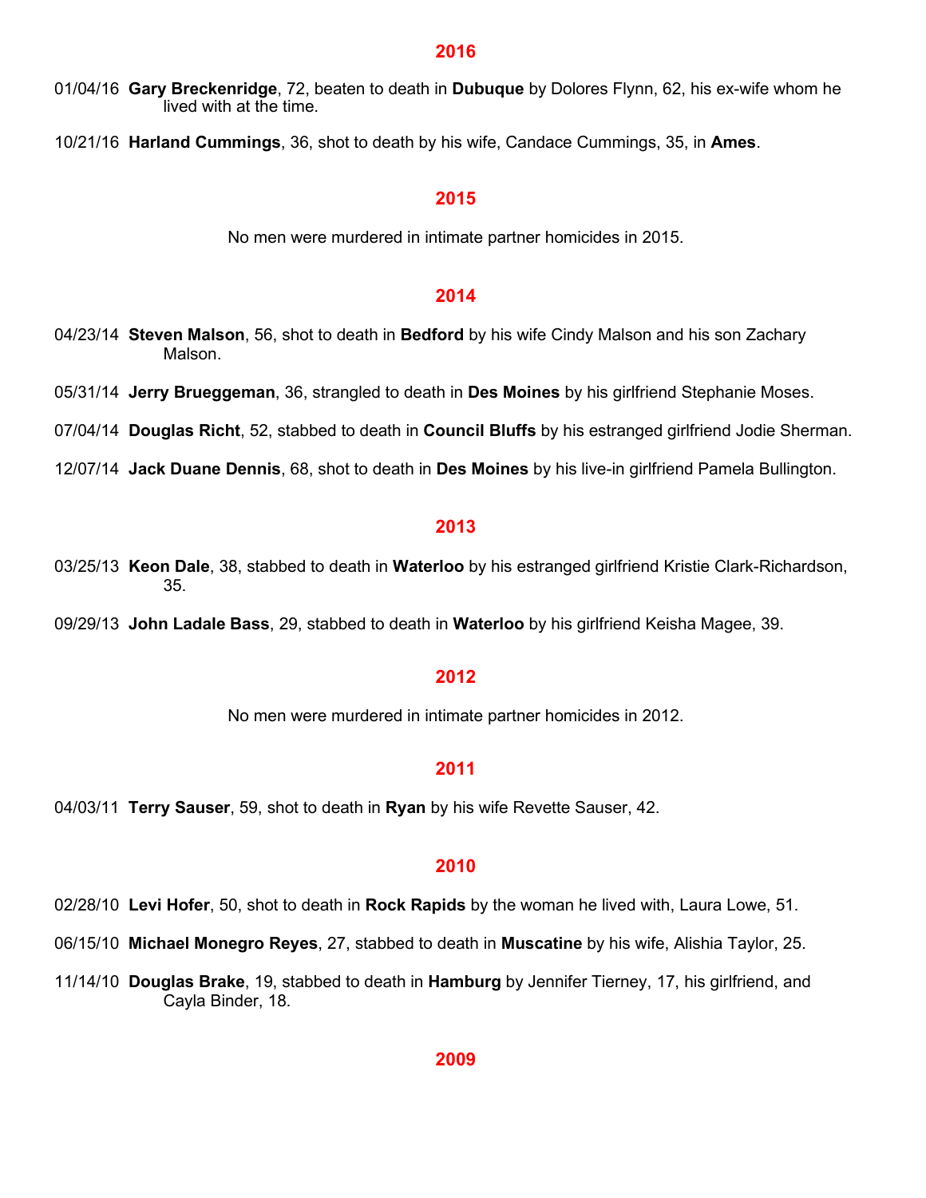01/04/16 **Gary Breckenridge**, 72, beaten to death in **Dubuque** by Dolores Flynn, 62, his ex-wife whom he lived with at the time.

10/21/16 **Harland Cummings**, 36, shot to death by his wife, Candace Cummings, 35, in **Ames**.

#### **2015**

No men were murdered in intimate partner homicides in 2015.

#### **2014**

- 04/23/14 **Steven Malson**, 56, shot to death in **Bedford** by his wife Cindy Malson and his son Zachary Malson.
- 05/31/14 **Jerry Brueggeman**, 36, strangled to death in **Des Moines** by his girlfriend Stephanie Moses.

07/04/14 **Douglas Richt**, 52, stabbed to death in **Council Bluffs** by his estranged girlfriend Jodie Sherman.

12/07/14 **Jack Duane Dennis**, 68, shot to death in **Des Moines** by his live-in girlfriend Pamela Bullington.

#### **2013**

- 03/25/13 **Keon Dale**, 38, stabbed to death in **Waterloo** by his estranged girlfriend Kristie Clark-Richardson, 35.
- 09/29/13 **John Ladale Bass**, 29, stabbed to death in **Waterloo** by his girlfriend Keisha Magee, 39.

#### **2012**

No men were murdered in intimate partner homicides in 2012.

#### **2011**

04/03/11 **Terry Sauser**, 59, shot to death in **Ryan** by his wife Revette Sauser, 42.

#### **2010**

- 02/28/10 **Levi Hofer**, 50, shot to death in **Rock Rapids** by the woman he lived with, Laura Lowe, 51.
- 06/15/10 **Michael Monegro Reyes**, 27, stabbed to death in **Muscatine** by his wife, Alishia Taylor, 25.
- 11/14/10 **Douglas Brake**, 19, stabbed to death in **Hamburg** by Jennifer Tierney, 17, his girlfriend, and Cayla Binder, 18.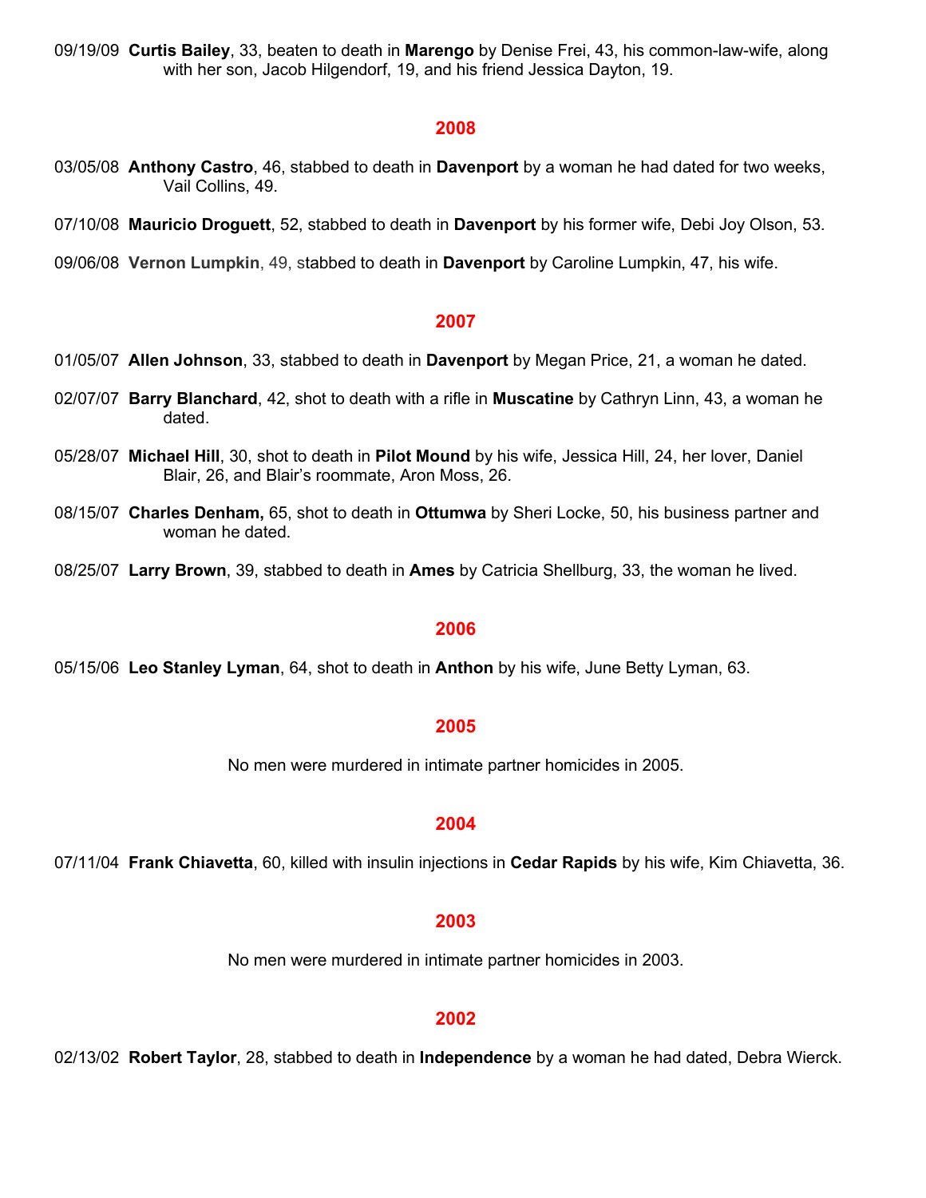09/19/09 **Curtis Bailey**, 33, beaten to death in **Marengo** by Denise Frei, 43, his common-law-wife, along with her son, Jacob Hilgendorf, 19, and his friend Jessica Dayton, 19.

#### **2008**

- 03/05/08 **Anthony Castro**, 46, stabbed to death in **Davenport** by a woman he had dated for two weeks, Vail Collins, 49.
- 07/10/08 **Mauricio Droguett**, 52, stabbed to death in **Davenport** by his former wife, Debi Joy Olson, 53.
- 09/06/08 **Vernon Lumpkin**, 49, stabbed to death in **Davenport** by Caroline Lumpkin, 47, his wife.

#### **2007**

- 01/05/07 **Allen Johnson**, 33, stabbed to death in **Davenport** by Megan Price, 21, a woman he dated.
- 02/07/07 **Barry Blanchard**, 42, shot to death with a rifle in **Muscatine** by Cathryn Linn, 43, a woman he dated.
- 05/28/07 **Michael Hill**, 30, shot to death in **Pilot Mound** by his wife, Jessica Hill, 24, her lover, Daniel Blair, 26, and Blair's roommate, Aron Moss, 26.
- 08/15/07 **Charles Denham,** 65, shot to death in **Ottumwa** by Sheri Locke, 50, his business partner and woman he dated.
- 08/25/07 **Larry Brown**, 39, stabbed to death in **Ames** by Catricia Shellburg, 33, the woman he lived.

#### **2006**

05/15/06 **Leo Stanley Lyman**, 64, shot to death in **Anthon** by his wife, June Betty Lyman, 63.

#### **2005**

No men were murdered in intimate partner homicides in 2005.

#### **2004**

07/11/04 **Frank Chiavetta**, 60, killed with insulin injections in **Cedar Rapids** by his wife, Kim Chiavetta, 36.

#### **2003**

No men were murdered in intimate partner homicides in 2003.

#### **2002**

02/13/02 **Robert Taylor**, 28, stabbed to death in **Independence** by a woman he had dated, Debra Wierck.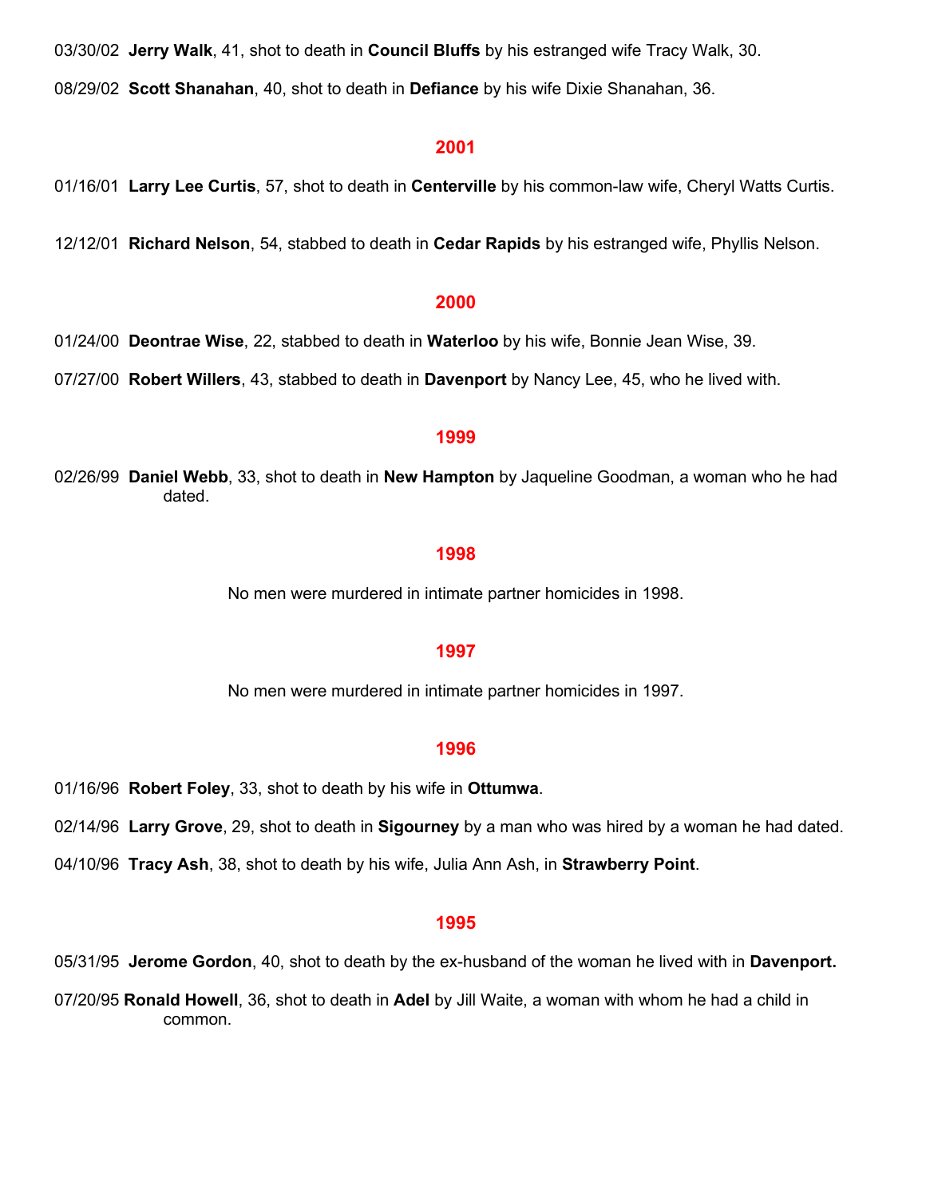03/30/02 **Jerry Walk**, 41, shot to death in **Council Bluffs** by his estranged wife Tracy Walk, 30.

08/29/02 **Scott Shanahan**, 40, shot to death in **Defiance** by his wife Dixie Shanahan, 36.

#### **2001**

01/16/01 **Larry Lee Curtis**, 57, shot to death in **Centerville** by his common-law wife, Cheryl Watts Curtis.

12/12/01 **Richard Nelson**, 54, stabbed to death in **Cedar Rapids** by his estranged wife, Phyllis Nelson.

#### **2000**

01/24/00 **Deontrae Wise**, 22, stabbed to death in **Waterloo** by his wife, Bonnie Jean Wise, 39.

07/27/00 **Robert Willers**, 43, stabbed to death in **Davenport** by Nancy Lee, 45, who he lived with.

#### **1999**

02/26/99 **Daniel Webb**, 33, shot to death in **New Hampton** by Jaqueline Goodman, a woman who he had dated.

#### **1998**

No men were murdered in intimate partner homicides in 1998.

#### **1997**

No men were murdered in intimate partner homicides in 1997.

#### **1996**

01/16/96 **Robert Foley**, 33, shot to death by his wife in **Ottumwa**.

02/14/96 **Larry Grove**, 29, shot to death in **Sigourney** by a man who was hired by a woman he had dated.

04/10/96 **Tracy Ash**, 38, shot to death by his wife, Julia Ann Ash, in **Strawberry Point**.

#### **1995**

05/31/95 **Jerome Gordon**, 40, shot to death by the ex-husband of the woman he lived with in **Davenport.**

07/20/95 **Ronald Howell**, 36, shot to death in **Adel** by Jill Waite, a woman with whom he had a child in common.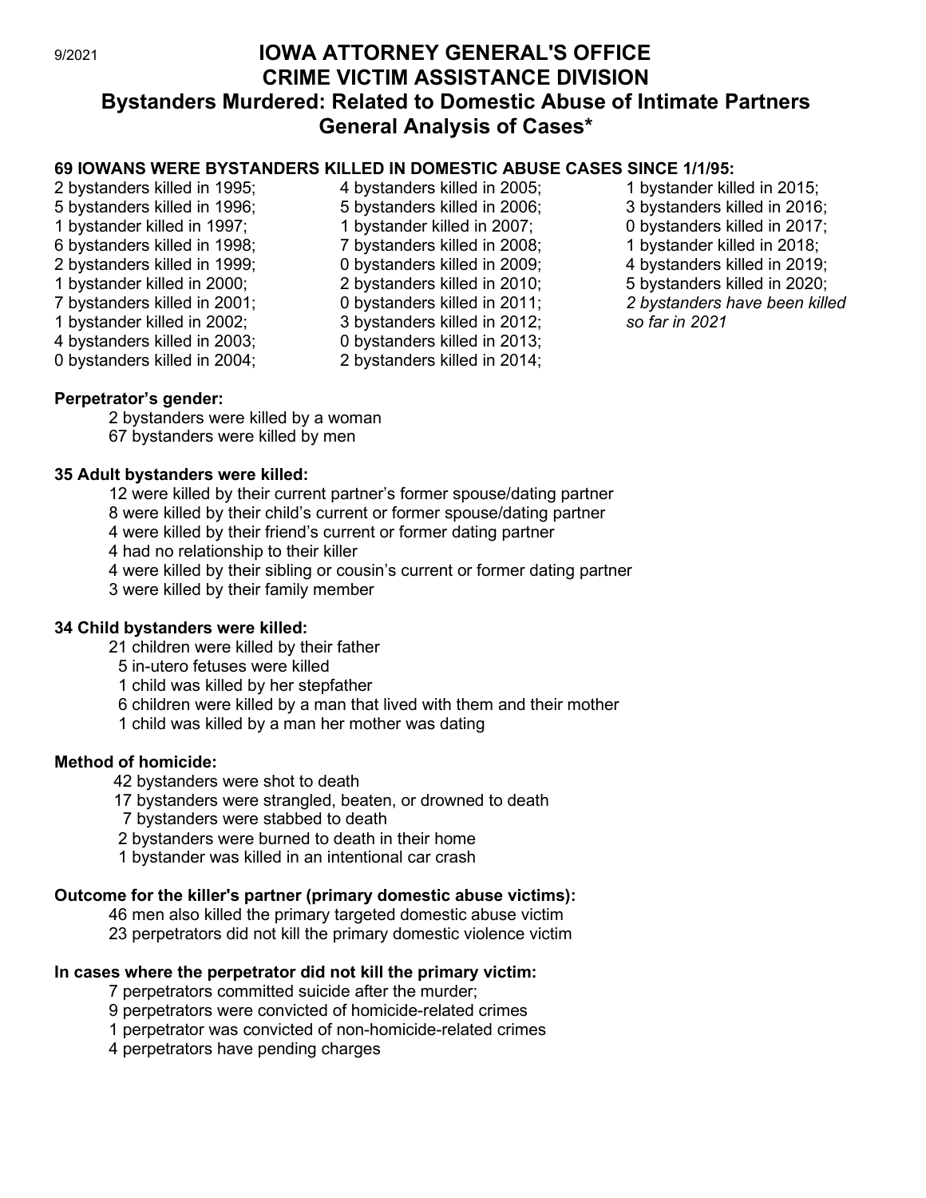# 9/2021 **IOWA ATTORNEY GENERAL'S OFFICE CRIME VICTIM ASSISTANCE DIVISION Bystanders Murdered: Related to Domestic Abuse of Intimate Partners General Analysis of Cases\***

# **69 IOWANS WERE BYSTANDERS KILLED IN DOMESTIC ABUSE CASES SINCE 1/1/95:**

- 2 bystanders killed in 1995; 5 bystanders killed in 1996; 1 bystander killed in 1997; 6 bystanders killed in 1998; 2 bystanders killed in 1999; 1 bystander killed in 2000; 7 bystanders killed in 2001; 1 bystander killed in 2002; 4 bystanders killed in 2003; 0 bystanders killed in 2004;
- 4 bystanders killed in 2005; 5 bystanders killed in 2006; 1 bystander killed in 2007; 7 bystanders killed in 2008; 0 bystanders killed in 2009; 2 bystanders killed in 2010; 0 bystanders killed in 2011; 3 bystanders killed in 2012; 0 bystanders killed in 2013; 2 bystanders killed in 2014;
- 1 bystander killed in 2015; 3 bystanders killed in 2016; 0 bystanders killed in 2017; 1 bystander killed in 2018; 4 bystanders killed in 2019; 5 bystanders killed in 2020; *2 bystanders have been killed so far in 2021*

# **Perpetrator's gender:**

2 bystanders were killed by a woman 67 bystanders were killed by men

# **35 Adult bystanders were killed:**

12 were killed by their current partner's former spouse/dating partner

8 were killed by their child's current or former spouse/dating partner

4 were killed by their friend's current or former dating partner

4 had no relationship to their killer

4 were killed by their sibling or cousin's current or former dating partner

3 were killed by their family member

# **34 Child bystanders were killed:**

21 children were killed by their father

5 in-utero fetuses were killed

1 child was killed by her stepfather

6 children were killed by a man that lived with them and their mother

1 child was killed by a man her mother was dating

# **Method of homicide:**

42 bystanders were shot to death

17 bystanders were strangled, beaten, or drowned to death

7 bystanders were stabbed to death

2 bystanders were burned to death in their home

1 bystander was killed in an intentional car crash

# **Outcome for the killer's partner (primary domestic abuse victims):**

46 men also killed the primary targeted domestic abuse victim

23 perpetrators did not kill the primary domestic violence victim

# **In cases where the perpetrator did not kill the primary victim:**

7 perpetrators committed suicide after the murder;

9 perpetrators were convicted of homicide-related crimes

1 perpetrator was convicted of non-homicide-related crimes

4 perpetrators have pending charges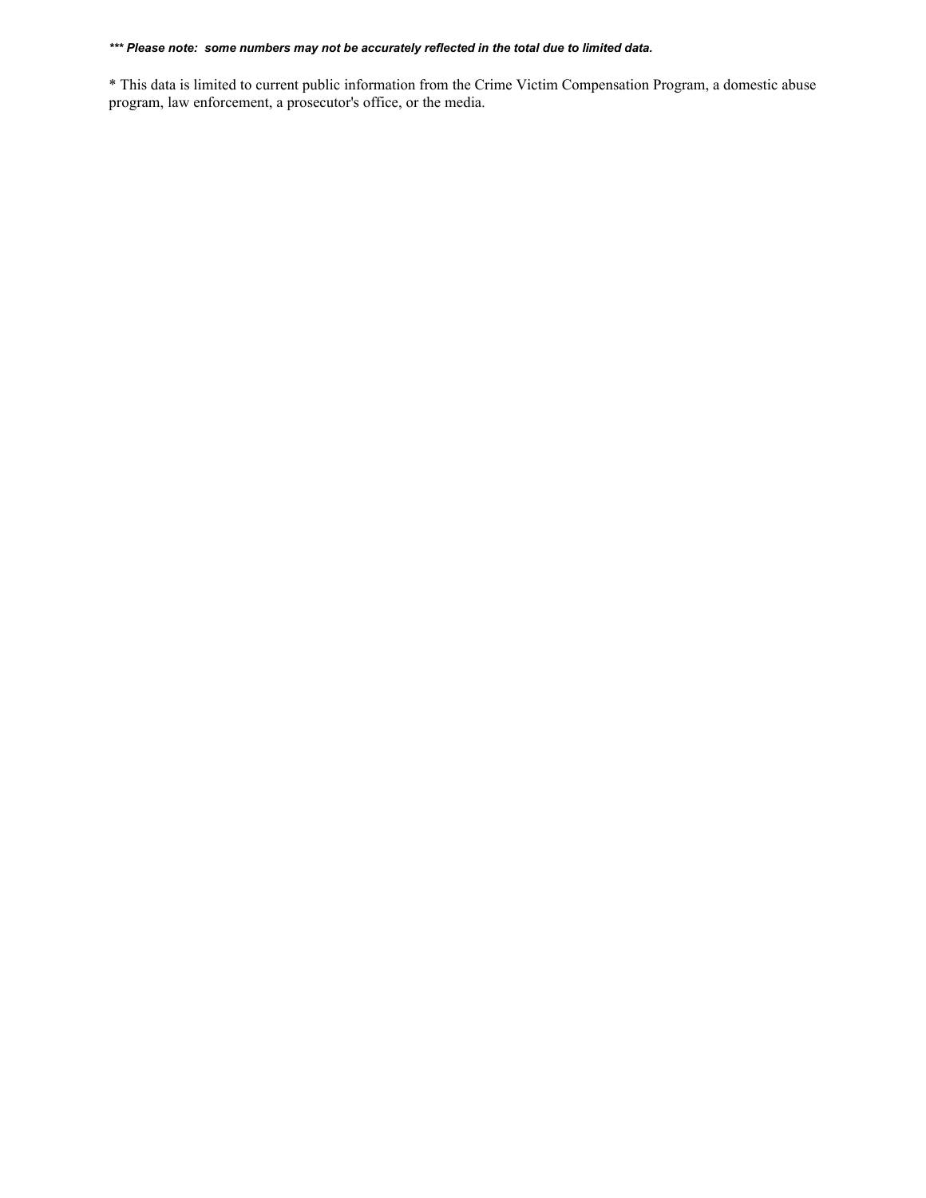#### *\*\*\* Please note: some numbers may not be accurately reflected in the total due to limited data.*

\* This data is limited to current public information from the Crime Victim Compensation Program, a domestic abuse program, law enforcement, a prosecutor's office, or the media.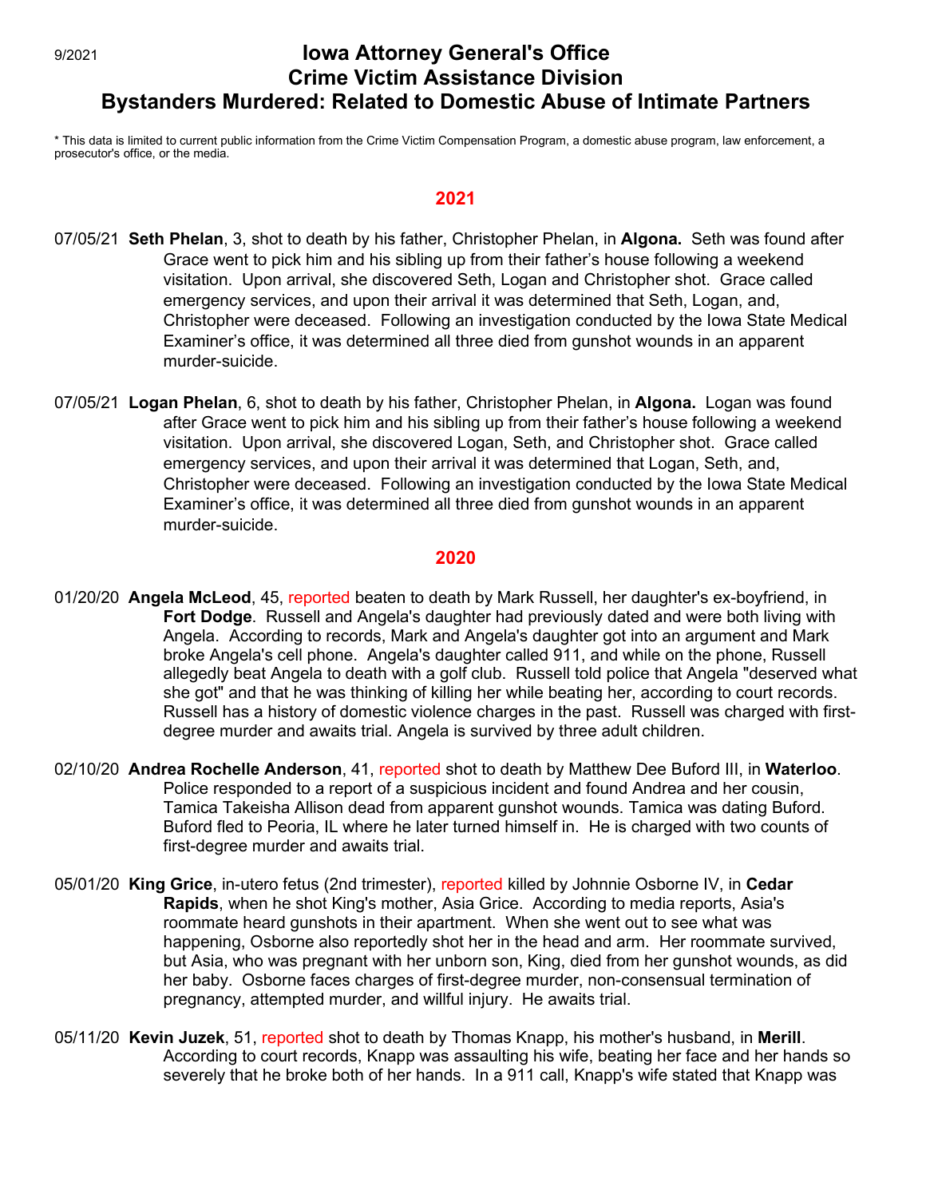# 9/2021 **Iowa Attorney General's Office Crime Victim Assistance Division Bystanders Murdered: Related to Domestic Abuse of Intimate Partners**

\* This data is limited to current public information from the Crime Victim Compensation Program, a domestic abuse program, law enforcement, a prosecutor's office, or the media.

#### **2021**

- 07/05/21 **Seth Phelan**, 3, shot to death by his father, Christopher Phelan, in **Algona.** Seth was found after Grace went to pick him and his sibling up from their father's house following a weekend visitation. Upon arrival, she discovered Seth, Logan and Christopher shot. Grace called emergency services, and upon their arrival it was determined that Seth, Logan, and, Christopher were deceased. Following an investigation conducted by the Iowa State Medical Examiner's office, it was determined all three died from gunshot wounds in an apparent murder-suicide.
- 07/05/21 **Logan Phelan**, 6, shot to death by his father, Christopher Phelan, in **Algona.** Logan was found after Grace went to pick him and his sibling up from their father's house following a weekend visitation. Upon arrival, she discovered Logan, Seth, and Christopher shot. Grace called emergency services, and upon their arrival it was determined that Logan, Seth, and, Christopher were deceased. Following an investigation conducted by the Iowa State Medical Examiner's office, it was determined all three died from gunshot wounds in an apparent murder-suicide.

- 01/20/20 **Angela McLeod**, 45, reported beaten to death by Mark Russell, her daughter's ex-boyfriend, in **Fort Dodge**. Russell and Angela's daughter had previously dated and were both living with Angela. According to records, Mark and Angela's daughter got into an argument and Mark broke Angela's cell phone. Angela's daughter called 911, and while on the phone, Russell allegedly beat Angela to death with a golf club. Russell told police that Angela "deserved what she got" and that he was thinking of killing her while beating her, according to court records. Russell has a history of domestic violence charges in the past. Russell was charged with firstdegree murder and awaits trial. Angela is survived by three adult children.
- 02/10/20 **Andrea Rochelle Anderson**, 41, reported shot to death by Matthew Dee Buford III, in **Waterloo**. Police responded to a report of a suspicious incident and found Andrea and her cousin, Tamica Takeisha Allison dead from apparent gunshot wounds. Tamica was dating Buford. Buford fled to Peoria, IL where he later turned himself in. He is charged with two counts of first-degree murder and awaits trial.
- 05/01/20 **King Grice**, in-utero fetus (2nd trimester), reported killed by Johnnie Osborne IV, in **Cedar Rapids**, when he shot King's mother, Asia Grice. According to media reports, Asia's roommate heard gunshots in their apartment. When she went out to see what was happening, Osborne also reportedly shot her in the head and arm. Her roommate survived, but Asia, who was pregnant with her unborn son, King, died from her gunshot wounds, as did her baby. Osborne faces charges of first-degree murder, non-consensual termination of pregnancy, attempted murder, and willful injury. He awaits trial.
- 05/11/20 **Kevin Juzek**, 51, reported shot to death by Thomas Knapp, his mother's husband, in **Merill**. According to court records, Knapp was assaulting his wife, beating her face and her hands so severely that he broke both of her hands. In a 911 call, Knapp's wife stated that Knapp was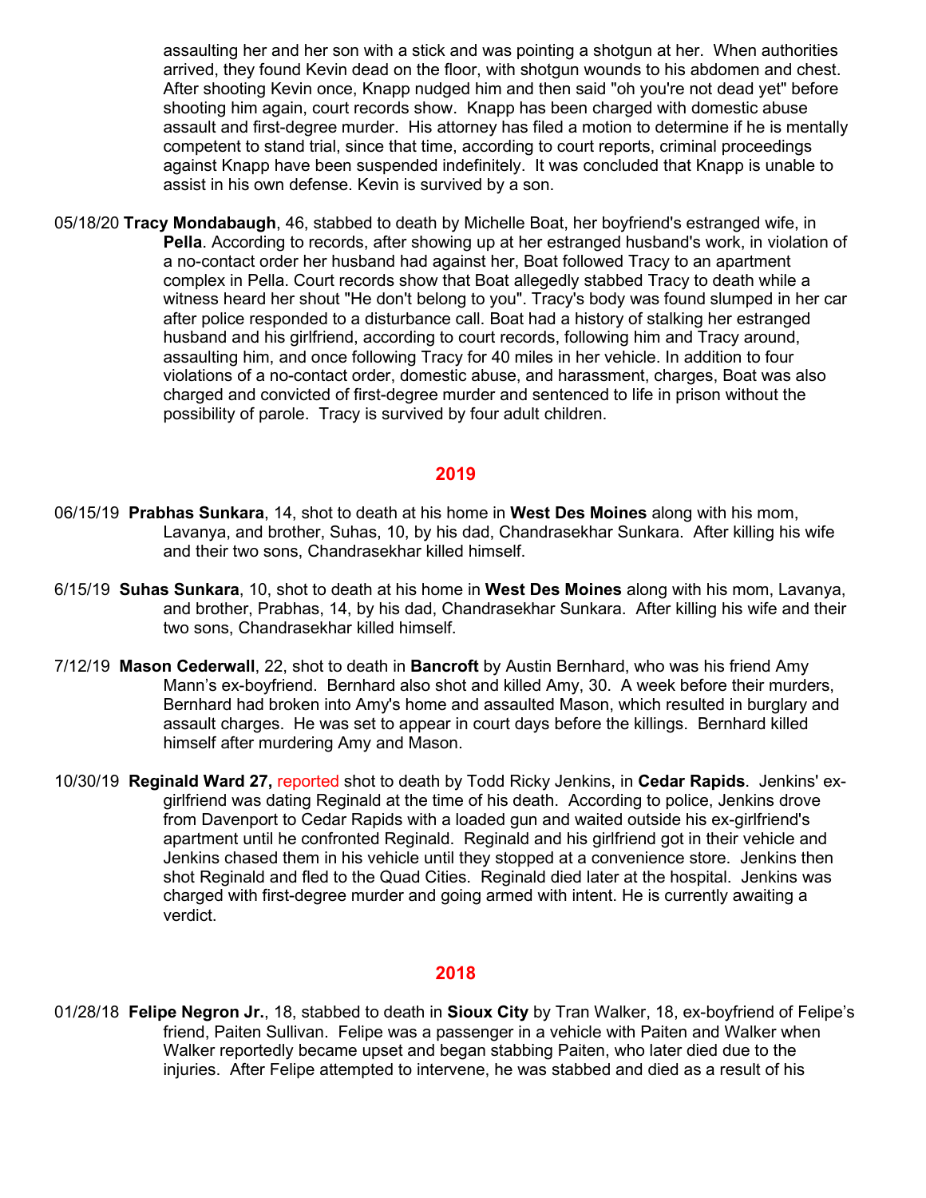assaulting her and her son with a stick and was pointing a shotgun at her. When authorities arrived, they found Kevin dead on the floor, with shotgun wounds to his abdomen and chest. After shooting Kevin once, Knapp nudged him and then said "oh you're not dead yet" before shooting him again, court records show. Knapp has been charged with domestic abuse assault and first-degree murder. His attorney has filed a motion to determine if he is mentally competent to stand trial, since that time, according to court reports, criminal proceedings against Knapp have been suspended indefinitely. It was concluded that Knapp is unable to assist in his own defense. Kevin is survived by a son.

05/18/20 **Tracy Mondabaugh**, 46, stabbed to death by Michelle Boat, her boyfriend's estranged wife, in **Pella**. According to records, after showing up at her estranged husband's work, in violation of a no-contact order her husband had against her, Boat followed Tracy to an apartment complex in Pella. Court records show that Boat allegedly stabbed Tracy to death while a witness heard her shout "He don't belong to you". Tracy's body was found slumped in her car after police responded to a disturbance call. Boat had a history of stalking her estranged husband and his girlfriend, according to court records, following him and Tracy around, assaulting him, and once following Tracy for 40 miles in her vehicle. In addition to four violations of a no-contact order, domestic abuse, and harassment, charges, Boat was also charged and convicted of first-degree murder and sentenced to life in prison without the possibility of parole. Tracy is survived by four adult children.

#### **2019**

- 06/15/19 **Prabhas Sunkara**, 14, shot to death at his home in **West Des Moines** along with his mom, Lavanya, and brother, Suhas, 10, by his dad, Chandrasekhar Sunkara. After killing his wife and their two sons, Chandrasekhar killed himself.
- 6/15/19 **Suhas Sunkara**, 10, shot to death at his home in **West Des Moines** along with his mom, Lavanya, and brother, Prabhas, 14, by his dad, Chandrasekhar Sunkara. After killing his wife and their two sons, Chandrasekhar killed himself.
- 7/12/19 **Mason Cederwall**, 22, shot to death in **Bancroft** by Austin Bernhard, who was his friend Amy Mann's ex-boyfriend. Bernhard also shot and killed Amy, 30. A week before their murders, Bernhard had broken into Amy's home and assaulted Mason, which resulted in burglary and assault charges. He was set to appear in court days before the killings. Bernhard killed himself after murdering Amy and Mason.
- 10/30/19 **Reginald Ward 27,** reported shot to death by Todd Ricky Jenkins, in **Cedar Rapids**. Jenkins' exgirlfriend was dating Reginald at the time of his death. According to police, Jenkins drove from Davenport to Cedar Rapids with a loaded gun and waited outside his ex-girlfriend's apartment until he confronted Reginald. Reginald and his girlfriend got in their vehicle and Jenkins chased them in his vehicle until they stopped at a convenience store. Jenkins then shot Reginald and fled to the Quad Cities. Reginald died later at the hospital. Jenkins was charged with first-degree murder and going armed with intent. He is currently awaiting a verdict.

# **2018**

01/28/18 **Felipe Negron Jr.**, 18, stabbed to death in **Sioux City** by Tran Walker, 18, ex-boyfriend of Felipe's friend, Paiten Sullivan. Felipe was a passenger in a vehicle with Paiten and Walker when Walker reportedly became upset and began stabbing Paiten, who later died due to the injuries. After Felipe attempted to intervene, he was stabbed and died as a result of his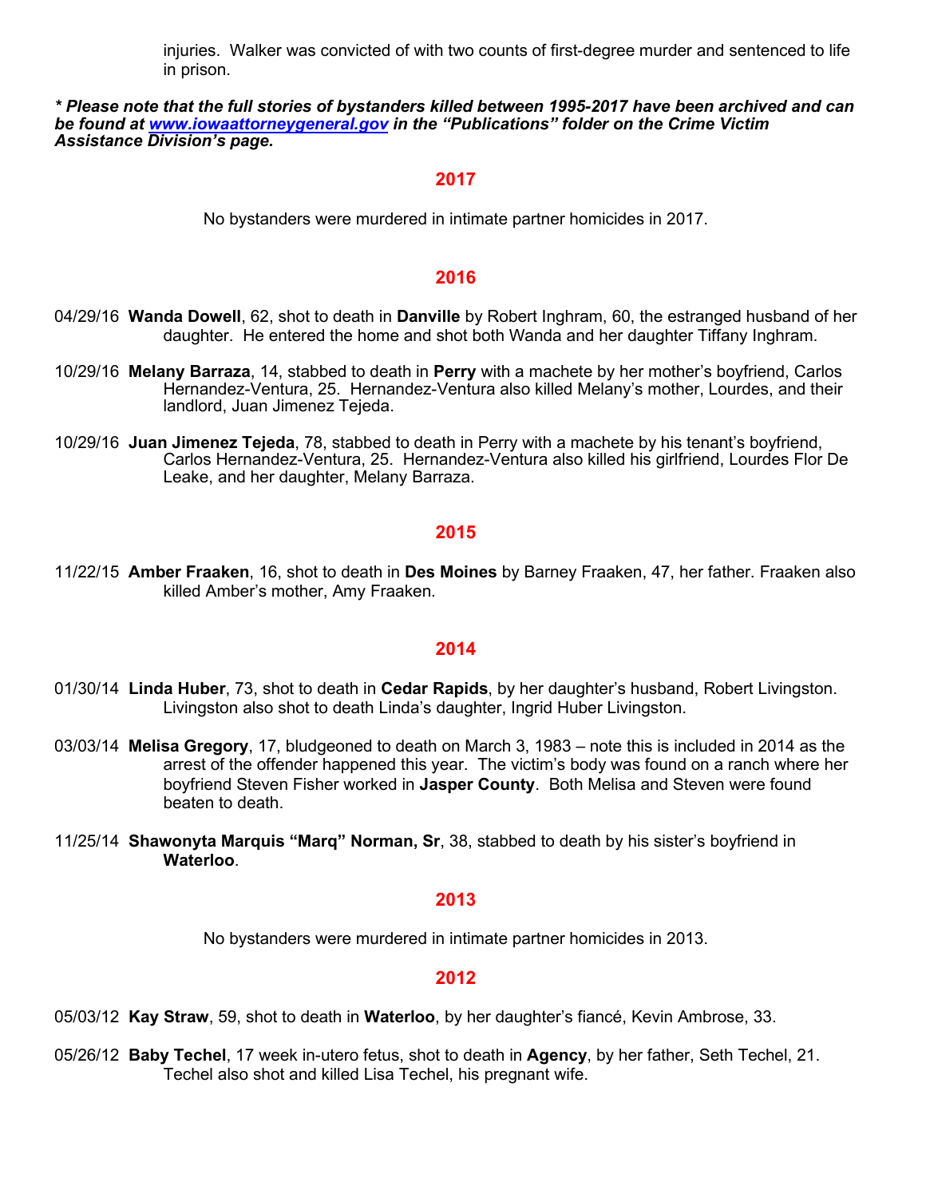injuries. Walker was convicted of with two counts of first-degree murder and sentenced to life in prison.

#### *\* Please note that the full stories of bystanders killed between 1995-2017 have been archived and can be found at [www.iowaattorneygeneral.gov](http://www.iowaattorneygeneral.gov/) in the "Publications" folder on the Crime Victim Assistance Division's page.*

#### **2017**

No bystanders were murdered in intimate partner homicides in 2017.

#### **2016**

- 04/29/16 **Wanda Dowell**, 62, shot to death in **Danville** by Robert Inghram, 60, the estranged husband of her daughter. He entered the home and shot both Wanda and her daughter Tiffany Inghram.
- 10/29/16 **Melany Barraza**, 14, stabbed to death in **Perry** with a machete by her mother's boyfriend, Carlos Hernandez-Ventura, 25. Hernandez-Ventura also killed Melany's mother, Lourdes, and their landlord, Juan Jimenez Tejeda.
- 10/29/16 **Juan Jimenez Tejeda**, 78, stabbed to death in Perry with a machete by his tenant's boyfriend, Carlos Hernandez-Ventura, 25. Hernandez-Ventura also killed his girlfriend, Lourdes Flor De Leake, and her daughter, Melany Barraza.

#### **2015**

11/22/15 **Amber Fraaken**, 16, shot to death in **Des Moines** by Barney Fraaken, 47, her father. Fraaken also killed Amber's mother, Amy Fraaken.

## **2014**

- 01/30/14 **Linda Huber**, 73, shot to death in **Cedar Rapids**, by her daughter's husband, Robert Livingston. Livingston also shot to death Linda's daughter, Ingrid Huber Livingston.
- 03/03/14 **Melisa Gregory**, 17, bludgeoned to death on March 3, 1983 note this is included in 2014 as the arrest of the offender happened this year. The victim's body was found on a ranch where her boyfriend Steven Fisher worked in **Jasper County**. Both Melisa and Steven were found beaten to death.
- 11/25/14 **Shawonyta Marquis "Marq" Norman, Sr**, 38, stabbed to death by his sister's boyfriend in **Waterloo**.

#### **2013**

No bystanders were murdered in intimate partner homicides in 2013.

#### **2012**

05/03/12 **Kay Straw**, 59, shot to death in **Waterloo**, by her daughter's fiancé, Kevin Ambrose, 33.

05/26/12 **Baby Techel**, 17 week in-utero fetus, shot to death in **Agency**, by her father, Seth Techel, 21. Techel also shot and killed Lisa Techel, his pregnant wife.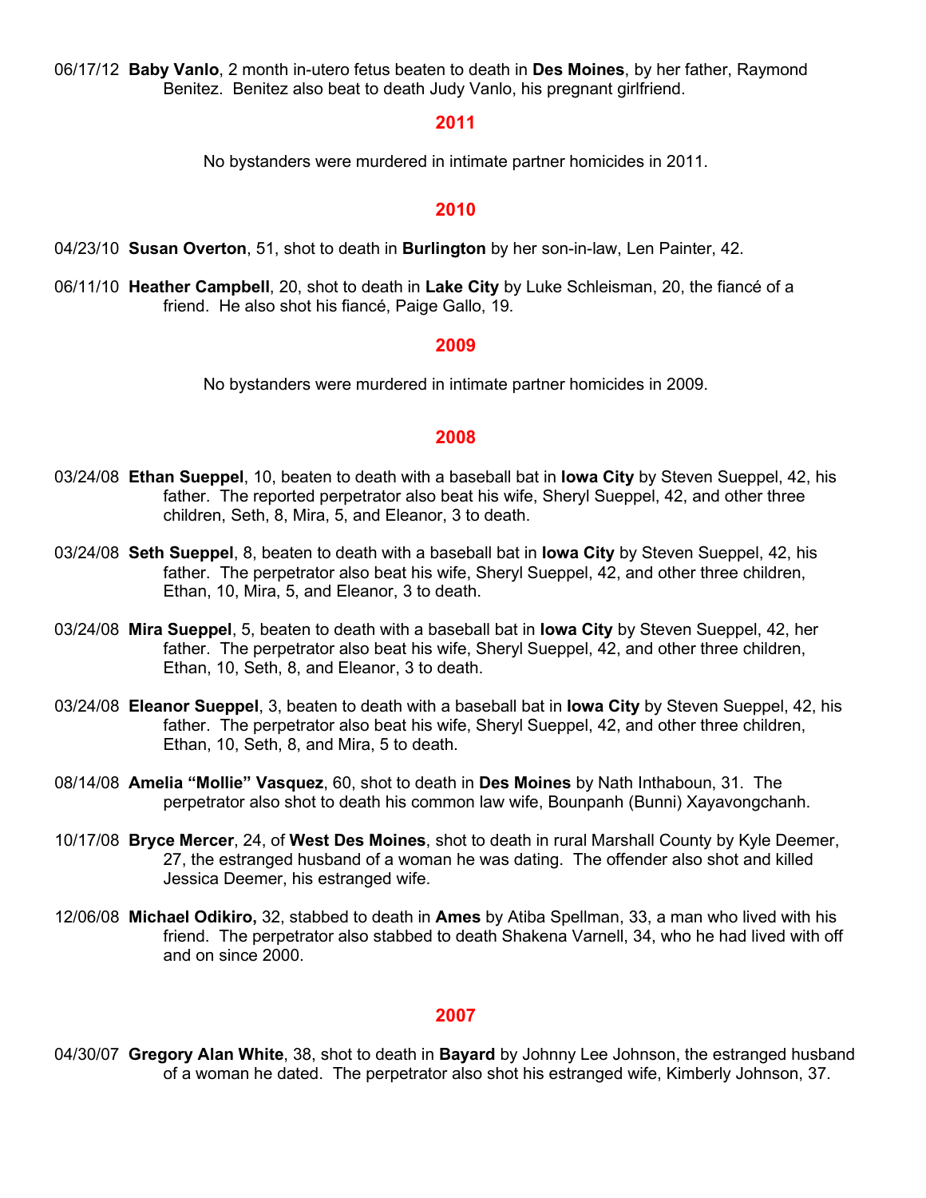06/17/12 **Baby Vanlo**, 2 month in-utero fetus beaten to death in **Des Moines**, by her father, Raymond Benitez. Benitez also beat to death Judy Vanlo, his pregnant girlfriend.

#### **2011**

No bystanders were murdered in intimate partner homicides in 2011.

#### **2010**

- 04/23/10 **Susan Overton**, 51, shot to death in **Burlington** by her son-in-law, Len Painter, 42.
- 06/11/10 **Heather Campbell**, 20, shot to death in **Lake City** by Luke Schleisman, 20, the fiancé of a friend. He also shot his fiancé, Paige Gallo, 19.

#### **2009**

No bystanders were murdered in intimate partner homicides in 2009.

#### **2008**

- 03/24/08 **Ethan Sueppel**, 10, beaten to death with a baseball bat in **Iowa City** by Steven Sueppel, 42, his father. The reported perpetrator also beat his wife, Sheryl Sueppel, 42, and other three children, Seth, 8, Mira, 5, and Eleanor, 3 to death.
- 03/24/08 **Seth Sueppel**, 8, beaten to death with a baseball bat in **Iowa City** by Steven Sueppel, 42, his father. The perpetrator also beat his wife, Sheryl Sueppel, 42, and other three children, Ethan, 10, Mira, 5, and Eleanor, 3 to death.
- 03/24/08 **Mira Sueppel**, 5, beaten to death with a baseball bat in **Iowa City** by Steven Sueppel, 42, her father. The perpetrator also beat his wife, Sheryl Sueppel, 42, and other three children, Ethan, 10, Seth, 8, and Eleanor, 3 to death.
- 03/24/08 **Eleanor Sueppel**, 3, beaten to death with a baseball bat in **Iowa City** by Steven Sueppel, 42, his father. The perpetrator also beat his wife, Sheryl Sueppel, 42, and other three children, Ethan, 10, Seth, 8, and Mira, 5 to death.
- 08/14/08 **Amelia "Mollie" Vasquez**, 60, shot to death in **Des Moines** by Nath Inthaboun, 31. The perpetrator also shot to death his common law wife, Bounpanh (Bunni) Xayavongchanh.
- 10/17/08 **Bryce Mercer**, 24, of **West Des Moines**, shot to death in rural Marshall County by Kyle Deemer, 27, the estranged husband of a woman he was dating. The offender also shot and killed Jessica Deemer, his estranged wife.
- 12/06/08 **Michael Odikiro,** 32, stabbed to death in **Ames** by Atiba Spellman, 33, a man who lived with his friend. The perpetrator also stabbed to death Shakena Varnell, 34, who he had lived with off and on since 2000.

### **2007**

04/30/07 **Gregory Alan White**, 38, shot to death in **Bayard** by Johnny Lee Johnson, the estranged husband of a woman he dated. The perpetrator also shot his estranged wife, Kimberly Johnson, 37.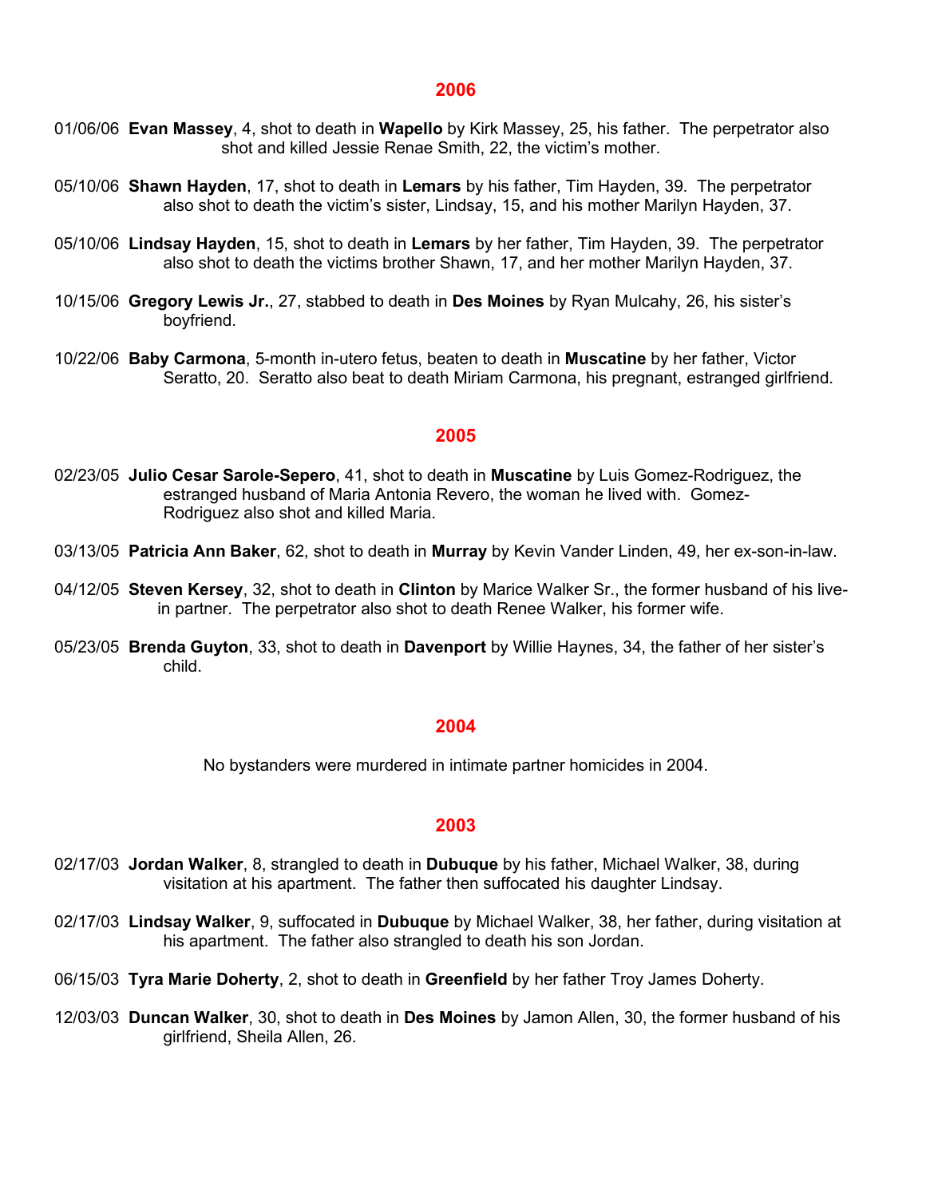- 01/06/06 **Evan Massey**, 4, shot to death in **Wapello** by Kirk Massey, 25, his father. The perpetrator also shot and killed Jessie Renae Smith, 22, the victim's mother.
- 05/10/06 **Shawn Hayden**, 17, shot to death in **Lemars** by his father, Tim Hayden, 39. The perpetrator also shot to death the victim's sister, Lindsay, 15, and his mother Marilyn Hayden, 37.
- 05/10/06 **Lindsay Hayden**, 15, shot to death in **Lemars** by her father, Tim Hayden, 39. The perpetrator also shot to death the victims brother Shawn, 17, and her mother Marilyn Hayden, 37.
- 10/15/06 **Gregory Lewis Jr.**, 27, stabbed to death in **Des Moines** by Ryan Mulcahy, 26, his sister's boyfriend.
- 10/22/06 **Baby Carmona**, 5-month in-utero fetus, beaten to death in **Muscatine** by her father, Victor Seratto, 20. Seratto also beat to death Miriam Carmona, his pregnant, estranged girlfriend.

#### **2005**

- 02/23/05 **Julio Cesar Sarole-Sepero**, 41, shot to death in **Muscatine** by Luis Gomez-Rodriguez, the estranged husband of Maria Antonia Revero, the woman he lived with. Gomez-Rodriguez also shot and killed Maria.
- 03/13/05 **Patricia Ann Baker**, 62, shot to death in **Murray** by Kevin Vander Linden, 49, her ex-son-in-law.
- 04/12/05 **Steven Kersey**, 32, shot to death in **Clinton** by Marice Walker Sr., the former husband of his livein partner. The perpetrator also shot to death Renee Walker, his former wife.
- 05/23/05 **Brenda Guyton**, 33, shot to death in **Davenport** by Willie Haynes, 34, the father of her sister's child.

#### **2004**

No bystanders were murdered in intimate partner homicides in 2004.

- 02/17/03 **Jordan Walker**, 8, strangled to death in **Dubuque** by his father, Michael Walker, 38, during visitation at his apartment. The father then suffocated his daughter Lindsay.
- 02/17/03 **Lindsay Walker**, 9, suffocated in **Dubuque** by Michael Walker, 38, her father, during visitation at his apartment. The father also strangled to death his son Jordan.
- 06/15/03 **Tyra Marie Doherty**, 2, shot to death in **Greenfield** by her father Troy James Doherty.
- 12/03/03 **Duncan Walker**, 30, shot to death in **Des Moines** by Jamon Allen, 30, the former husband of his girlfriend, Sheila Allen, 26.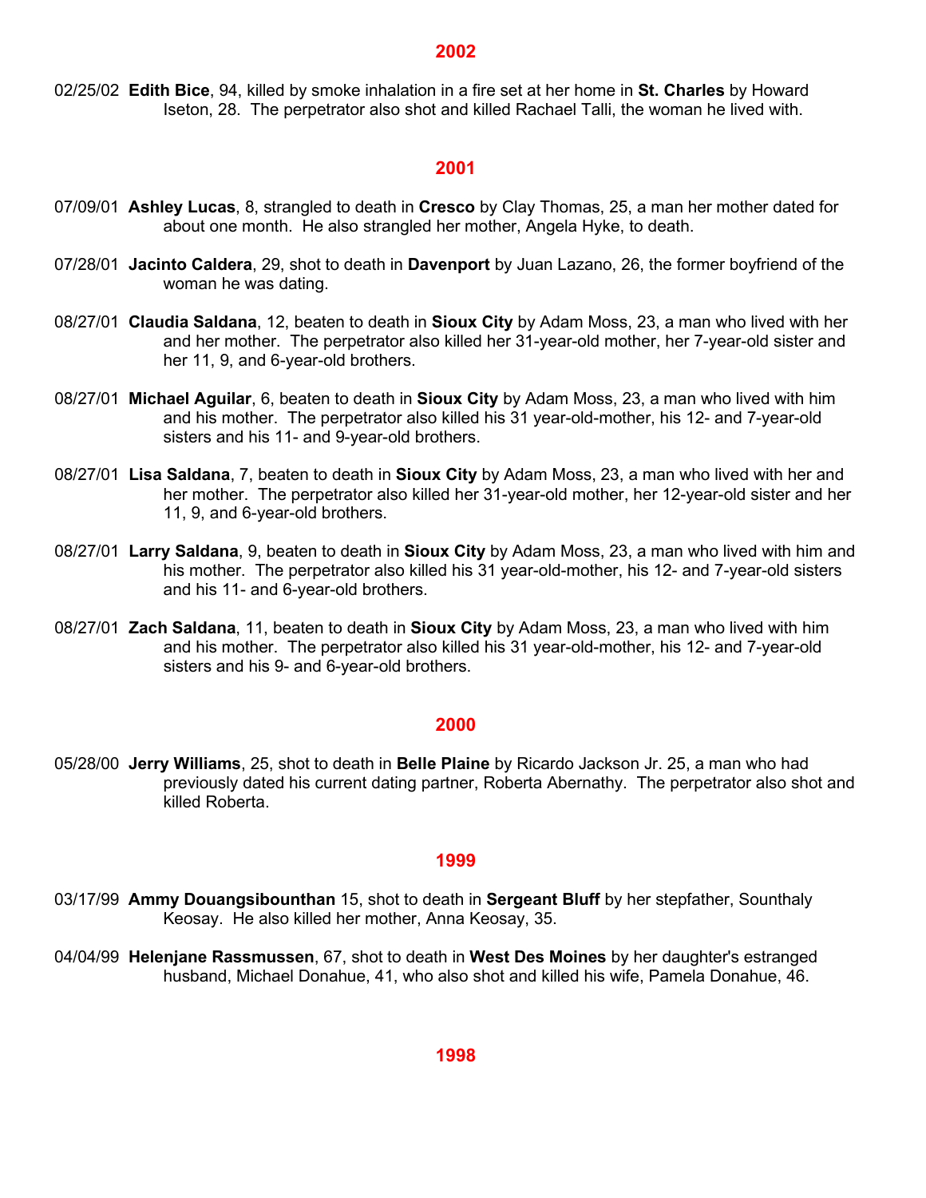02/25/02 **Edith Bice**, 94, killed by smoke inhalation in a fire set at her home in **St. Charles** by Howard Iseton, 28. The perpetrator also shot and killed Rachael Talli, the woman he lived with.

#### **2001**

- 07/09/01 **Ashley Lucas**, 8, strangled to death in **Cresco** by Clay Thomas, 25, a man her mother dated for about one month. He also strangled her mother, Angela Hyke, to death.
- 07/28/01 **Jacinto Caldera**, 29, shot to death in **Davenport** by Juan Lazano, 26, the former boyfriend of the woman he was dating.
- 08/27/01 **Claudia Saldana**, 12, beaten to death in **Sioux City** by Adam Moss, 23, a man who lived with her and her mother. The perpetrator also killed her 31-year-old mother, her 7-year-old sister and her 11, 9, and 6-year-old brothers.
- 08/27/01 **Michael Aguilar**, 6, beaten to death in **Sioux City** by Adam Moss, 23, a man who lived with him and his mother. The perpetrator also killed his 31 year-old-mother, his 12- and 7-year-old sisters and his 11- and 9-year-old brothers.
- 08/27/01 **Lisa Saldana**, 7, beaten to death in **Sioux City** by Adam Moss, 23, a man who lived with her and her mother. The perpetrator also killed her 31-year-old mother, her 12-year-old sister and her 11, 9, and 6-year-old brothers.
- 08/27/01 **Larry Saldana**, 9, beaten to death in **Sioux City** by Adam Moss, 23, a man who lived with him and his mother. The perpetrator also killed his 31 year-old-mother, his 12- and 7-year-old sisters and his 11- and 6-year-old brothers.
- 08/27/01 **Zach Saldana**, 11, beaten to death in **Sioux City** by Adam Moss, 23, a man who lived with him and his mother. The perpetrator also killed his 31 year-old-mother, his 12- and 7-year-old sisters and his 9- and 6-year-old brothers.

#### **2000**

05/28/00 **Jerry Williams**, 25, shot to death in **Belle Plaine** by Ricardo Jackson Jr. 25, a man who had previously dated his current dating partner, Roberta Abernathy. The perpetrator also shot and killed Roberta.

- 03/17/99 **Ammy Douangsibounthan** 15, shot to death in **Sergeant Bluff** by her stepfather, Sounthaly Keosay. He also killed her mother, Anna Keosay, 35.
- 04/04/99 **Helenjane Rassmussen**, 67, shot to death in **West Des Moines** by her daughter's estranged husband, Michael Donahue, 41, who also shot and killed his wife, Pamela Donahue, 46.